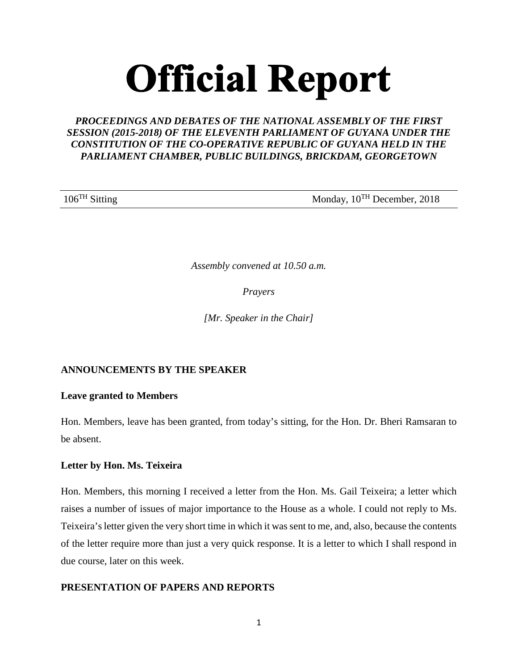# **Official Report**

# *PROCEEDINGS AND DEBATES OF THE NATIONAL ASSEMBLY OF THE FIRST SESSION (2015-2018) OF THE ELEVENTH PARLIAMENT OF GUYANA UNDER THE CONSTITUTION OF THE CO-OPERATIVE REPUBLIC OF GUYANA HELD IN THE PARLIAMENT CHAMBER, PUBLIC BUILDINGS, BRICKDAM, GEORGETOWN*

106<sup>TH</sup> Sitting Monday, 10<sup>TH</sup> December, 2018

*Assembly convened at 10.50 a.m.*

*Prayers*

*[Mr. Speaker in the Chair]*

# **ANNOUNCEMENTS BY THE SPEAKER**

# **Leave granted to Members**

Hon. Members, leave has been granted, from today's sitting, for the Hon. Dr. Bheri Ramsaran to be absent.

# **Letter by Hon. Ms. Teixeira**

Hon. Members, this morning I received a letter from the Hon. Ms. Gail Teixeira; a letter which raises a number of issues of major importance to the House as a whole. I could not reply to Ms. Teixeira's letter given the very short time in which it was sent to me, and, also, because the contents of the letter require more than just a very quick response. It is a letter to which I shall respond in due course, later on this week.

# **PRESENTATION OF PAPERS AND REPORTS**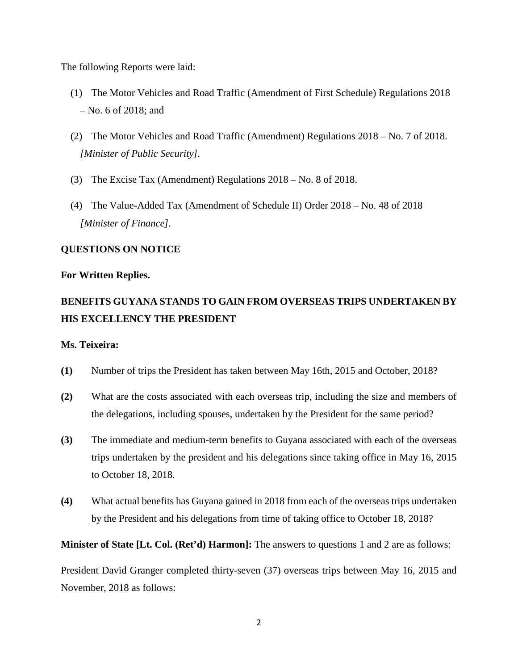The following Reports were laid:

- (1) The Motor Vehicles and Road Traffic (Amendment of First Schedule) Regulations 2018 – No. 6 of 2018; and
- (2) The Motor Vehicles and Road Traffic (Amendment) Regulations 2018 No. 7 of 2018. *[Minister of Public Security].*
- (3) The Excise Tax (Amendment) Regulations 2018 No. 8 of 2018.
- (4) The Value-Added Tax (Amendment of Schedule II) Order 2018 No. 48 of 2018 *[Minister of Finance].*

## **QUESTIONS ON NOTICE**

#### **For Written Replies.**

# **BENEFITS GUYANA STANDS TO GAIN FROM OVERSEAS TRIPS UNDERTAKEN BY HIS EXCELLENCY THE PRESIDENT**

#### **Ms. Teixeira:**

- **(1)** Number of trips the President has taken between May 16th, 2015 and October, 2018?
- **(2)** What are the costs associated with each overseas trip, including the size and members of the delegations, including spouses, undertaken by the President for the same period?
- **(3)** The immediate and medium-term benefits to Guyana associated with each of the overseas trips undertaken by the president and his delegations since taking office in May 16, 2015 to October 18, 2018.
- **(4)** What actual benefits has Guyana gained in 2018 from each of the overseas trips undertaken by the President and his delegations from time of taking office to October 18, 2018?

**Minister of State [Lt. Col. (Ret'd) Harmon]:** The answers to questions 1 and 2 are as follows:

President David Granger completed thirty-seven (37) overseas trips between May 16, 2015 and November, 2018 as follows: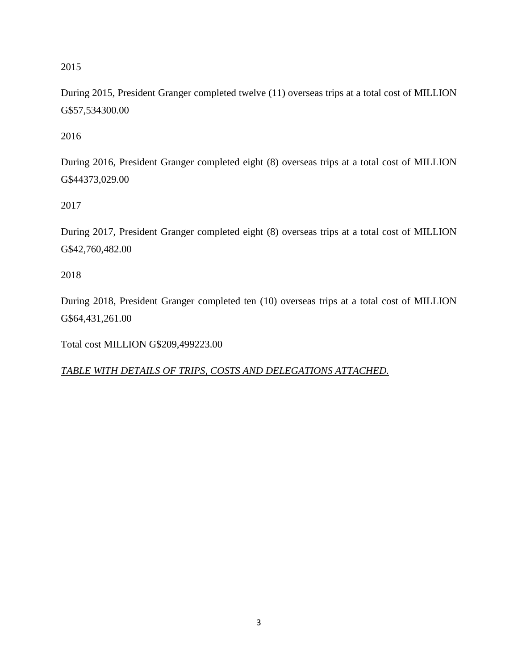# 2015

During 2015, President Granger completed twelve (11) overseas trips at a total cost of MILLION G\$57,534300.00

2016

During 2016, President Granger completed eight (8) overseas trips at a total cost of MILLION G\$44373,029.00

2017

During 2017, President Granger completed eight (8) overseas trips at a total cost of MILLION G\$42,760,482.00

2018

During 2018, President Granger completed ten (10) overseas trips at a total cost of MILLION G\$64,431,261.00

Total cost MILLION G\$209,499223.00

*TABLE WITH DETAILS OF TRIPS, COSTS AND DELEGATIONS ATTACHED.*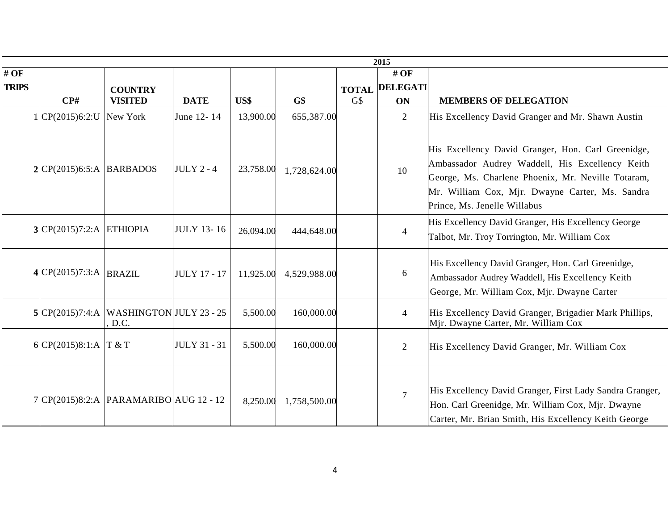|                     | 2015                       |                                          |                     |           |              |     |                              |                                                                                                                                                                                                                                                |  |  |  |  |
|---------------------|----------------------------|------------------------------------------|---------------------|-----------|--------------|-----|------------------------------|------------------------------------------------------------------------------------------------------------------------------------------------------------------------------------------------------------------------------------------------|--|--|--|--|
| #OF<br><b>TRIPS</b> |                            | <b>COUNTRY</b>                           |                     |           |              |     | #OF<br><b>TOTAL DELEGATI</b> |                                                                                                                                                                                                                                                |  |  |  |  |
|                     | $\mathbf{C} \mathbf{P}$ #  | <b>VISITED</b>                           | <b>DATE</b>         | US\$      | G\$          | G\$ | <b>ON</b>                    | <b>MEMBERS OF DELEGATION</b>                                                                                                                                                                                                                   |  |  |  |  |
|                     | 1 CP(2015)6:2:U New York   |                                          | June 12-14          | 13,900.00 | 655,387.00   |     | $\overline{2}$               | His Excellency David Granger and Mr. Shawn Austin                                                                                                                                                                                              |  |  |  |  |
|                     | $2 CP(2015)6:5:A$ BARBADOS |                                          | <b>JULY 2 - 4</b>   | 23,758.00 | 1,728,624.00 |     | 10                           | His Excellency David Granger, Hon. Carl Greenidge,<br>Ambassador Audrey Waddell, His Excellency Keith<br>George, Ms. Charlene Phoenix, Mr. Neville Totaram,<br>Mr. William Cox, Mjr. Dwayne Carter, Ms. Sandra<br>Prince, Ms. Jenelle Willabus |  |  |  |  |
|                     | $3 CP(2015)7:2:A$ ETHIOPIA |                                          | <b>JULY 13-16</b>   | 26,094.00 | 444,648.00   |     | $\overline{4}$               | His Excellency David Granger, His Excellency George<br>Talbot, Mr. Troy Torrington, Mr. William Cox                                                                                                                                            |  |  |  |  |
|                     | $4 CP(2015)7:3:A$ BRAZIL   |                                          | <b>JULY 17 - 17</b> | 11,925.00 | 4,529,988.00 |     | 6                            | His Excellency David Granger, Hon. Carl Greenidge,<br>Ambassador Audrey Waddell, His Excellency Keith<br>George, Mr. William Cox, Mjr. Dwayne Carter                                                                                           |  |  |  |  |
|                     | 5 CP(2015)7:4:A            | <b>WASHINGTON JULY 23 - 25</b><br>D.C.   |                     | 5,500.00  | 160,000.00   |     | $\overline{4}$               | His Excellency David Granger, Brigadier Mark Phillips,<br>Mjr. Dwayne Carter, Mr. William Cox                                                                                                                                                  |  |  |  |  |
|                     | 6 CP(2015)8:1:A $T & T$    |                                          | <b>JULY 31 - 31</b> | 5,500.00  | 160,000.00   |     | $\overline{2}$               | His Excellency David Granger, Mr. William Cox                                                                                                                                                                                                  |  |  |  |  |
|                     |                            | $7 CP(2015)8:2:A$ PARAMARIBO AUG 12 - 12 |                     | 8,250.00  | 1,758,500.00 |     | $\overline{7}$               | His Excellency David Granger, First Lady Sandra Granger,<br>Hon. Carl Greenidge, Mr. William Cox, Mjr. Dwayne<br>Carter, Mr. Brian Smith, His Excellency Keith George                                                                          |  |  |  |  |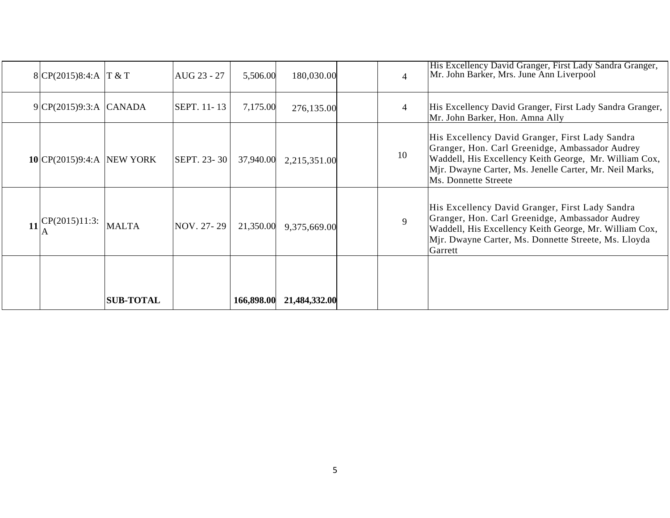|    | 8 CP(2015)8:4:A   T & T   |                  | AUG 23 - 27 | 5,506.00   | 180,030.00    | $\overline{\mathcal{A}}$ | His Excellency David Granger, First Lady Sandra Granger,<br>Mr. John Barker, Mrs. June Ann Liverpool                                                                                                                                            |
|----|---------------------------|------------------|-------------|------------|---------------|--------------------------|-------------------------------------------------------------------------------------------------------------------------------------------------------------------------------------------------------------------------------------------------|
|    | 9 CP(2015)9:3:A CANADA    |                  | SEPT. 11-13 | 7,175.00   | 276,135.00    | 4                        | His Excellency David Granger, First Lady Sandra Granger,<br>Mr. John Barker, Hon. Amna Ally                                                                                                                                                     |
|    | 10 CP(2015)9:4:A NEW YORK |                  | SEPT. 23-30 | 37,940.00  | 2,215,351.00  | 10                       | His Excellency David Granger, First Lady Sandra<br>Granger, Hon. Carl Greenidge, Ambassador Audrey<br>Waddell, His Excellency Keith George, Mr. William Cox,<br>Mjr. Dwayne Carter, Ms. Jenelle Carter, Mr. Neil Marks,<br>Ms. Donnette Streete |
| 11 | CP(2015)11:3:             | <b>MALTA</b>     | NOV. 27-29  | 21,350.00  | 9,375,669.00  | 9                        | His Excellency David Granger, First Lady Sandra<br>Granger, Hon. Carl Greenidge, Ambassador Audrey<br>Waddell, His Excellency Keith George, Mr. William Cox,<br>Mjr. Dwayne Carter, Ms. Donnette Streete, Ms. Lloyda<br>Garrett                 |
|    |                           | <b>SUB-TOTAL</b> |             | 166,898.00 | 21,484,332.00 |                          |                                                                                                                                                                                                                                                 |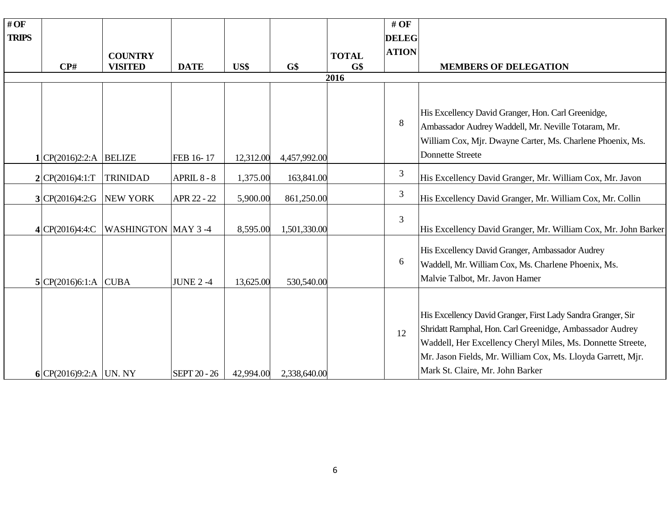| #OF          |                           |                           |                     |           |              |              | # OF           |                                                                                                                                                                                                                                                                                            |
|--------------|---------------------------|---------------------------|---------------------|-----------|--------------|--------------|----------------|--------------------------------------------------------------------------------------------------------------------------------------------------------------------------------------------------------------------------------------------------------------------------------------------|
| <b>TRIPS</b> |                           |                           |                     |           |              |              | <b>DELEG</b>   |                                                                                                                                                                                                                                                                                            |
|              |                           | <b>COUNTRY</b>            |                     |           |              | <b>TOTAL</b> | <b>ATION</b>   |                                                                                                                                                                                                                                                                                            |
|              | $\mathbf{C} \mathbf{P}$ # | <b>VISITED</b>            | <b>DATE</b>         | US\$      | G\$          | G\$          |                | <b>MEMBERS OF DELEGATION</b>                                                                                                                                                                                                                                                               |
|              |                           |                           |                     |           |              | 2016         |                |                                                                                                                                                                                                                                                                                            |
|              |                           |                           |                     |           |              |              |                |                                                                                                                                                                                                                                                                                            |
|              |                           |                           |                     |           |              |              | 8              | His Excellency David Granger, Hon. Carl Greenidge,<br>Ambassador Audrey Waddell, Mr. Neville Totaram, Mr.                                                                                                                                                                                  |
|              |                           |                           |                     |           |              |              |                | William Cox, Mjr. Dwayne Carter, Ms. Charlene Phoenix, Ms.                                                                                                                                                                                                                                 |
|              | $1 CP(2016)2:2:A$ BELIZE  |                           | FEB 16-17           | 12,312.00 | 4,457,992.00 |              |                | <b>Donnette Streete</b>                                                                                                                                                                                                                                                                    |
|              | 2 CP(2016)4:1:T           | <b>TRINIDAD</b>           | APRIL 8 - 8         | 1,375.00  | 163,841.00   |              | 3              | His Excellency David Granger, Mr. William Cox, Mr. Javon                                                                                                                                                                                                                                   |
|              | 3 CP(2016)4:2:G           | <b>NEW YORK</b>           | APR 22 - 22         | 5,900.00  | 861,250.00   |              | 3              | His Excellency David Granger, Mr. William Cox, Mr. Collin                                                                                                                                                                                                                                  |
|              | 4 CP(2016)4:4:C           | <b>WASHINGTON MAY 3-4</b> |                     | 8,595.00  | 1,501,330.00 |              | $\overline{3}$ | His Excellency David Granger, Mr. William Cox, Mr. John Barker                                                                                                                                                                                                                             |
|              |                           |                           |                     |           |              |              | 6              | His Excellency David Granger, Ambassador Audrey<br>Waddell, Mr. William Cox, Ms. Charlene Phoenix, Ms.                                                                                                                                                                                     |
|              | 5 CP(2016)6:1:A CUBA      |                           | <b>JUNE 2-4</b>     | 13,625.00 | 530,540.00   |              |                | Malvie Talbot, Mr. Javon Hamer                                                                                                                                                                                                                                                             |
|              | 6 CP(2016)9:2:A UN. NY    |                           | <b>SEPT 20 - 26</b> | 42,994.00 | 2,338,640.00 |              | 12             | His Excellency David Granger, First Lady Sandra Granger, Sir<br>Shridatt Ramphal, Hon. Carl Greenidge, Ambassador Audrey<br>Waddell, Her Excellency Cheryl Miles, Ms. Donnette Streete,<br>Mr. Jason Fields, Mr. William Cox, Ms. Lloyda Garrett, Mjr.<br>Mark St. Claire, Mr. John Barker |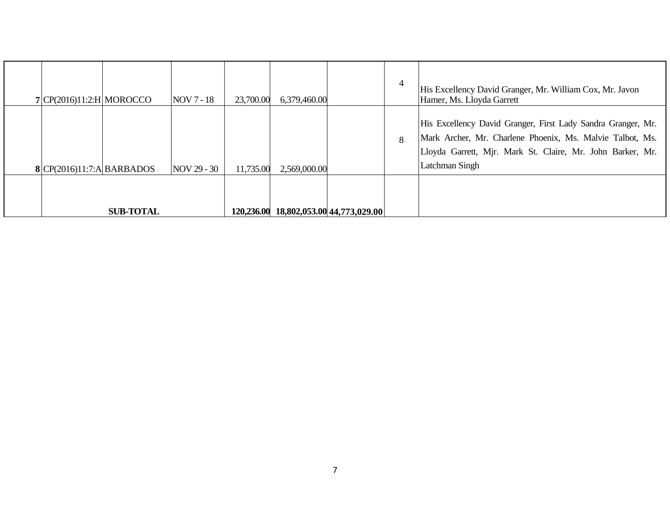| 7 CP(2016)11:2:H MOROCCO  |                  | NOV 7 - 18  | 23,700.00  | 6,379,460.00 |                             | $\overline{4}$ | His Excellency David Granger, Mr. William Cox, Mr. Javon<br>Hamer, Ms. Lloyda Garrett                                                                                                                     |
|---------------------------|------------------|-------------|------------|--------------|-----------------------------|----------------|-----------------------------------------------------------------------------------------------------------------------------------------------------------------------------------------------------------|
| 8 CP(2016)11:7:A BARBADOS |                  | NOV 29 - 30 | 11,735.00  | 2,569,000.00 |                             | 8              | His Excellency David Granger, First Lady Sandra Granger, Mr.<br>Mark Archer, Mr. Charlene Phoenix, Ms. Malvie Talbot, Ms.<br>Lloyda Garrett, Mjr. Mark St. Claire, Mr. John Barker, Mr.<br>Latchman Singh |
|                           | <b>SUB-TOTAL</b> |             | 120,236.00 |              | 18,802,053.00 44,773,029.00 |                |                                                                                                                                                                                                           |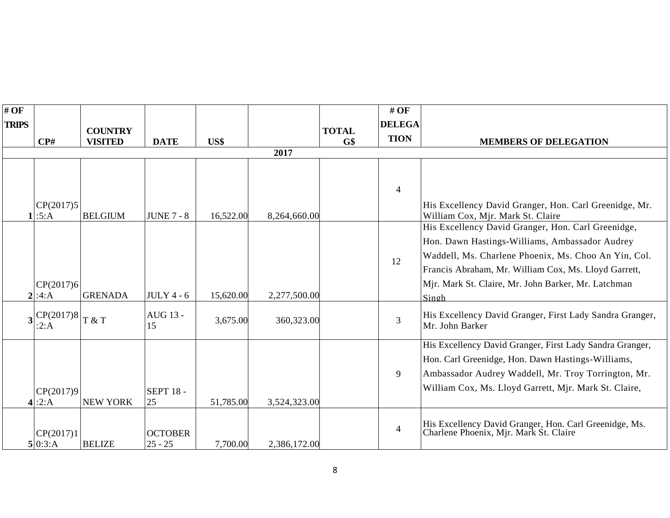| #OF          |                           |                 |                             |           |              |              | $#$ OF         |                                                                                                                                                                                                                                |
|--------------|---------------------------|-----------------|-----------------------------|-----------|--------------|--------------|----------------|--------------------------------------------------------------------------------------------------------------------------------------------------------------------------------------------------------------------------------|
| <b>TRIPS</b> |                           | <b>COUNTRY</b>  |                             |           |              | <b>TOTAL</b> | <b>DELEGA</b>  |                                                                                                                                                                                                                                |
|              | $\mathbf{C} \mathbf{P}$ # | <b>VISITED</b>  | <b>DATE</b>                 | US\$      |              | G\$          | <b>TION</b>    | <b>MEMBERS OF DELEGATION</b>                                                                                                                                                                                                   |
|              |                           |                 |                             |           | 2017         |              |                |                                                                                                                                                                                                                                |
|              | CP(2017)5<br>:5:A         | <b>BELGIUM</b>  | <b>JUNE 7 - 8</b>           | 16,522.00 | 8,264,660.00 |              | $\overline{4}$ | His Excellency David Granger, Hon. Carl Greenidge, Mr.<br>William Cox, Mjr. Mark St. Claire                                                                                                                                    |
|              |                           |                 |                             |           |              |              |                | His Excellency David Granger, Hon. Carl Greenidge,                                                                                                                                                                             |
|              | CP(2017)6<br>2 :4:A       | <b>GRENADA</b>  | $JULY 4 - 6$                | 15,620.00 | 2,277,500.00 |              | 12             | Hon. Dawn Hastings-Williams, Ambassador Audrey<br>Waddell, Ms. Charlene Phoenix, Ms. Choo An Yin, Col.<br>Francis Abraham, Mr. William Cox, Ms. Lloyd Garrett,<br>Mjr. Mark St. Claire, Mr. John Barker, Mr. Latchman<br>Singh |
|              | CP(2017)8<br>:2:A         | T & T           | AUG 13 -<br>15              | 3,675.00  | 360,323.00   |              | 3              | His Excellency David Granger, First Lady Sandra Granger,<br>Mr. John Barker                                                                                                                                                    |
|              | CP(2017)9<br>4:2:A        | <b>NEW YORK</b> | <b>SEPT 18 -</b><br>25      | 51,785.00 | 3,524,323.00 |              | 9              | His Excellency David Granger, First Lady Sandra Granger,<br>Hon. Carl Greenidge, Hon. Dawn Hastings-Williams,<br>Ambassador Audrey Waddell, Mr. Troy Torrington, Mr.<br>William Cox, Ms. Lloyd Garrett, Mjr. Mark St. Claire,  |
|              | CP(2017)1<br>5 0:3:A      | <b>BELIZE</b>   | <b>OCTOBER</b><br>$25 - 25$ | 7,700.00  | 2,386,172.00 |              | $\overline{4}$ | His Excellency David Granger, Hon. Carl Greenidge, Ms.<br>Charlene Phoenix, Mjr. Mark St. Claire                                                                                                                               |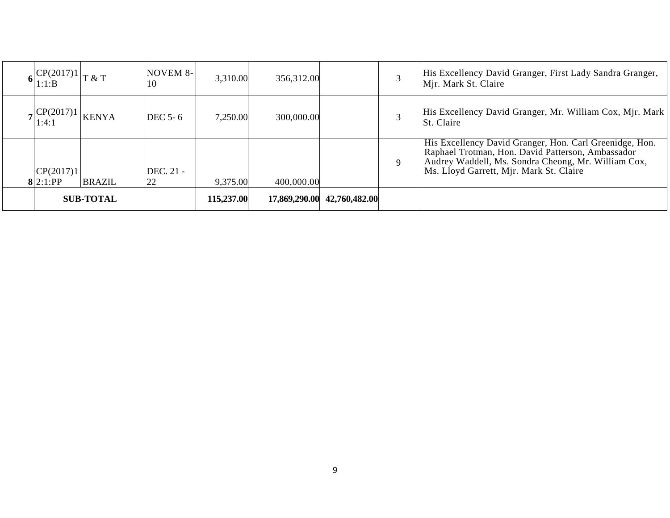| $ CP(2017)1 $ $\sqrt{x}$ T<br>1:1:B |               | <b>NOVEM 8-</b><br>10 | 3,310.00   | 356,312.00    |               | 3 | His Excellency David Granger, First Lady Sandra Granger,<br>Mjr. Mark St. Claire                                                                                                                               |
|-------------------------------------|---------------|-----------------------|------------|---------------|---------------|---|----------------------------------------------------------------------------------------------------------------------------------------------------------------------------------------------------------------|
| $\sqrt{C P(2017)}$<br>1:4:1         | <b>KENYA</b>  | <b>DEC 5-6</b>        | 7,250.00   | 300,000.00    |               | 3 | His Excellency David Granger, Mr. William Cox, Mjr. Mark<br><b>St.</b> Claire                                                                                                                                  |
| CP(2017)1<br>8 2:1:PP               | <b>BRAZIL</b> | DEC. 21 -<br>22       | 9,375.00   | 400,000.00    |               | 9 | His Excellency David Granger, Hon. Carl Greenidge, Hon.<br>Raphael Trotman, Hon. David Patterson, Ambassador<br>Audrey Waddell, Ms. Sondra Cheong, Mr. William Cox,<br>Ms. Lloyd Garrett, Mjr. Mark St. Claire |
| <b>SUB-TOTAL</b>                    |               |                       | 115,237.00 | 17,869,290.00 | 42,760,482.00 |   |                                                                                                                                                                                                                |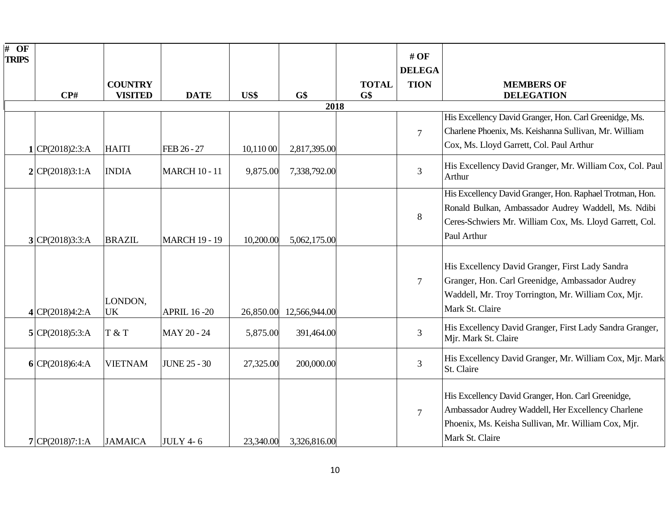| $\overline{\#}$ OF<br><b>TRIPS</b> | $\mathbf{CP}$ #   | <b>COUNTRY</b><br><b>VISITED</b> | <b>DATE</b>          | US\$      | G\$           | <b>TOTAL</b><br>G\$ | $#$ OF<br><b>DELEGA</b><br><b>TION</b> | <b>MEMBERS OF</b><br><b>DELEGATION</b>                                                                                                                                                    |
|------------------------------------|-------------------|----------------------------------|----------------------|-----------|---------------|---------------------|----------------------------------------|-------------------------------------------------------------------------------------------------------------------------------------------------------------------------------------------|
|                                    |                   |                                  |                      |           | 2018          |                     |                                        |                                                                                                                                                                                           |
|                                    | 1 CP(2018)2:3:A   | <b>HAITI</b>                     | FEB 26 - 27          | 10,110 00 | 2,817,395.00  |                     | $\overline{7}$                         | His Excellency David Granger, Hon. Carl Greenidge, Ms.<br>Charlene Phoenix, Ms. Keishanna Sullivan, Mr. William<br>Cox, Ms. Lloyd Garrett, Col. Paul Arthur                               |
|                                    | 2 CP(2018)3:1:A   | <b>INDIA</b>                     | <b>MARCH 10 - 11</b> | 9,875.00  | 7,338,792.00  |                     | 3                                      | His Excellency David Granger, Mr. William Cox, Col. Paul<br>Arthur                                                                                                                        |
|                                    | 3 CP(2018)3:3:A   | <b>BRAZIL</b>                    | <b>MARCH 19 - 19</b> | 10,200.00 | 5,062,175.00  |                     | 8                                      | His Excellency David Granger, Hon. Raphael Trotman, Hon.<br>Ronald Bulkan, Ambassador Audrey Waddell, Ms. Ndibi<br>Ceres-Schwiers Mr. William Cox, Ms. Lloyd Garrett, Col.<br>Paul Arthur |
|                                    | 4 CP(2018)4:2:A   | LONDON,<br><b>UK</b>             | <b>APRIL 16-20</b>   | 26,850.00 | 12,566,944.00 |                     | $\overline{7}$                         | His Excellency David Granger, First Lady Sandra<br>Granger, Hon. Carl Greenidge, Ambassador Audrey<br>Waddell, Mr. Troy Torrington, Mr. William Cox, Mjr.<br>Mark St. Claire              |
|                                    | 5 CP(2018)5:3:A   | T & T                            | MAY 20 - 24          | 5,875.00  | 391,464.00    |                     | $\overline{3}$                         | His Excellency David Granger, First Lady Sandra Granger,<br>Mjr. Mark St. Claire                                                                                                          |
|                                    | $6$ CP(2018)6:4:A | <b>VIETNAM</b>                   | <b>JUNE 25 - 30</b>  | 27,325.00 | 200,000.00    |                     | $\overline{3}$                         | His Excellency David Granger, Mr. William Cox, Mjr. Mark<br>St. Claire                                                                                                                    |
|                                    | 7 CP(2018)7:1:A   | <b>JAMAICA</b>                   | <b>JULY 4-6</b>      | 23,340.00 | 3,326,816.00  |                     | $7\phantom{.0}$                        | His Excellency David Granger, Hon. Carl Greenidge,<br>Ambassador Audrey Waddell, Her Excellency Charlene<br>Phoenix, Ms. Keisha Sullivan, Mr. William Cox, Mjr.<br>Mark St. Claire        |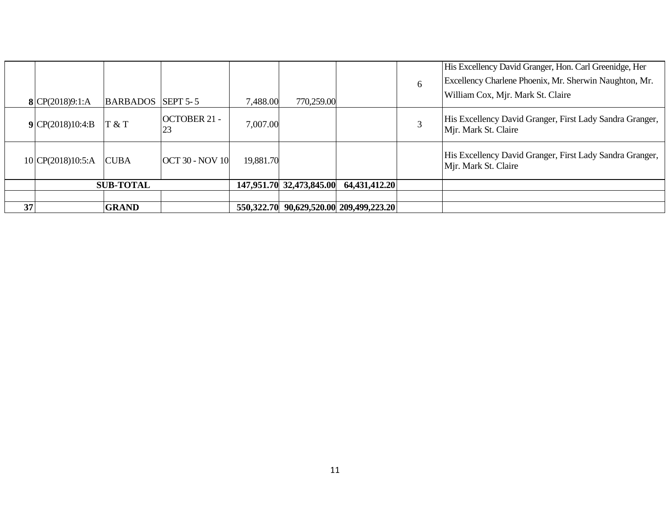|    |                   |                          |                        |           |                          |                                         | 6 | His Excellency David Granger, Hon. Carl Greenidge, Her<br>Excellency Charlene Phoenix, Mr. Sherwin Naughton, Mr.<br>William Cox, Mjr. Mark St. Claire |
|----|-------------------|--------------------------|------------------------|-----------|--------------------------|-----------------------------------------|---|-------------------------------------------------------------------------------------------------------------------------------------------------------|
|    | 8 $CP(2018)9:1:A$ | <b>BARBADOS</b> SEPT 5-5 |                        | 7,488.00  | 770,259.00               |                                         |   |                                                                                                                                                       |
|    | 9 CP(2018)10:4:B  | T & T                    | OCTOBER 21 -<br>23     | 7,007.00  |                          |                                         |   | His Excellency David Granger, First Lady Sandra Granger,<br>Mjr. Mark St. Claire                                                                      |
|    | 10 CP(2018)10:5:A | <b>CUBA</b>              | <b>OCT 30 - NOV 10</b> | 19,881.70 |                          |                                         |   | His Excellency David Granger, First Lady Sandra Granger,<br>Mjr. Mark St. Claire                                                                      |
|    | <b>SUB-TOTAL</b>  |                          |                        |           | 147,951.70 32,473,845.00 | 64,431,412.20                           |   |                                                                                                                                                       |
|    |                   |                          |                        |           |                          |                                         |   |                                                                                                                                                       |
| 37 |                   | <b>GRAND</b>             |                        |           |                          | 550,322.70 90,629,520.00 209,499,223.20 |   |                                                                                                                                                       |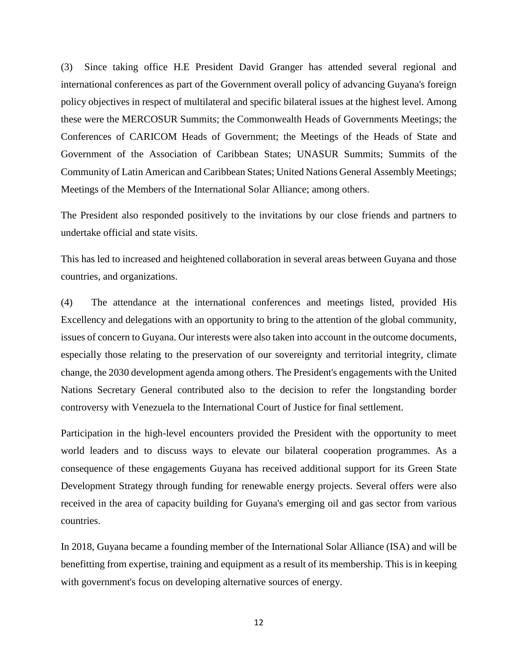(3) Since taking office H.E President David Granger has attended several regional and international conferences as part of the Government overall policy of advancing Guyana's foreign policy objectives in respect of multilateral and specific bilateral issues at the highest level. Among these were the MERCOSUR Summits; the Commonwealth Heads of Governments Meetings; the Conferences of CARICOM Heads of Government; the Meetings of the Heads of State and Government of the Association of Caribbean States; UNASUR Summits; Summits of the Community of Latin American and Caribbean States; United Nations General Assembly Meetings; Meetings of the Members of the International Solar Alliance; among others.

The President also responded positively to the invitations by our close friends and partners to undertake official and state visits.

This has led to increased and heightened collaboration in several areas between Guyana and those countries, and organizations.

(4) The attendance at the international conferences and meetings listed, provided His Excellency and delegations with an opportunity to bring to the attention of the global community, issues of concern to Guyana. Our interests were also taken into account in the outcome documents, especially those relating to the preservation of our sovereignty and territorial integrity, climate change, the 2030 development agenda among others. The President's engagements with the United Nations Secretary General contributed also to the decision to refer the longstanding border controversy with Venezuela to the International Court of Justice for final settlement.

Participation in the high-level encounters provided the President with the opportunity to meet world leaders and to discuss ways to elevate our bilateral cooperation programmes. As a consequence of these engagements Guyana has received additional support for its Green State Development Strategy through funding for renewable energy projects. Several offers were also received in the area of capacity building for Guyana's emerging oil and gas sector from various countries.

In 2018, Guyana became a founding member of the International Solar Alliance (ISA) and will be benefitting from expertise, training and equipment as a result of its membership. This is in keeping with government's focus on developing alternative sources of energy.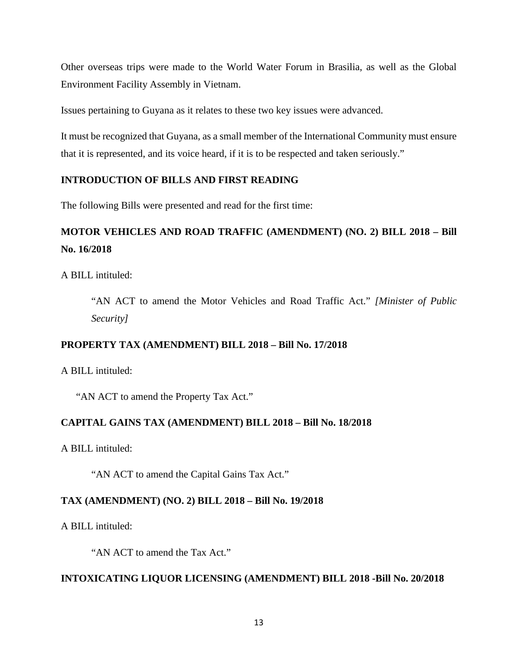Other overseas trips were made to the World Water Forum in Brasilia, as well as the Global Environment Facility Assembly in Vietnam.

Issues pertaining to Guyana as it relates to these two key issues were advanced.

It must be recognized that Guyana, as a small member of the International Community must ensure that it is represented, and its voice heard, if it is to be respected and taken seriously."

# **INTRODUCTION OF BILLS AND FIRST READING**

The following Bills were presented and read for the first time:

# **MOTOR VEHICLES AND ROAD TRAFFIC (AMENDMENT) (NO. 2) BILL 2018 – Bill No. 16/2018**

A BILL intituled:

"AN ACT to amend the Motor Vehicles and Road Traffic Act." *[Minister of Public Security]*

# **PROPERTY TAX (AMENDMENT) BILL 2018 – Bill No. 17/2018**

A BILL intituled:

"AN ACT to amend the Property Tax Act."

# **CAPITAL GAINS TAX (AMENDMENT) BILL 2018 – Bill No. 18/2018**

A BILL intituled:

"AN ACT to amend the Capital Gains Tax Act."

# **TAX (AMENDMENT) (NO. 2) BILL 2018 – Bill No. 19/2018**

A BILL intituled:

"AN ACT to amend the Tax Act."

# **INTOXICATING LIQUOR LICENSING (AMENDMENT) BILL 2018 -Bill No. 20/2018**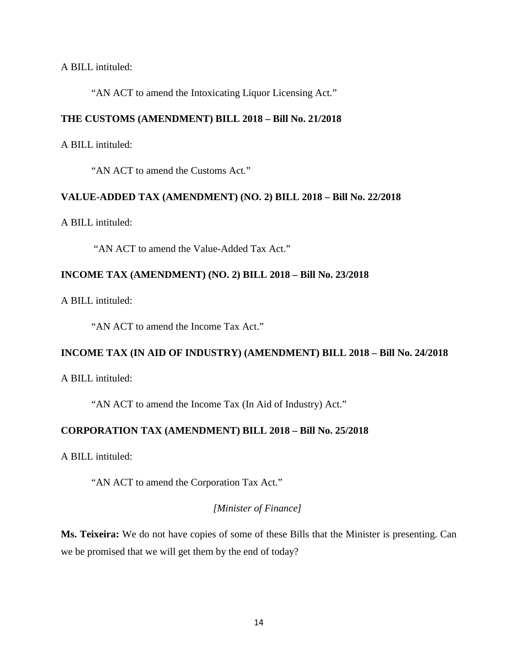#### A BILL intituled:

"AN ACT to amend the Intoxicating Liquor Licensing Act."

#### **THE CUSTOMS (AMENDMENT) BILL 2018 – Bill No. 21/2018**

A BILL intituled:

"AN ACT to amend the Customs Act."

### **VALUE-ADDED TAX (AMENDMENT) (NO. 2) BILL 2018 – Bill No. 22/2018**

A BILL intituled:

"AN ACT to amend the Value-Added Tax Act."

## **INCOME TAX (AMENDMENT) (NO. 2) BILL 2018 – Bill No. 23/2018**

A BILL intituled:

"AN ACT to amend the Income Tax Act."

#### **INCOME TAX (IN AID OF INDUSTRY) (AMENDMENT) BILL 2018 – Bill No. 24/2018**

A BILL intituled:

"AN ACT to amend the Income Tax (In Aid of Industry) Act."

# **CORPORATION TAX (AMENDMENT) BILL 2018 – Bill No. 25/2018**

A BILL intituled:

"AN ACT to amend the Corporation Tax Act."

# *[Minister of Finance]*

**Ms. Teixeira:** We do not have copies of some of these Bills that the Minister is presenting. Can we be promised that we will get them by the end of today?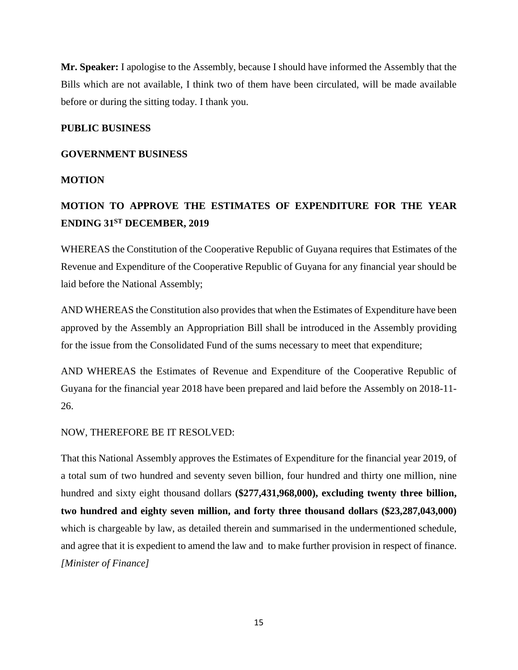**Mr. Speaker:** I apologise to the Assembly, because I should have informed the Assembly that the Bills which are not available, I think two of them have been circulated, will be made available before or during the sitting today. I thank you.

#### **PUBLIC BUSINESS**

#### **GOVERNMENT BUSINESS**

## **MOTION**

# **MOTION TO APPROVE THE ESTIMATES OF EXPENDITURE FOR THE YEAR ENDING 31ST DECEMBER, 2019**

WHEREAS the Constitution of the Cooperative Republic of Guyana requires that Estimates of the Revenue and Expenditure of the Cooperative Republic of Guyana for any financial year should be laid before the National Assembly;

AND WHEREAS the Constitution also provides that when the Estimates of Expenditure have been approved by the Assembly an Appropriation Bill shall be introduced in the Assembly providing for the issue from the Consolidated Fund of the sums necessary to meet that expenditure;

AND WHEREAS the Estimates of Revenue and Expenditure of the Cooperative Republic of Guyana for the financial year 2018 have been prepared and laid before the Assembly on 2018-11- 26.

# NOW, THEREFORE BE IT RESOLVED:

That this National Assembly approves the Estimates of Expenditure for the financial year 2019, of a total sum of two hundred and seventy seven billion, four hundred and thirty one million, nine hundred and sixty eight thousand dollars **(\$277,431,968,000), excluding twenty three billion, two hundred and eighty seven million, and forty three thousand dollars (\$23,287,043,000)**  which is chargeable by law, as detailed therein and summarised in the undermentioned schedule, and agree that it is expedient to amend the law and to make further provision in respect of finance. *[Minister of Finance]*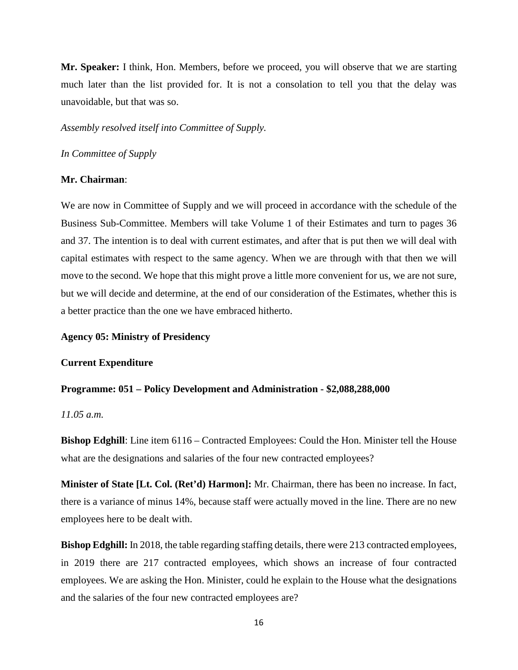**Mr. Speaker:** I think, Hon. Members, before we proceed, you will observe that we are starting much later than the list provided for. It is not a consolation to tell you that the delay was unavoidable, but that was so.

*Assembly resolved itself into Committee of Supply.* 

*In Committee of Supply*

#### **Mr. Chairman**:

We are now in Committee of Supply and we will proceed in accordance with the schedule of the Business Sub-Committee. Members will take Volume 1 of their Estimates and turn to pages 36 and 37. The intention is to deal with current estimates, and after that is put then we will deal with capital estimates with respect to the same agency. When we are through with that then we will move to the second. We hope that this might prove a little more convenient for us, we are not sure, but we will decide and determine, at the end of our consideration of the Estimates, whether this is a better practice than the one we have embraced hitherto.

#### **Agency 05: Ministry of Presidency**

#### **Current Expenditure**

# **Programme: 051 – Policy Development and Administration - \$2,088,288,000**

## *11.05 a.m.*

**Bishop Edghill**: Line item 6116 – Contracted Employees: Could the Hon. Minister tell the House what are the designations and salaries of the four new contracted employees?

**Minister of State [Lt. Col. (Ret'd) Harmon]:** Mr. Chairman, there has been no increase. In fact, there is a variance of minus 14%, because staff were actually moved in the line. There are no new employees here to be dealt with.

**Bishop Edghill:** In 2018, the table regarding staffing details, there were 213 contracted employees, in 2019 there are 217 contracted employees, which shows an increase of four contracted employees. We are asking the Hon. Minister, could he explain to the House what the designations and the salaries of the four new contracted employees are?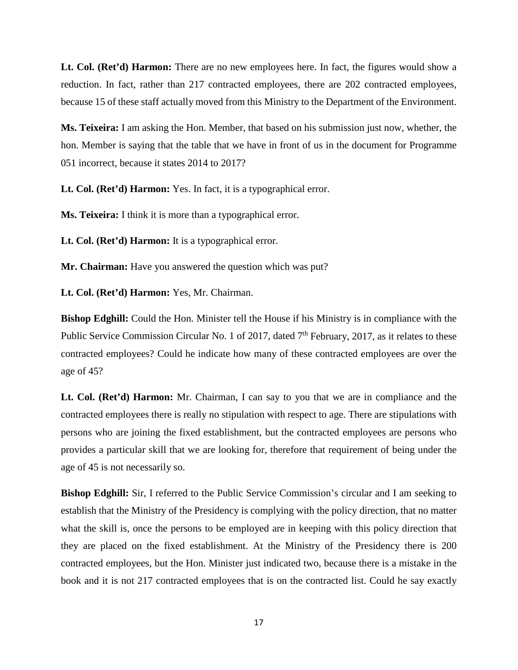**Lt. Col. (Ret'd) Harmon:** There are no new employees here. In fact, the figures would show a reduction. In fact, rather than 217 contracted employees, there are 202 contracted employees, because 15 of these staff actually moved from this Ministry to the Department of the Environment.

**Ms. Teixeira:** I am asking the Hon. Member, that based on his submission just now, whether, the hon. Member is saying that the table that we have in front of us in the document for Programme 051 incorrect, because it states 2014 to 2017?

**Lt. Col. (Ret'd) Harmon:** Yes. In fact, it is a typographical error.

**Ms. Teixeira:** I think it is more than a typographical error.

**Lt. Col. (Ret'd) Harmon:** It is a typographical error.

**Mr. Chairman:** Have you answered the question which was put?

**Lt. Col. (Ret'd) Harmon:** Yes, Mr. Chairman.

**Bishop Edghill:** Could the Hon. Minister tell the House if his Ministry is in compliance with the Public Service Commission Circular No. 1 of 2017, dated  $7<sup>th</sup>$  February, 2017, as it relates to these contracted employees? Could he indicate how many of these contracted employees are over the age of 45?

**Lt. Col. (Ret'd) Harmon:** Mr. Chairman, I can say to you that we are in compliance and the contracted employees there is really no stipulation with respect to age. There are stipulations with persons who are joining the fixed establishment, but the contracted employees are persons who provides a particular skill that we are looking for, therefore that requirement of being under the age of 45 is not necessarily so.

**Bishop Edghill:** Sir, I referred to the Public Service Commission's circular and I am seeking to establish that the Ministry of the Presidency is complying with the policy direction, that no matter what the skill is, once the persons to be employed are in keeping with this policy direction that they are placed on the fixed establishment. At the Ministry of the Presidency there is 200 contracted employees, but the Hon. Minister just indicated two, because there is a mistake in the book and it is not 217 contracted employees that is on the contracted list. Could he say exactly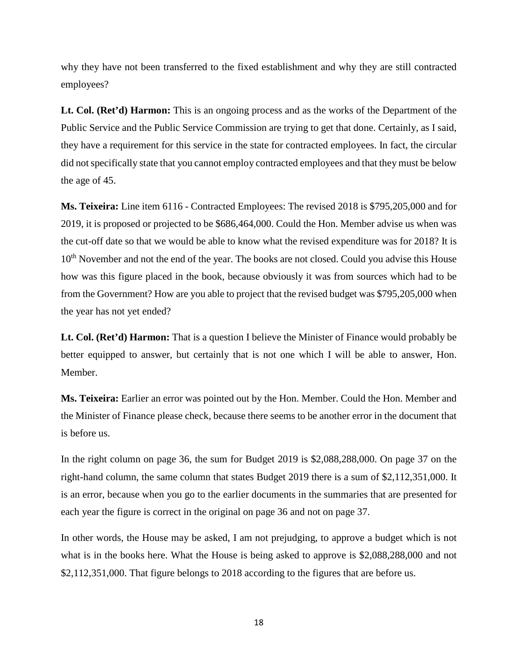why they have not been transferred to the fixed establishment and why they are still contracted employees?

**Lt. Col. (Ret'd) Harmon:** This is an ongoing process and as the works of the Department of the Public Service and the Public Service Commission are trying to get that done. Certainly, as I said, they have a requirement for this service in the state for contracted employees. In fact, the circular did not specifically state that you cannot employ contracted employees and that they must be below the age of 45.

**Ms. Teixeira:** Line item 6116 - Contracted Employees: The revised 2018 is \$795,205,000 and for 2019, it is proposed or projected to be \$686,464,000. Could the Hon. Member advise us when was the cut-off date so that we would be able to know what the revised expenditure was for 2018? It is 10<sup>th</sup> November and not the end of the year. The books are not closed. Could you advise this House how was this figure placed in the book, because obviously it was from sources which had to be from the Government? How are you able to project that the revised budget was \$795,205,000 when the year has not yet ended?

**Lt. Col. (Ret'd) Harmon:** That is a question I believe the Minister of Finance would probably be better equipped to answer, but certainly that is not one which I will be able to answer, Hon. Member.

**Ms. Teixeira:** Earlier an error was pointed out by the Hon. Member. Could the Hon. Member and the Minister of Finance please check, because there seems to be another error in the document that is before us.

In the right column on page 36, the sum for Budget 2019 is \$2,088,288,000. On page 37 on the right-hand column, the same column that states Budget 2019 there is a sum of \$2,112,351,000. It is an error, because when you go to the earlier documents in the summaries that are presented for each year the figure is correct in the original on page 36 and not on page 37.

In other words, the House may be asked, I am not prejudging, to approve a budget which is not what is in the books here. What the House is being asked to approve is \$2,088,288,000 and not \$2,112,351,000. That figure belongs to 2018 according to the figures that are before us.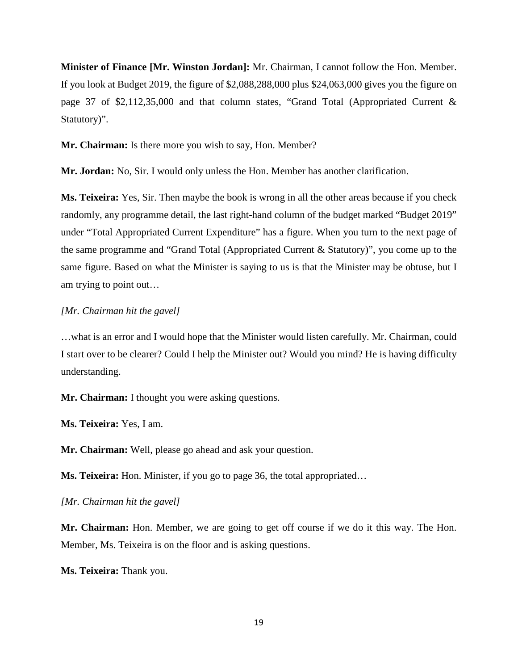**Minister of Finance [Mr. Winston Jordan]:** Mr. Chairman, I cannot follow the Hon. Member. If you look at Budget 2019, the figure of \$2,088,288,000 plus \$24,063,000 gives you the figure on page 37 of \$2,112,35,000 and that column states, "Grand Total (Appropriated Current & Statutory)".

**Mr. Chairman:** Is there more you wish to say, Hon. Member?

**Mr. Jordan:** No, Sir. I would only unless the Hon. Member has another clarification.

**Ms. Teixeira:** Yes, Sir. Then maybe the book is wrong in all the other areas because if you check randomly, any programme detail, the last right-hand column of the budget marked "Budget 2019" under "Total Appropriated Current Expenditure" has a figure. When you turn to the next page of the same programme and "Grand Total (Appropriated Current & Statutory)", you come up to the same figure. Based on what the Minister is saying to us is that the Minister may be obtuse, but I am trying to point out…

#### *[Mr. Chairman hit the gavel]*

…what is an error and I would hope that the Minister would listen carefully. Mr. Chairman, could I start over to be clearer? Could I help the Minister out? Would you mind? He is having difficulty understanding.

**Mr. Chairman:** I thought you were asking questions.

**Ms. Teixeira:** Yes, I am.

**Mr. Chairman:** Well, please go ahead and ask your question.

**Ms. Teixeira:** Hon. Minister, if you go to page 36, the total appropriated…

*[Mr. Chairman hit the gavel]*

**Mr. Chairman:** Hon. Member, we are going to get off course if we do it this way. The Hon. Member, Ms. Teixeira is on the floor and is asking questions.

**Ms. Teixeira:** Thank you.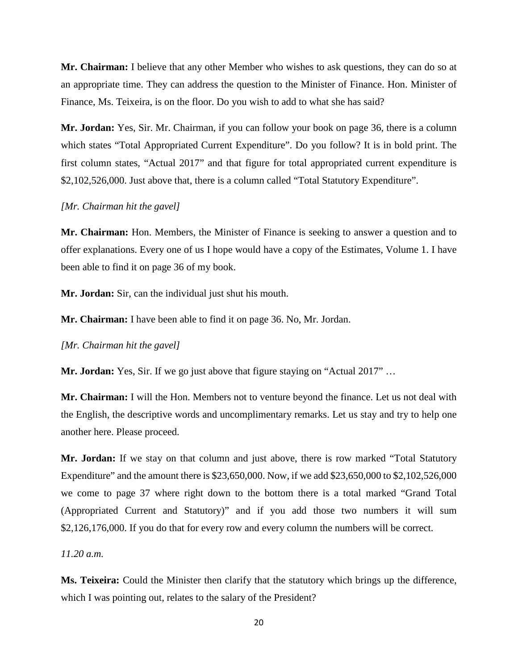**Mr. Chairman:** I believe that any other Member who wishes to ask questions, they can do so at an appropriate time. They can address the question to the Minister of Finance. Hon. Minister of Finance, Ms. Teixeira, is on the floor. Do you wish to add to what she has said?

**Mr. Jordan:** Yes, Sir. Mr. Chairman, if you can follow your book on page 36, there is a column which states "Total Appropriated Current Expenditure". Do you follow? It is in bold print. The first column states, "Actual 2017" and that figure for total appropriated current expenditure is \$2,102,526,000. Just above that, there is a column called "Total Statutory Expenditure".

#### *[Mr. Chairman hit the gavel]*

**Mr. Chairman:** Hon. Members, the Minister of Finance is seeking to answer a question and to offer explanations. Every one of us I hope would have a copy of the Estimates, Volume 1. I have been able to find it on page 36 of my book.

**Mr. Jordan:** Sir, can the individual just shut his mouth.

**Mr. Chairman:** I have been able to find it on page 36. No, Mr. Jordan.

*[Mr. Chairman hit the gavel]*

**Mr. Jordan:** Yes, Sir. If we go just above that figure staying on "Actual 2017" …

**Mr. Chairman:** I will the Hon. Members not to venture beyond the finance. Let us not deal with the English, the descriptive words and uncomplimentary remarks. Let us stay and try to help one another here. Please proceed.

**Mr. Jordan:** If we stay on that column and just above, there is row marked "Total Statutory Expenditure" and the amount there is \$23,650,000. Now, if we add \$23,650,000 to \$2,102,526,000 we come to page 37 where right down to the bottom there is a total marked "Grand Total (Appropriated Current and Statutory)" and if you add those two numbers it will sum \$2,126,176,000. If you do that for every row and every column the numbers will be correct.

*11.20 a.m.*

**Ms. Teixeira:** Could the Minister then clarify that the statutory which brings up the difference, which I was pointing out, relates to the salary of the President?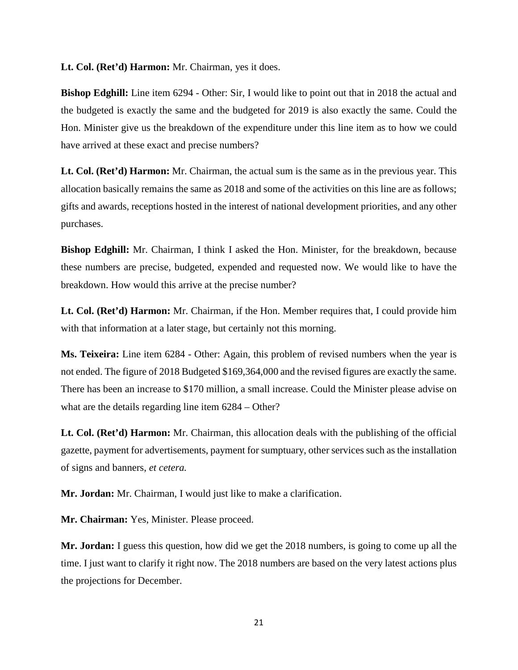**Lt. Col. (Ret'd) Harmon:** Mr. Chairman, yes it does.

**Bishop Edghill:** Line item 6294 - Other: Sir, I would like to point out that in 2018 the actual and the budgeted is exactly the same and the budgeted for 2019 is also exactly the same. Could the Hon. Minister give us the breakdown of the expenditure under this line item as to how we could have arrived at these exact and precise numbers?

**Lt. Col. (Ret'd) Harmon:** Mr. Chairman, the actual sum is the same as in the previous year. This allocation basically remains the same as 2018 and some of the activities on this line are as follows; gifts and awards, receptions hosted in the interest of national development priorities, and any other purchases.

**Bishop Edghill:** Mr. Chairman, I think I asked the Hon. Minister, for the breakdown, because these numbers are precise, budgeted, expended and requested now. We would like to have the breakdown. How would this arrive at the precise number?

**Lt. Col. (Ret'd) Harmon:** Mr. Chairman, if the Hon. Member requires that, I could provide him with that information at a later stage, but certainly not this morning.

**Ms. Teixeira:** Line item 6284 - Other: Again, this problem of revised numbers when the year is not ended. The figure of 2018 Budgeted \$169,364,000 and the revised figures are exactly the same. There has been an increase to \$170 million, a small increase. Could the Minister please advise on what are the details regarding line item 6284 – Other?

**Lt. Col. (Ret'd) Harmon:** Mr. Chairman, this allocation deals with the publishing of the official gazette, payment for advertisements, payment for sumptuary, other services such as the installation of signs and banners, *et cetera.* 

**Mr. Jordan:** Mr. Chairman, I would just like to make a clarification.

**Mr. Chairman:** Yes, Minister. Please proceed.

**Mr. Jordan:** I guess this question, how did we get the 2018 numbers, is going to come up all the time. I just want to clarify it right now. The 2018 numbers are based on the very latest actions plus the projections for December.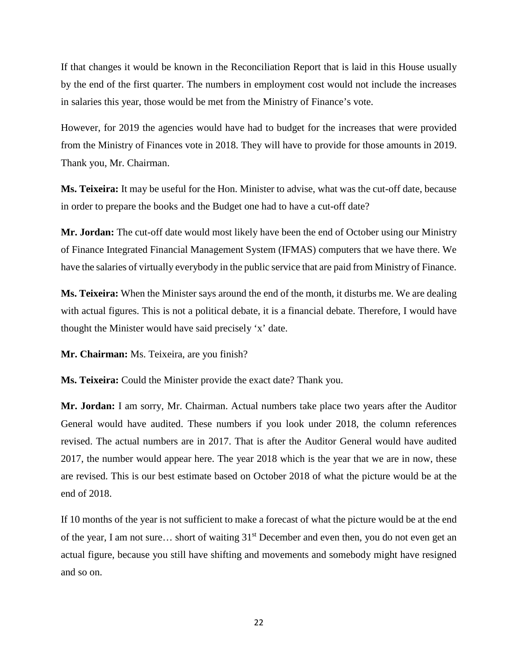If that changes it would be known in the Reconciliation Report that is laid in this House usually by the end of the first quarter. The numbers in employment cost would not include the increases in salaries this year, those would be met from the Ministry of Finance's vote.

However, for 2019 the agencies would have had to budget for the increases that were provided from the Ministry of Finances vote in 2018. They will have to provide for those amounts in 2019. Thank you, Mr. Chairman.

**Ms. Teixeira:** It may be useful for the Hon. Minister to advise, what was the cut-off date, because in order to prepare the books and the Budget one had to have a cut-off date?

**Mr. Jordan:** The cut-off date would most likely have been the end of October using our Ministry of Finance Integrated Financial Management System (IFMAS) computers that we have there. We have the salaries of virtually everybody in the public service that are paid from Ministry of Finance.

**Ms. Teixeira:** When the Minister says around the end of the month, it disturbs me. We are dealing with actual figures. This is not a political debate, it is a financial debate. Therefore, I would have thought the Minister would have said precisely 'x' date.

**Mr. Chairman:** Ms. Teixeira, are you finish?

**Ms. Teixeira:** Could the Minister provide the exact date? Thank you.

**Mr. Jordan:** I am sorry, Mr. Chairman. Actual numbers take place two years after the Auditor General would have audited. These numbers if you look under 2018, the column references revised. The actual numbers are in 2017. That is after the Auditor General would have audited 2017, the number would appear here. The year 2018 which is the year that we are in now, these are revised. This is our best estimate based on October 2018 of what the picture would be at the end of 2018.

If 10 months of the year is not sufficient to make a forecast of what the picture would be at the end of the year, I am not sure… short of waiting 31st December and even then, you do not even get an actual figure, because you still have shifting and movements and somebody might have resigned and so on.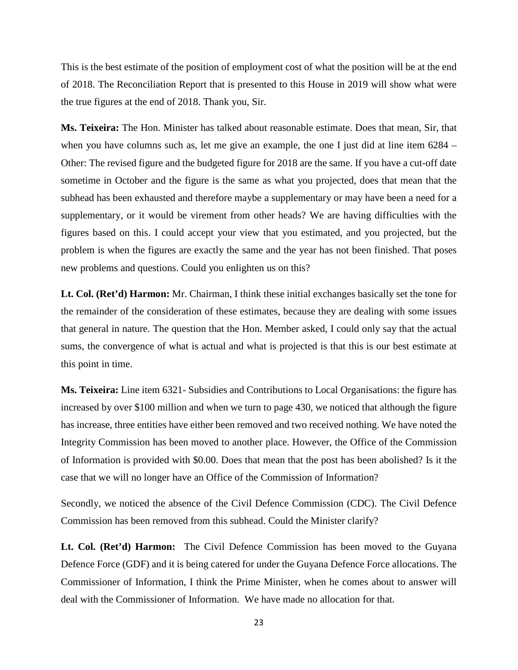This is the best estimate of the position of employment cost of what the position will be at the end of 2018. The Reconciliation Report that is presented to this House in 2019 will show what were the true figures at the end of 2018. Thank you, Sir.

**Ms. Teixeira:** The Hon. Minister has talked about reasonable estimate. Does that mean, Sir, that when you have columns such as, let me give an example, the one I just did at line item 6284 – Other: The revised figure and the budgeted figure for 2018 are the same. If you have a cut-off date sometime in October and the figure is the same as what you projected, does that mean that the subhead has been exhausted and therefore maybe a supplementary or may have been a need for a supplementary, or it would be virement from other heads? We are having difficulties with the figures based on this. I could accept your view that you estimated, and you projected, but the problem is when the figures are exactly the same and the year has not been finished. That poses new problems and questions. Could you enlighten us on this?

**Lt. Col. (Ret'd) Harmon:** Mr. Chairman, I think these initial exchanges basically set the tone for the remainder of the consideration of these estimates, because they are dealing with some issues that general in nature. The question that the Hon. Member asked, I could only say that the actual sums, the convergence of what is actual and what is projected is that this is our best estimate at this point in time.

**Ms. Teixeira:** Line item 6321- Subsidies and Contributions to Local Organisations: the figure has increased by over \$100 million and when we turn to page 430, we noticed that although the figure has increase, three entities have either been removed and two received nothing. We have noted the Integrity Commission has been moved to another place. However, the Office of the Commission of Information is provided with \$0.00. Does that mean that the post has been abolished? Is it the case that we will no longer have an Office of the Commission of Information?

Secondly, we noticed the absence of the Civil Defence Commission (CDC). The Civil Defence Commission has been removed from this subhead. Could the Minister clarify?

**Lt. Col. (Ret'd) Harmon:** The Civil Defence Commission has been moved to the Guyana Defence Force (GDF) and it is being catered for under the Guyana Defence Force allocations. The Commissioner of Information, I think the Prime Minister, when he comes about to answer will deal with the Commissioner of Information. We have made no allocation for that.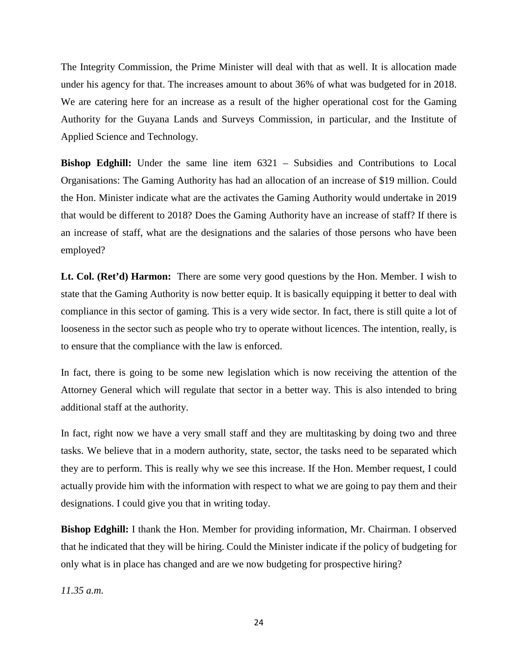The Integrity Commission, the Prime Minister will deal with that as well. It is allocation made under his agency for that. The increases amount to about 36% of what was budgeted for in 2018. We are catering here for an increase as a result of the higher operational cost for the Gaming Authority for the Guyana Lands and Surveys Commission, in particular, and the Institute of Applied Science and Technology.

**Bishop Edghill:** Under the same line item  $6321$  – Subsidies and Contributions to Local Organisations: The Gaming Authority has had an allocation of an increase of \$19 million. Could the Hon. Minister indicate what are the activates the Gaming Authority would undertake in 2019 that would be different to 2018? Does the Gaming Authority have an increase of staff? If there is an increase of staff, what are the designations and the salaries of those persons who have been employed?

**Lt. Col. (Ret'd) Harmon:** There are some very good questions by the Hon. Member. I wish to state that the Gaming Authority is now better equip. It is basically equipping it better to deal with compliance in this sector of gaming. This is a very wide sector. In fact, there is still quite a lot of looseness in the sector such as people who try to operate without licences. The intention, really, is to ensure that the compliance with the law is enforced.

In fact, there is going to be some new legislation which is now receiving the attention of the Attorney General which will regulate that sector in a better way. This is also intended to bring additional staff at the authority.

In fact, right now we have a very small staff and they are multitasking by doing two and three tasks. We believe that in a modern authority, state, sector, the tasks need to be separated which they are to perform. This is really why we see this increase. If the Hon. Member request, I could actually provide him with the information with respect to what we are going to pay them and their designations. I could give you that in writing today.

**Bishop Edghill:** I thank the Hon. Member for providing information, Mr. Chairman. I observed that he indicated that they will be hiring. Could the Minister indicate if the policy of budgeting for only what is in place has changed and are we now budgeting for prospective hiring?

*11.35 a.m.*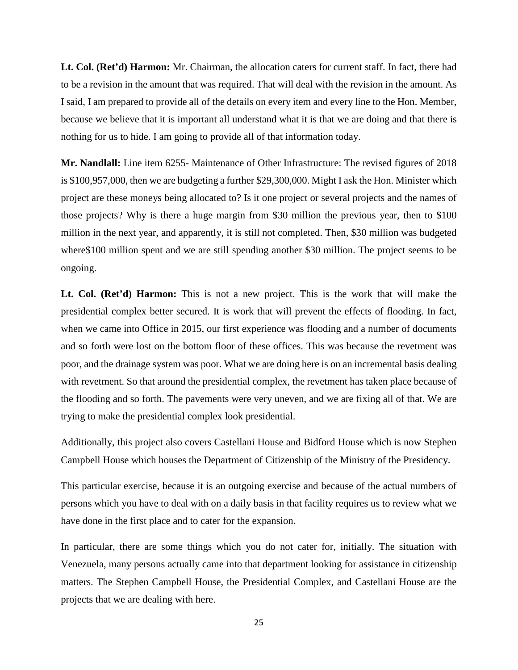**Lt. Col. (Ret'd) Harmon:** Mr. Chairman, the allocation caters for current staff. In fact, there had to be a revision in the amount that was required. That will deal with the revision in the amount. As I said, I am prepared to provide all of the details on every item and every line to the Hon. Member, because we believe that it is important all understand what it is that we are doing and that there is nothing for us to hide. I am going to provide all of that information today.

**Mr. Nandlall:** Line item 6255- Maintenance of Other Infrastructure: The revised figures of 2018 is \$100,957,000, then we are budgeting a further \$29,300,000. Might I ask the Hon. Minister which project are these moneys being allocated to? Is it one project or several projects and the names of those projects? Why is there a huge margin from \$30 million the previous year, then to \$100 million in the next year, and apparently, it is still not completed. Then, \$30 million was budgeted where\$100 million spent and we are still spending another \$30 million. The project seems to be ongoing.

**Lt. Col. (Ret'd) Harmon:** This is not a new project. This is the work that will make the presidential complex better secured. It is work that will prevent the effects of flooding. In fact, when we came into Office in 2015, our first experience was flooding and a number of documents and so forth were lost on the bottom floor of these offices. This was because the revetment was poor, and the drainage system was poor. What we are doing here is on an incremental basis dealing with revetment. So that around the presidential complex, the revetment has taken place because of the flooding and so forth. The pavements were very uneven, and we are fixing all of that. We are trying to make the presidential complex look presidential.

Additionally, this project also covers Castellani House and Bidford House which is now Stephen Campbell House which houses the Department of Citizenship of the Ministry of the Presidency.

This particular exercise, because it is an outgoing exercise and because of the actual numbers of persons which you have to deal with on a daily basis in that facility requires us to review what we have done in the first place and to cater for the expansion.

In particular, there are some things which you do not cater for, initially. The situation with Venezuela, many persons actually came into that department looking for assistance in citizenship matters. The Stephen Campbell House, the Presidential Complex, and Castellani House are the projects that we are dealing with here.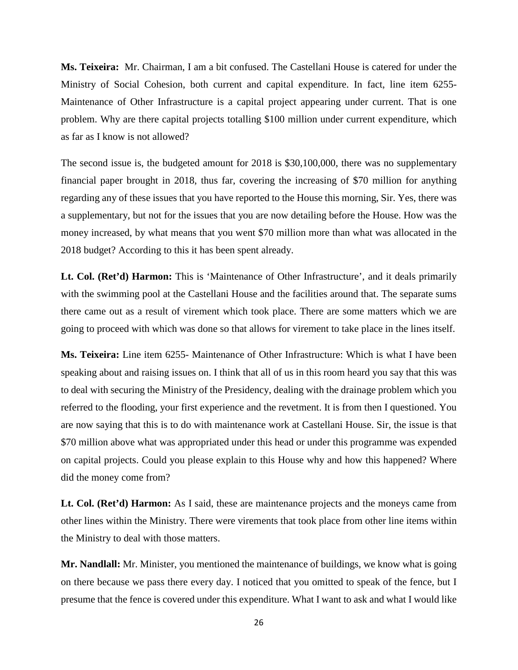**Ms. Teixeira:** Mr. Chairman, I am a bit confused. The Castellani House is catered for under the Ministry of Social Cohesion, both current and capital expenditure. In fact, line item 6255- Maintenance of Other Infrastructure is a capital project appearing under current. That is one problem. Why are there capital projects totalling \$100 million under current expenditure, which as far as I know is not allowed?

The second issue is, the budgeted amount for 2018 is \$30,100,000, there was no supplementary financial paper brought in 2018, thus far, covering the increasing of \$70 million for anything regarding any of these issues that you have reported to the House this morning, Sir. Yes, there was a supplementary, but not for the issues that you are now detailing before the House. How was the money increased, by what means that you went \$70 million more than what was allocated in the 2018 budget? According to this it has been spent already.

**Lt. Col. (Ret'd) Harmon:** This is 'Maintenance of Other Infrastructure', and it deals primarily with the swimming pool at the Castellani House and the facilities around that. The separate sums there came out as a result of virement which took place. There are some matters which we are going to proceed with which was done so that allows for virement to take place in the lines itself.

**Ms. Teixeira:** Line item 6255- Maintenance of Other Infrastructure: Which is what I have been speaking about and raising issues on. I think that all of us in this room heard you say that this was to deal with securing the Ministry of the Presidency, dealing with the drainage problem which you referred to the flooding, your first experience and the revetment. It is from then I questioned. You are now saying that this is to do with maintenance work at Castellani House. Sir, the issue is that \$70 million above what was appropriated under this head or under this programme was expended on capital projects. Could you please explain to this House why and how this happened? Where did the money come from?

**Lt. Col. (Ret'd) Harmon:** As I said, these are maintenance projects and the moneys came from other lines within the Ministry. There were virements that took place from other line items within the Ministry to deal with those matters.

**Mr. Nandlall:** Mr. Minister, you mentioned the maintenance of buildings, we know what is going on there because we pass there every day. I noticed that you omitted to speak of the fence, but I presume that the fence is covered under this expenditure. What I want to ask and what I would like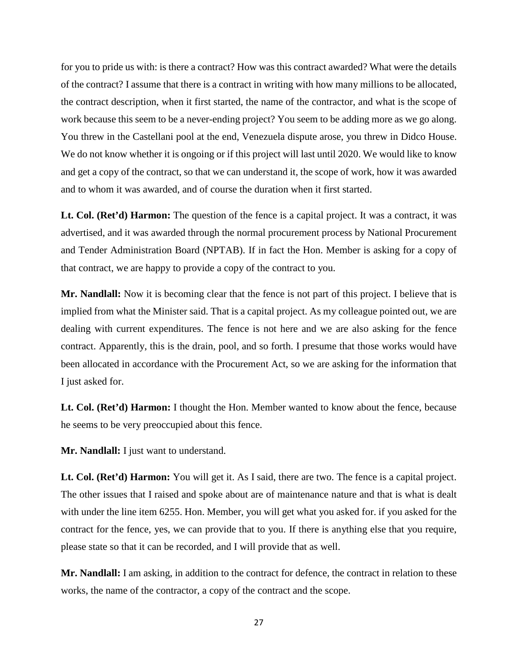for you to pride us with: is there a contract? How was this contract awarded? What were the details of the contract? I assume that there is a contract in writing with how many millions to be allocated, the contract description, when it first started, the name of the contractor, and what is the scope of work because this seem to be a never-ending project? You seem to be adding more as we go along. You threw in the Castellani pool at the end, Venezuela dispute arose, you threw in Didco House. We do not know whether it is ongoing or if this project will last until 2020. We would like to know and get a copy of the contract, so that we can understand it, the scope of work, how it was awarded and to whom it was awarded, and of course the duration when it first started.

Lt. Col. (Ret'd) Harmon: The question of the fence is a capital project. It was a contract, it was advertised, and it was awarded through the normal procurement process by National Procurement and Tender Administration Board (NPTAB). If in fact the Hon. Member is asking for a copy of that contract, we are happy to provide a copy of the contract to you.

**Mr. Nandlall:** Now it is becoming clear that the fence is not part of this project. I believe that is implied from what the Minister said. That is a capital project. As my colleague pointed out, we are dealing with current expenditures. The fence is not here and we are also asking for the fence contract. Apparently, this is the drain, pool, and so forth. I presume that those works would have been allocated in accordance with the Procurement Act, so we are asking for the information that I just asked for.

Lt. Col. (Ret'd) Harmon: I thought the Hon. Member wanted to know about the fence, because he seems to be very preoccupied about this fence.

**Mr. Nandlall:** I just want to understand.

**Lt. Col. (Ret'd) Harmon:** You will get it. As I said, there are two. The fence is a capital project. The other issues that I raised and spoke about are of maintenance nature and that is what is dealt with under the line item 6255. Hon. Member, you will get what you asked for. if you asked for the contract for the fence, yes, we can provide that to you. If there is anything else that you require, please state so that it can be recorded, and I will provide that as well.

**Mr. Nandlall:** I am asking, in addition to the contract for defence, the contract in relation to these works, the name of the contractor, a copy of the contract and the scope.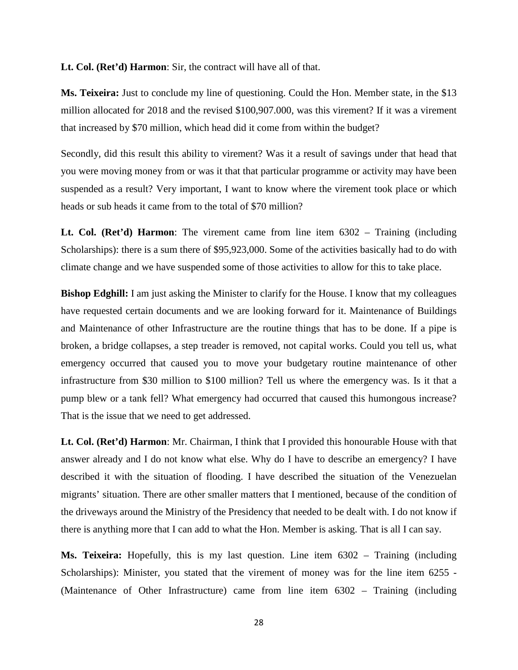**Lt. Col. (Ret'd) Harmon**: Sir, the contract will have all of that.

**Ms. Teixeira:** Just to conclude my line of questioning. Could the Hon. Member state, in the \$13 million allocated for 2018 and the revised \$100,907.000, was this virement? If it was a virement that increased by \$70 million, which head did it come from within the budget?

Secondly, did this result this ability to virement? Was it a result of savings under that head that you were moving money from or was it that that particular programme or activity may have been suspended as a result? Very important, I want to know where the virement took place or which heads or sub heads it came from to the total of \$70 million?

**Lt. Col. (Ret'd) Harmon**: The virement came from line item 6302 – Training (including Scholarships): there is a sum there of \$95,923,000. Some of the activities basically had to do with climate change and we have suspended some of those activities to allow for this to take place.

**Bishop Edghill:** I am just asking the Minister to clarify for the House. I know that my colleagues have requested certain documents and we are looking forward for it. Maintenance of Buildings and Maintenance of other Infrastructure are the routine things that has to be done. If a pipe is broken, a bridge collapses, a step treader is removed, not capital works. Could you tell us, what emergency occurred that caused you to move your budgetary routine maintenance of other infrastructure from \$30 million to \$100 million? Tell us where the emergency was. Is it that a pump blew or a tank fell? What emergency had occurred that caused this humongous increase? That is the issue that we need to get addressed.

**Lt. Col. (Ret'd) Harmon**: Mr. Chairman, I think that I provided this honourable House with that answer already and I do not know what else. Why do I have to describe an emergency? I have described it with the situation of flooding. I have described the situation of the Venezuelan migrants' situation. There are other smaller matters that I mentioned, because of the condition of the driveways around the Ministry of the Presidency that needed to be dealt with. I do not know if there is anything more that I can add to what the Hon. Member is asking. That is all I can say.

**Ms. Teixeira:** Hopefully, this is my last question. Line item 6302 – Training (including Scholarships): Minister, you stated that the virement of money was for the line item 6255 - (Maintenance of Other Infrastructure) came from line item 6302 – Training (including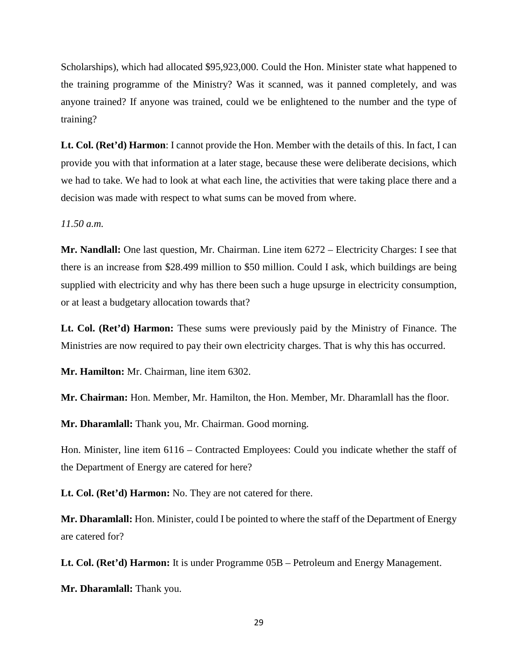Scholarships), which had allocated \$95,923,000. Could the Hon. Minister state what happened to the training programme of the Ministry? Was it scanned, was it panned completely, and was anyone trained? If anyone was trained, could we be enlightened to the number and the type of training?

**Lt. Col. (Ret'd) Harmon**: I cannot provide the Hon. Member with the details of this. In fact, I can provide you with that information at a later stage, because these were deliberate decisions, which we had to take. We had to look at what each line, the activities that were taking place there and a decision was made with respect to what sums can be moved from where.

*11.50 a.m.* 

**Mr. Nandlall:** One last question, Mr. Chairman. Line item 6272 – Electricity Charges: I see that there is an increase from \$28.499 million to \$50 million. Could I ask, which buildings are being supplied with electricity and why has there been such a huge upsurge in electricity consumption, or at least a budgetary allocation towards that?

**Lt. Col. (Ret'd) Harmon:** These sums were previously paid by the Ministry of Finance. The Ministries are now required to pay their own electricity charges. That is why this has occurred.

**Mr. Hamilton:** Mr. Chairman, line item 6302.

**Mr. Chairman:** Hon. Member, Mr. Hamilton, the Hon. Member, Mr. Dharamlall has the floor.

**Mr. Dharamlall:** Thank you, Mr. Chairman. Good morning.

Hon. Minister, line item 6116 – Contracted Employees: Could you indicate whether the staff of the Department of Energy are catered for here?

**Lt. Col. (Ret'd) Harmon:** No. They are not catered for there.

**Mr. Dharamlall:** Hon. Minister, could I be pointed to where the staff of the Department of Energy are catered for?

**Lt. Col. (Ret'd) Harmon:** It is under Programme 05B – Petroleum and Energy Management.

**Mr. Dharamlall:** Thank you.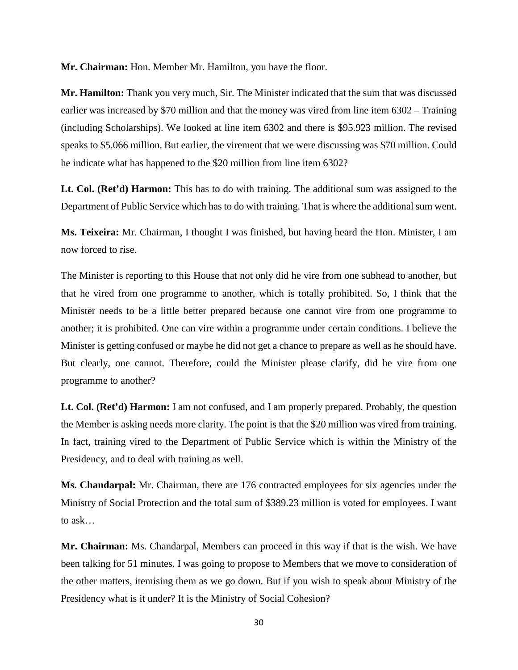**Mr. Chairman:** Hon. Member Mr. Hamilton, you have the floor.

**Mr. Hamilton:** Thank you very much, Sir. The Minister indicated that the sum that was discussed earlier was increased by \$70 million and that the money was vired from line item 6302 – Training (including Scholarships). We looked at line item 6302 and there is \$95.923 million. The revised speaks to \$5.066 million. But earlier, the virement that we were discussing was \$70 million. Could he indicate what has happened to the \$20 million from line item 6302?

**Lt. Col. (Ret'd) Harmon:** This has to do with training. The additional sum was assigned to the Department of Public Service which has to do with training. That is where the additional sum went.

**Ms. Teixeira:** Mr. Chairman, I thought I was finished, but having heard the Hon. Minister, I am now forced to rise.

The Minister is reporting to this House that not only did he vire from one subhead to another, but that he vired from one programme to another, which is totally prohibited. So, I think that the Minister needs to be a little better prepared because one cannot vire from one programme to another; it is prohibited. One can vire within a programme under certain conditions. I believe the Minister is getting confused or maybe he did not get a chance to prepare as well as he should have. But clearly, one cannot. Therefore, could the Minister please clarify, did he vire from one programme to another?

**Lt. Col. (Ret'd) Harmon:** I am not confused, and I am properly prepared. Probably, the question the Member is asking needs more clarity. The point is that the \$20 million was vired from training. In fact, training vired to the Department of Public Service which is within the Ministry of the Presidency, and to deal with training as well.

**Ms. Chandarpal:** Mr. Chairman, there are 176 contracted employees for six agencies under the Ministry of Social Protection and the total sum of \$389.23 million is voted for employees. I want to ask…

**Mr. Chairman:** Ms. Chandarpal, Members can proceed in this way if that is the wish. We have been talking for 51 minutes. I was going to propose to Members that we move to consideration of the other matters, itemising them as we go down. But if you wish to speak about Ministry of the Presidency what is it under? It is the Ministry of Social Cohesion?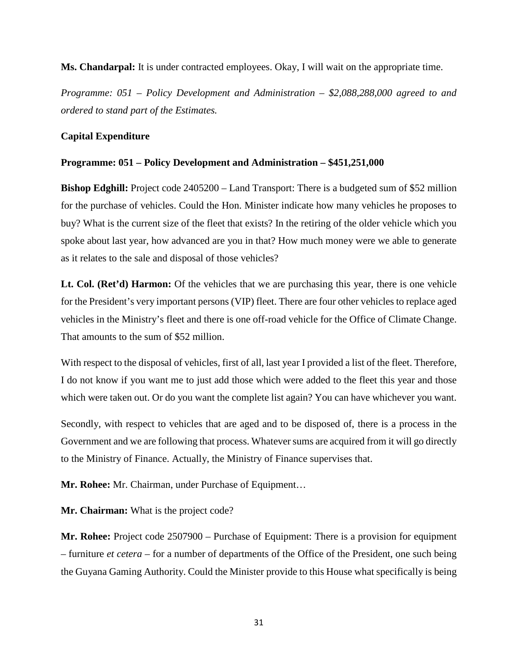**Ms. Chandarpal:** It is under contracted employees. Okay, I will wait on the appropriate time.

*Programme: 051 – Policy Development and Administration – \$2,088,288,000 agreed to and ordered to stand part of the Estimates.* 

# **Capital Expenditure**

# **Programme: 051 – Policy Development and Administration – \$451,251,000**

**Bishop Edghill:** Project code 2405200 – Land Transport: There is a budgeted sum of \$52 million for the purchase of vehicles. Could the Hon. Minister indicate how many vehicles he proposes to buy? What is the current size of the fleet that exists? In the retiring of the older vehicle which you spoke about last year, how advanced are you in that? How much money were we able to generate as it relates to the sale and disposal of those vehicles?

Lt. Col. (Ret'd) Harmon: Of the vehicles that we are purchasing this year, there is one vehicle for the President's very important persons (VIP) fleet. There are four other vehicles to replace aged vehicles in the Ministry's fleet and there is one off-road vehicle for the Office of Climate Change. That amounts to the sum of \$52 million.

With respect to the disposal of vehicles, first of all, last year I provided a list of the fleet. Therefore, I do not know if you want me to just add those which were added to the fleet this year and those which were taken out. Or do you want the complete list again? You can have whichever you want.

Secondly, with respect to vehicles that are aged and to be disposed of, there is a process in the Government and we are following that process. Whatever sums are acquired from it will go directly to the Ministry of Finance. Actually, the Ministry of Finance supervises that.

**Mr. Rohee:** Mr. Chairman, under Purchase of Equipment…

**Mr. Chairman:** What is the project code?

**Mr. Rohee:** Project code 2507900 – Purchase of Equipment: There is a provision for equipment – furniture *et cetera* – for a number of departments of the Office of the President, one such being the Guyana Gaming Authority. Could the Minister provide to this House what specifically is being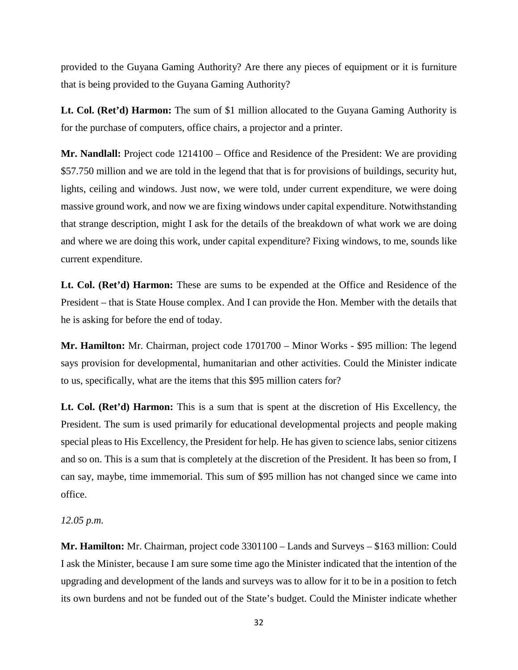provided to the Guyana Gaming Authority? Are there any pieces of equipment or it is furniture that is being provided to the Guyana Gaming Authority?

**Lt. Col. (Ret'd) Harmon:** The sum of \$1 million allocated to the Guyana Gaming Authority is for the purchase of computers, office chairs, a projector and a printer.

**Mr. Nandlall:** Project code 1214100 – Office and Residence of the President: We are providing \$57.750 million and we are told in the legend that that is for provisions of buildings, security hut, lights, ceiling and windows. Just now, we were told, under current expenditure, we were doing massive ground work, and now we are fixing windows under capital expenditure. Notwithstanding that strange description, might I ask for the details of the breakdown of what work we are doing and where we are doing this work, under capital expenditure? Fixing windows, to me, sounds like current expenditure.

**Lt. Col. (Ret'd) Harmon:** These are sums to be expended at the Office and Residence of the President – that is State House complex. And I can provide the Hon. Member with the details that he is asking for before the end of today.

**Mr. Hamilton:** Mr. Chairman, project code 1701700 – Minor Works - \$95 million: The legend says provision for developmental, humanitarian and other activities. Could the Minister indicate to us, specifically, what are the items that this \$95 million caters for?

**Lt. Col. (Ret'd) Harmon:** This is a sum that is spent at the discretion of His Excellency, the President. The sum is used primarily for educational developmental projects and people making special pleas to His Excellency, the President for help. He has given to science labs, senior citizens and so on. This is a sum that is completely at the discretion of the President. It has been so from, I can say, maybe, time immemorial. This sum of \$95 million has not changed since we came into office.

*12.05 p.m.*

**Mr. Hamilton:** Mr. Chairman, project code 3301100 – Lands and Surveys – \$163 million: Could I ask the Minister, because I am sure some time ago the Minister indicated that the intention of the upgrading and development of the lands and surveys was to allow for it to be in a position to fetch its own burdens and not be funded out of the State's budget. Could the Minister indicate whether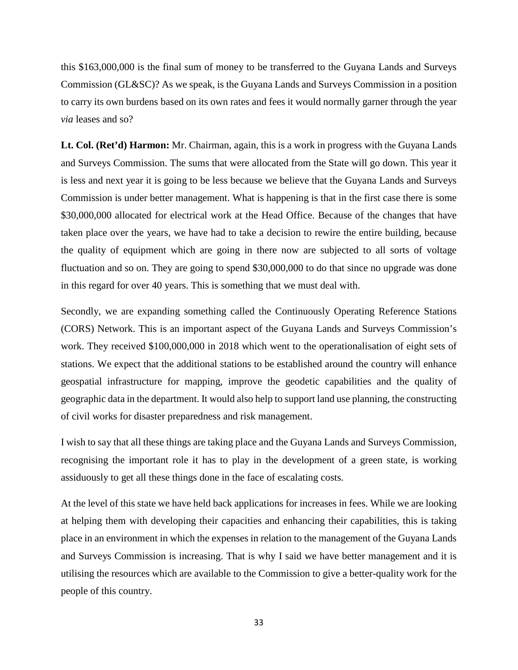this \$163,000,000 is the final sum of money to be transferred to the Guyana Lands and Surveys Commission (GL&SC)? As we speak, is the Guyana Lands and Surveys Commission in a position to carry its own burdens based on its own rates and fees it would normally garner through the year *via* leases and so?

**Lt. Col. (Ret'd) Harmon:** Mr. Chairman, again, this is a work in progress with the Guyana Lands and Surveys Commission. The sums that were allocated from the State will go down. This year it is less and next year it is going to be less because we believe that the Guyana Lands and Surveys Commission is under better management. What is happening is that in the first case there is some \$30,000,000 allocated for electrical work at the Head Office. Because of the changes that have taken place over the years, we have had to take a decision to rewire the entire building, because the quality of equipment which are going in there now are subjected to all sorts of voltage fluctuation and so on. They are going to spend \$30,000,000 to do that since no upgrade was done in this regard for over 40 years. This is something that we must deal with.

Secondly, we are expanding something called the Continuously Operating Reference Stations (CORS) Network. This is an important aspect of the Guyana Lands and Surveys Commission's work. They received \$100,000,000 in 2018 which went to the operationalisation of eight sets of stations. We expect that the additional stations to be established around the country will enhance geospatial infrastructure for mapping, improve the geodetic capabilities and the quality of geographic data in the department. It would also help to support land use planning, the constructing of civil works for disaster preparedness and risk management.

I wish to say that all these things are taking place and the Guyana Lands and Surveys Commission, recognising the important role it has to play in the development of a green state, is working assiduously to get all these things done in the face of escalating costs.

At the level of this state we have held back applications for increases in fees. While we are looking at helping them with developing their capacities and enhancing their capabilities, this is taking place in an environment in which the expenses in relation to the management of the Guyana Lands and Surveys Commission is increasing. That is why I said we have better management and it is utilising the resources which are available to the Commission to give a better-quality work for the people of this country.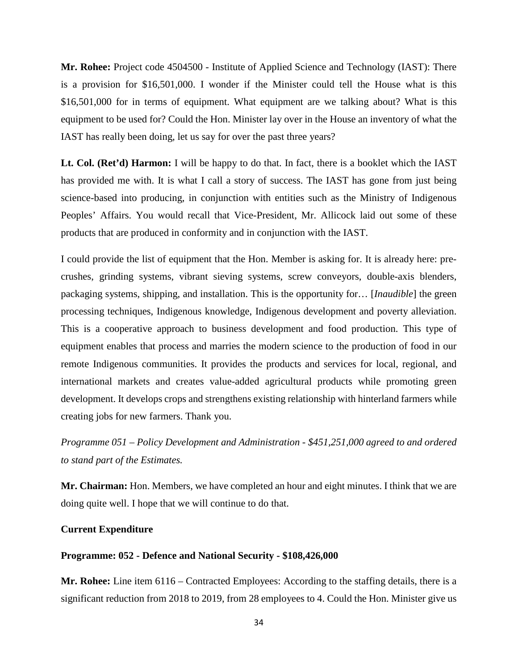**Mr. Rohee:** Project code 4504500 - Institute of Applied Science and Technology (IAST): There is a provision for \$16,501,000. I wonder if the Minister could tell the House what is this \$16,501,000 for in terms of equipment. What equipment are we talking about? What is this equipment to be used for? Could the Hon. Minister lay over in the House an inventory of what the IAST has really been doing, let us say for over the past three years?

**Lt. Col. (Ret'd) Harmon:** I will be happy to do that. In fact, there is a booklet which the IAST has provided me with. It is what I call a story of success. The IAST has gone from just being science-based into producing, in conjunction with entities such as the Ministry of Indigenous Peoples' Affairs. You would recall that Vice-President, Mr. Allicock laid out some of these products that are produced in conformity and in conjunction with the IAST.

I could provide the list of equipment that the Hon. Member is asking for. It is already here: precrushes, grinding systems, vibrant sieving systems, screw conveyors, double-axis blenders, packaging systems, shipping, and installation. This is the opportunity for… [*Inaudible*] the green processing techniques, Indigenous knowledge, Indigenous development and poverty alleviation. This is a cooperative approach to business development and food production. This type of equipment enables that process and marries the modern science to the production of food in our remote Indigenous communities. It provides the products and services for local, regional, and international markets and creates value-added agricultural products while promoting green development. It develops crops and strengthens existing relationship with hinterland farmers while creating jobs for new farmers. Thank you.

*Programme 051 – Policy Development and Administration - \$451,251,000 agreed to and ordered to stand part of the Estimates.*

**Mr. Chairman:** Hon. Members, we have completed an hour and eight minutes. I think that we are doing quite well. I hope that we will continue to do that.

#### **Current Expenditure**

#### **Programme: 052 - Defence and National Security - \$108,426,000**

**Mr. Rohee:** Line item 6116 – Contracted Employees: According to the staffing details, there is a significant reduction from 2018 to 2019, from 28 employees to 4. Could the Hon. Minister give us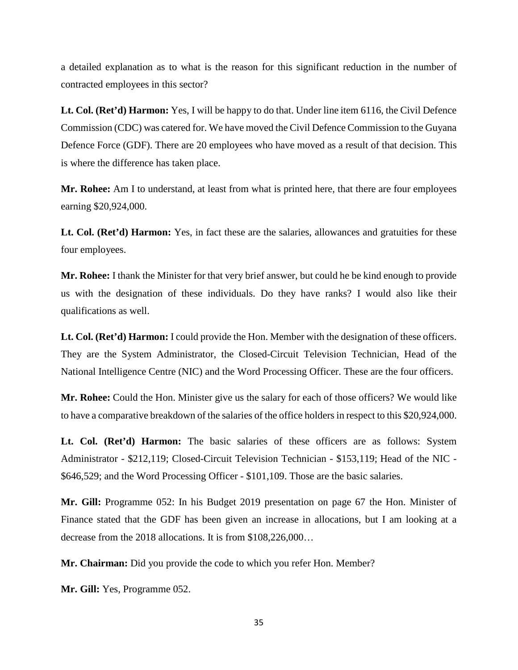a detailed explanation as to what is the reason for this significant reduction in the number of contracted employees in this sector?

**Lt. Col. (Ret'd) Harmon:** Yes, I will be happy to do that. Under line item 6116, the Civil Defence Commission (CDC) was catered for. We have moved the Civil Defence Commission to the Guyana Defence Force (GDF). There are 20 employees who have moved as a result of that decision. This is where the difference has taken place.

**Mr. Rohee:** Am I to understand, at least from what is printed here, that there are four employees earning \$20,924,000.

Lt. Col. (Ret'd) Harmon: Yes, in fact these are the salaries, allowances and gratuities for these four employees.

**Mr. Rohee:** I thank the Minister for that very brief answer, but could he be kind enough to provide us with the designation of these individuals. Do they have ranks? I would also like their qualifications as well.

**Lt. Col. (Ret'd) Harmon:** I could provide the Hon. Member with the designation of these officers. They are the System Administrator, the Closed-Circuit Television Technician, Head of the National Intelligence Centre (NIC) and the Word Processing Officer. These are the four officers.

**Mr. Rohee:** Could the Hon. Minister give us the salary for each of those officers? We would like to have a comparative breakdown of the salaries of the office holders in respect to this \$20,924,000.

**Lt. Col. (Ret'd) Harmon:** The basic salaries of these officers are as follows: System Administrator - \$212,119; Closed-Circuit Television Technician - \$153,119; Head of the NIC - \$646,529; and the Word Processing Officer - \$101,109. Those are the basic salaries.

**Mr. Gill:** Programme 052: In his Budget 2019 presentation on page 67 the Hon. Minister of Finance stated that the GDF has been given an increase in allocations, but I am looking at a decrease from the 2018 allocations. It is from \$108,226,000…

**Mr. Chairman:** Did you provide the code to which you refer Hon. Member?

**Mr. Gill:** Yes, Programme 052.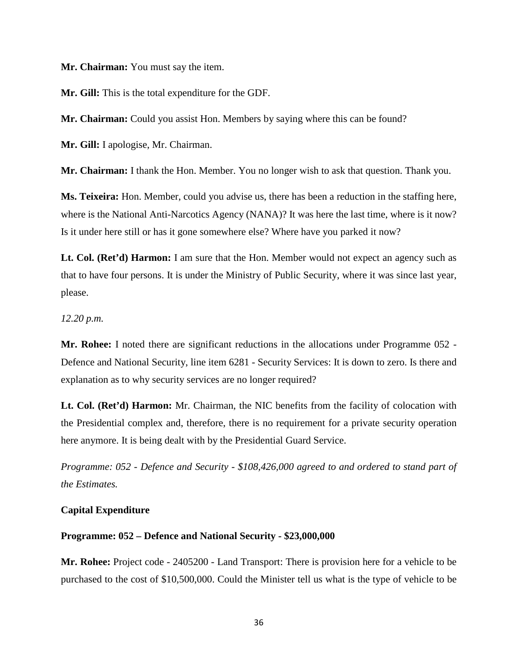**Mr. Chairman:** You must say the item.

**Mr. Gill:** This is the total expenditure for the GDF.

**Mr. Chairman:** Could you assist Hon. Members by saying where this can be found?

**Mr. Gill:** I apologise, Mr. Chairman.

**Mr. Chairman:** I thank the Hon. Member. You no longer wish to ask that question. Thank you.

**Ms. Teixeira:** Hon. Member, could you advise us, there has been a reduction in the staffing here, where is the National Anti-Narcotics Agency (NANA)? It was here the last time, where is it now? Is it under here still or has it gone somewhere else? Where have you parked it now?

Lt. Col. (Ret'd) Harmon: I am sure that the Hon. Member would not expect an agency such as that to have four persons. It is under the Ministry of Public Security, where it was since last year, please.

*12.20 p.m.*

**Mr. Rohee:** I noted there are significant reductions in the allocations under Programme 052 - Defence and National Security, line item 6281 - Security Services: It is down to zero. Is there and explanation as to why security services are no longer required?

**Lt. Col. (Ret'd) Harmon:** Mr. Chairman, the NIC benefits from the facility of colocation with the Presidential complex and, therefore, there is no requirement for a private security operation here anymore. It is being dealt with by the Presidential Guard Service.

*Programme: 052 - Defence and Security - \$108,426,000 agreed to and ordered to stand part of the Estimates.* 

#### **Capital Expenditure**

#### **Programme: 052 – Defence and National Security - \$23,000,000**

**Mr. Rohee:** Project code - 2405200 - Land Transport: There is provision here for a vehicle to be purchased to the cost of \$10,500,000. Could the Minister tell us what is the type of vehicle to be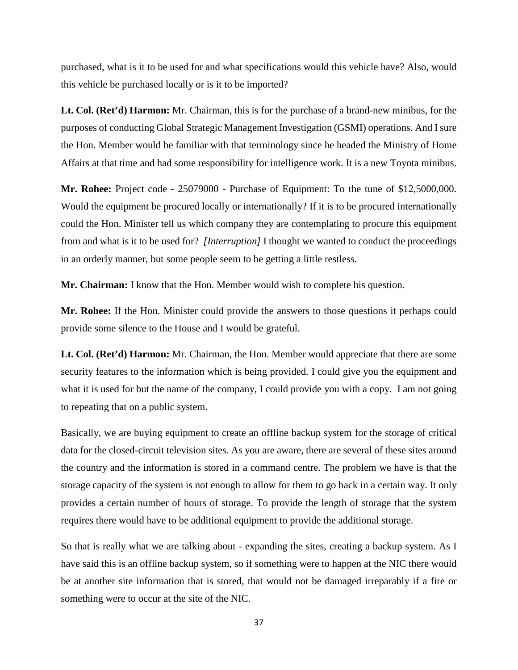purchased, what is it to be used for and what specifications would this vehicle have? Also, would this vehicle be purchased locally or is it to be imported?

**Lt. Col. (Ret'd) Harmon:** Mr. Chairman, this is for the purchase of a brand-new minibus, for the purposes of conducting Global Strategic Management Investigation (GSMI) operations. And I sure the Hon. Member would be familiar with that terminology since he headed the Ministry of Home Affairs at that time and had some responsibility for intelligence work. It is a new Toyota minibus.

**Mr. Rohee:** Project code - 25079000 - Purchase of Equipment: To the tune of \$12,5000,000. Would the equipment be procured locally or internationally? If it is to be procured internationally could the Hon. Minister tell us which company they are contemplating to procure this equipment from and what is it to be used for? *[Interruption]* I thought we wanted to conduct the proceedings in an orderly manner, but some people seem to be getting a little restless.

**Mr. Chairman:** I know that the Hon. Member would wish to complete his question.

**Mr. Rohee:** If the Hon. Minister could provide the answers to those questions it perhaps could provide some silence to the House and I would be grateful.

**Lt. Col. (Ret'd) Harmon:** Mr. Chairman, the Hon. Member would appreciate that there are some security features to the information which is being provided. I could give you the equipment and what it is used for but the name of the company, I could provide you with a copy. I am not going to repeating that on a public system.

Basically, we are buying equipment to create an offline backup system for the storage of critical data for the closed-circuit television sites. As you are aware, there are several of these sites around the country and the information is stored in a command centre. The problem we have is that the storage capacity of the system is not enough to allow for them to go back in a certain way. It only provides a certain number of hours of storage. To provide the length of storage that the system requires there would have to be additional equipment to provide the additional storage.

So that is really what we are talking about - expanding the sites, creating a backup system. As I have said this is an offline backup system, so if something were to happen at the NIC there would be at another site information that is stored, that would not be damaged irreparably if a fire or something were to occur at the site of the NIC.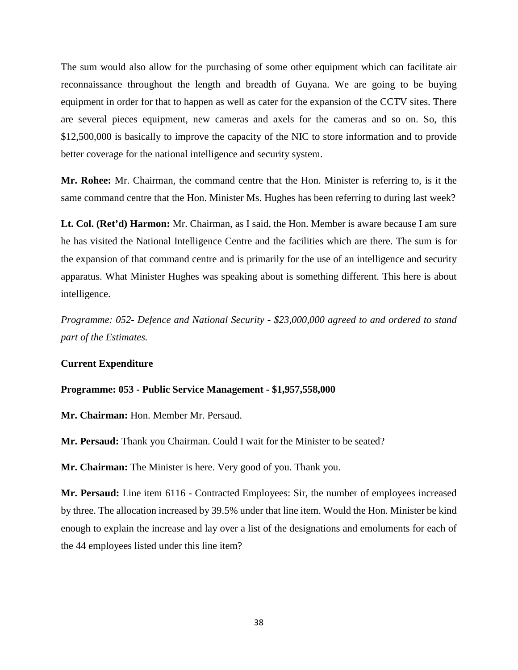The sum would also allow for the purchasing of some other equipment which can facilitate air reconnaissance throughout the length and breadth of Guyana. We are going to be buying equipment in order for that to happen as well as cater for the expansion of the CCTV sites. There are several pieces equipment, new cameras and axels for the cameras and so on. So, this \$12,500,000 is basically to improve the capacity of the NIC to store information and to provide better coverage for the national intelligence and security system.

**Mr. Rohee:** Mr. Chairman, the command centre that the Hon. Minister is referring to, is it the same command centre that the Hon. Minister Ms. Hughes has been referring to during last week?

**Lt. Col. (Ret'd) Harmon:** Mr. Chairman, as I said, the Hon. Member is aware because I am sure he has visited the National Intelligence Centre and the facilities which are there. The sum is for the expansion of that command centre and is primarily for the use of an intelligence and security apparatus. What Minister Hughes was speaking about is something different. This here is about intelligence.

*Programme: 052- Defence and National Security - \$23,000,000 agreed to and ordered to stand part of the Estimates.* 

## **Current Expenditure**

#### **Programme: 053 - Public Service Management - \$1,957,558,000**

**Mr. Chairman:** Hon. Member Mr. Persaud.

**Mr. Persaud:** Thank you Chairman. Could I wait for the Minister to be seated?

**Mr. Chairman:** The Minister is here. Very good of you. Thank you.

**Mr. Persaud:** Line item 6116 - Contracted Employees: Sir, the number of employees increased by three. The allocation increased by 39.5% under that line item. Would the Hon. Minister be kind enough to explain the increase and lay over a list of the designations and emoluments for each of the 44 employees listed under this line item?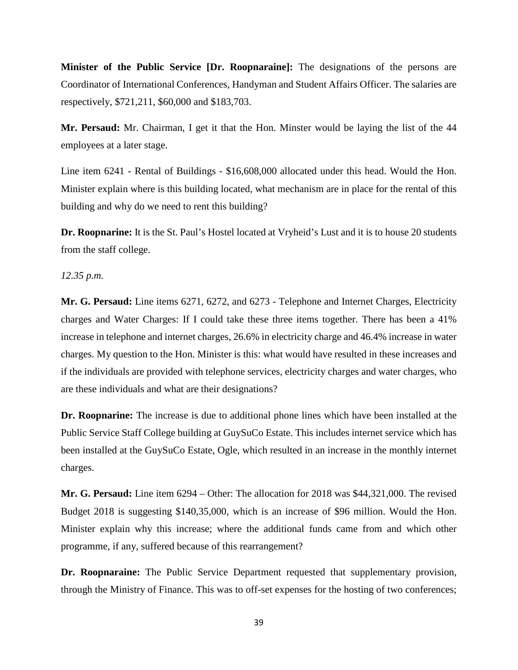**Minister of the Public Service [Dr. Roopnaraine]:** The designations of the persons are Coordinator of International Conferences, Handyman and Student Affairs Officer. The salaries are respectively, \$721,211, \$60,000 and \$183,703.

**Mr. Persaud:** Mr. Chairman, I get it that the Hon. Minster would be laying the list of the 44 employees at a later stage.

Line item 6241 - Rental of Buildings - \$16,608,000 allocated under this head. Would the Hon. Minister explain where is this building located, what mechanism are in place for the rental of this building and why do we need to rent this building?

**Dr. Roopnarine:** It is the St. Paul's Hostel located at Vryheid's Lust and it is to house 20 students from the staff college.

*12.35 p.m.*

**Mr. G. Persaud:** Line items 6271, 6272, and 6273 - Telephone and Internet Charges, Electricity charges and Water Charges: If I could take these three items together. There has been a 41% increase in telephone and internet charges, 26.6% in electricity charge and 46.4% increase in water charges. My question to the Hon. Minister is this: what would have resulted in these increases and if the individuals are provided with telephone services, electricity charges and water charges, who are these individuals and what are their designations?

**Dr. Roopnarine:** The increase is due to additional phone lines which have been installed at the Public Service Staff College building at GuySuCo Estate. This includes internet service which has been installed at the GuySuCo Estate, Ogle, which resulted in an increase in the monthly internet charges.

**Mr. G. Persaud:** Line item 6294 – Other: The allocation for 2018 was \$44,321,000. The revised Budget 2018 is suggesting \$140,35,000, which is an increase of \$96 million. Would the Hon. Minister explain why this increase; where the additional funds came from and which other programme, if any, suffered because of this rearrangement?

**Dr. Roopnaraine:** The Public Service Department requested that supplementary provision, through the Ministry of Finance. This was to off-set expenses for the hosting of two conferences;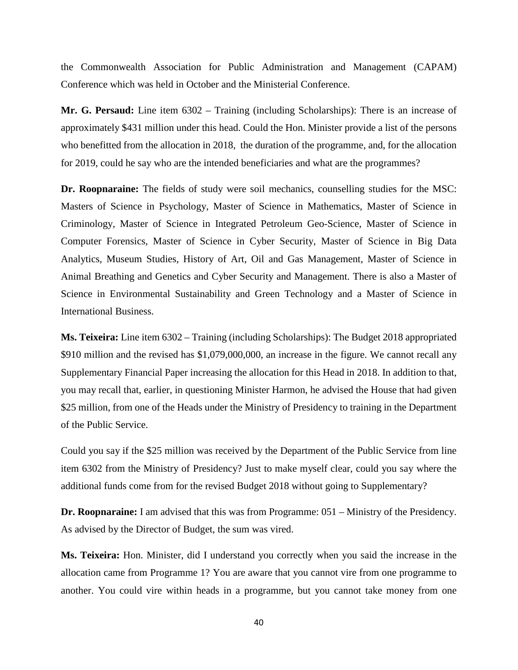the Commonwealth Association for Public Administration and Management (CAPAM) Conference which was held in October and the Ministerial Conference.

**Mr. G. Persaud:** Line item 6302 – Training (including Scholarships): There is an increase of approximately \$431 million under this head. Could the Hon. Minister provide a list of the persons who benefitted from the allocation in 2018, the duration of the programme, and, for the allocation for 2019, could he say who are the intended beneficiaries and what are the programmes?

**Dr. Roopnaraine:** The fields of study were soil mechanics, counselling studies for the MSC: Masters of Science in Psychology, Master of Science in Mathematics, Master of Science in Criminology, Master of Science in Integrated Petroleum Geo-Science, Master of Science in Computer Forensics, Master of Science in Cyber Security, Master of Science in Big Data Analytics, Museum Studies, History of Art, Oil and Gas Management, Master of Science in Animal Breathing and Genetics and Cyber Security and Management. There is also a Master of Science in Environmental Sustainability and Green Technology and a Master of Science in International Business.

**Ms. Teixeira:** Line item 6302 – Training (including Scholarships): The Budget 2018 appropriated \$910 million and the revised has \$1,079,000,000, an increase in the figure. We cannot recall any Supplementary Financial Paper increasing the allocation for this Head in 2018. In addition to that, you may recall that, earlier, in questioning Minister Harmon, he advised the House that had given \$25 million, from one of the Heads under the Ministry of Presidency to training in the Department of the Public Service.

Could you say if the \$25 million was received by the Department of the Public Service from line item 6302 from the Ministry of Presidency? Just to make myself clear, could you say where the additional funds come from for the revised Budget 2018 without going to Supplementary?

**Dr. Roopnaraine:** I am advised that this was from Programme: 051 – Ministry of the Presidency. As advised by the Director of Budget, the sum was vired.

**Ms. Teixeira:** Hon. Minister, did I understand you correctly when you said the increase in the allocation came from Programme 1? You are aware that you cannot vire from one programme to another. You could vire within heads in a programme, but you cannot take money from one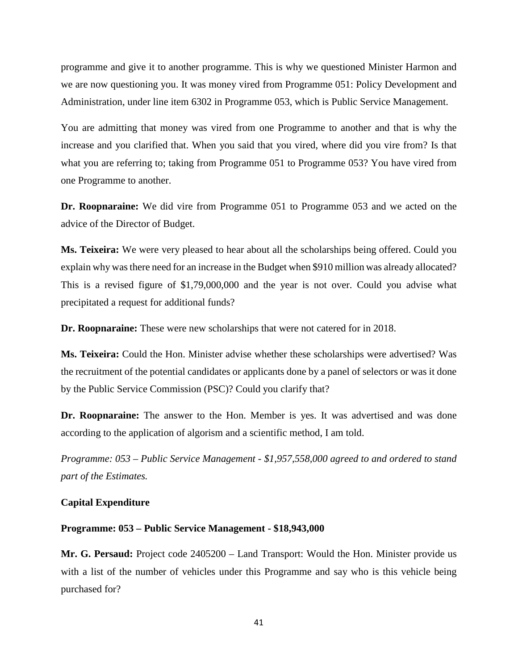programme and give it to another programme. This is why we questioned Minister Harmon and we are now questioning you. It was money vired from Programme 051: Policy Development and Administration, under line item 6302 in Programme 053, which is Public Service Management.

You are admitting that money was vired from one Programme to another and that is why the increase and you clarified that. When you said that you vired, where did you vire from? Is that what you are referring to; taking from Programme 051 to Programme 053? You have vired from one Programme to another.

**Dr. Roopnaraine:** We did vire from Programme 051 to Programme 053 and we acted on the advice of the Director of Budget.

**Ms. Teixeira:** We were very pleased to hear about all the scholarships being offered. Could you explain why was there need for an increase in the Budget when \$910 million was already allocated? This is a revised figure of \$1,79,000,000 and the year is not over. Could you advise what precipitated a request for additional funds?

**Dr. Roopnaraine:** These were new scholarships that were not catered for in 2018.

**Ms. Teixeira:** Could the Hon. Minister advise whether these scholarships were advertised? Was the recruitment of the potential candidates or applicants done by a panel of selectors or was it done by the Public Service Commission (PSC)? Could you clarify that?

**Dr. Roopnaraine:** The answer to the Hon. Member is yes. It was advertised and was done according to the application of algorism and a scientific method, I am told.

*Programme: 053 – Public Service Management - \$1,957,558,000 agreed to and ordered to stand part of the Estimates.*

# **Capital Expenditure**

### **Programme: 053 – Public Service Management - \$18,943,000**

**Mr. G. Persaud:** Project code 2405200 – Land Transport: Would the Hon. Minister provide us with a list of the number of vehicles under this Programme and say who is this vehicle being purchased for?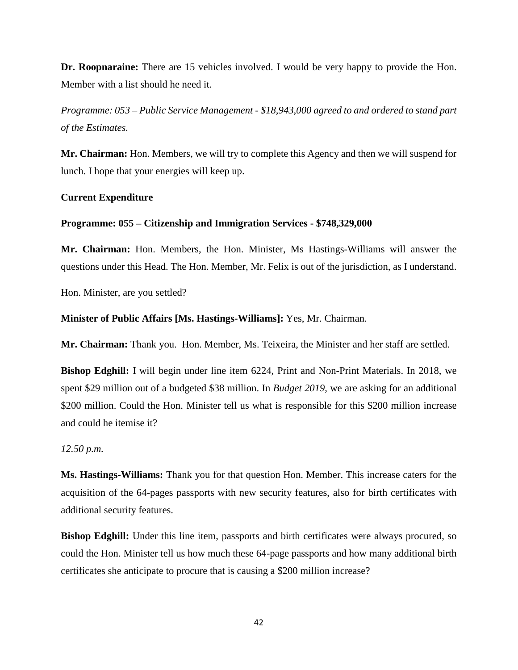**Dr. Roopnaraine:** There are 15 vehicles involved. I would be very happy to provide the Hon. Member with a list should he need it.

*Programme: 053 – Public Service Management - \$18,943,000 agreed to and ordered to stand part of the Estimates.* 

**Mr. Chairman:** Hon. Members, we will try to complete this Agency and then we will suspend for lunch. I hope that your energies will keep up.

## **Current Expenditure**

## **Programme: 055 – Citizenship and Immigration Services - \$748,329,000**

**Mr. Chairman:** Hon. Members, the Hon. Minister, Ms Hastings-Williams will answer the questions under this Head. The Hon. Member, Mr. Felix is out of the jurisdiction, as I understand.

Hon. Minister, are you settled?

#### **Minister of Public Affairs [Ms. Hastings-Williams]:** Yes, Mr. Chairman.

**Mr. Chairman:** Thank you. Hon. Member, Ms. Teixeira, the Minister and her staff are settled.

**Bishop Edghill:** I will begin under line item 6224, Print and Non-Print Materials. In 2018, we spent \$29 million out of a budgeted \$38 million. In *Budget 2019*, we are asking for an additional \$200 million. Could the Hon. Minister tell us what is responsible for this \$200 million increase and could he itemise it?

#### *12.50 p.m.*

**Ms. Hastings-Williams:** Thank you for that question Hon. Member. This increase caters for the acquisition of the 64-pages passports with new security features, also for birth certificates with additional security features.

**Bishop Edghill:** Under this line item, passports and birth certificates were always procured, so could the Hon. Minister tell us how much these 64-page passports and how many additional birth certificates she anticipate to procure that is causing a \$200 million increase?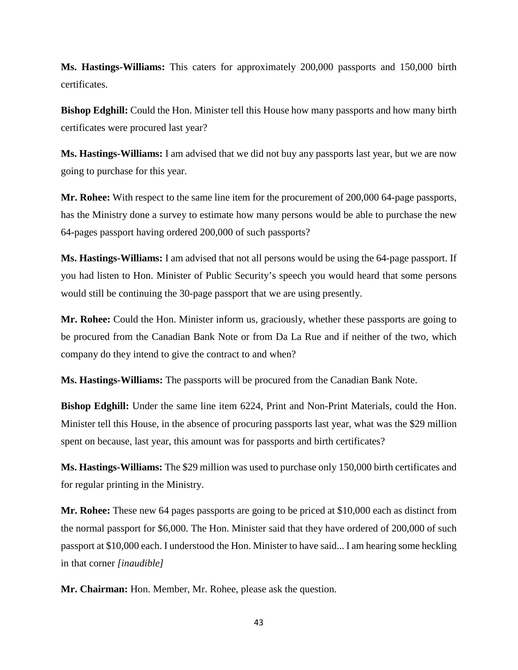**Ms. Hastings-Williams:** This caters for approximately 200,000 passports and 150,000 birth certificates.

**Bishop Edghill:** Could the Hon. Minister tell this House how many passports and how many birth certificates were procured last year?

**Ms. Hastings-Williams:** I am advised that we did not buy any passports last year, but we are now going to purchase for this year.

**Mr. Rohee:** With respect to the same line item for the procurement of 200,000 64-page passports, has the Ministry done a survey to estimate how many persons would be able to purchase the new 64-pages passport having ordered 200,000 of such passports?

**Ms. Hastings-Williams:** I am advised that not all persons would be using the 64-page passport. If you had listen to Hon. Minister of Public Security's speech you would heard that some persons would still be continuing the 30-page passport that we are using presently.

**Mr. Rohee:** Could the Hon. Minister inform us, graciously, whether these passports are going to be procured from the Canadian Bank Note or from Da La Rue and if neither of the two, which company do they intend to give the contract to and when?

**Ms. Hastings-Williams:** The passports will be procured from the Canadian Bank Note.

**Bishop Edghill:** Under the same line item 6224, Print and Non-Print Materials, could the Hon. Minister tell this House, in the absence of procuring passports last year, what was the \$29 million spent on because, last year, this amount was for passports and birth certificates?

**Ms. Hastings-Williams:** The \$29 million was used to purchase only 150,000 birth certificates and for regular printing in the Ministry.

**Mr. Rohee:** These new 64 pages passports are going to be priced at \$10,000 each as distinct from the normal passport for \$6,000. The Hon. Minister said that they have ordered of 200,000 of such passport at \$10,000 each. I understood the Hon. Minister to have said... I am hearing some heckling in that corner *[inaudible]*

**Mr. Chairman:** Hon. Member, Mr. Rohee, please ask the question.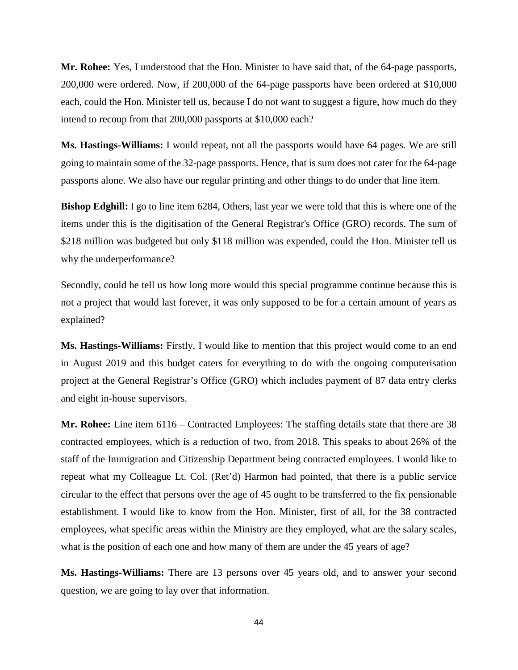**Mr. Rohee:** Yes, I understood that the Hon. Minister to have said that, of the 64-page passports, 200,000 were ordered. Now, if 200,000 of the 64-page passports have been ordered at \$10,000 each, could the Hon. Minister tell us, because I do not want to suggest a figure, how much do they intend to recoup from that 200,000 passports at \$10,000 each?

**Ms. Hastings-Williams:** I would repeat, not all the passports would have 64 pages. We are still going to maintain some of the 32-page passports. Hence, that is sum does not cater for the 64-page passports alone. We also have our regular printing and other things to do under that line item.

**Bishop Edghill:** I go to line item 6284, Others, last year we were told that this is where one of the items under this is the digitisation of the General Registrar's Office (GRO) records. The sum of \$218 million was budgeted but only \$118 million was expended, could the Hon. Minister tell us why the underperformance?

Secondly, could he tell us how long more would this special programme continue because this is not a project that would last forever, it was only supposed to be for a certain amount of years as explained?

**Ms. Hastings-Williams:** Firstly, I would like to mention that this project would come to an end in August 2019 and this budget caters for everything to do with the ongoing computerisation project at the General Registrar's Office (GRO) which includes payment of 87 data entry clerks and eight in-house supervisors.

**Mr. Rohee:** Line item 6116 – Contracted Employees: The staffing details state that there are 38 contracted employees, which is a reduction of two, from 2018. This speaks to about 26% of the staff of the Immigration and Citizenship Department being contracted employees. I would like to repeat what my Colleague Lt. Col. (Ret'd) Harmon had pointed, that there is a public service circular to the effect that persons over the age of 45 ought to be transferred to the fix pensionable establishment. I would like to know from the Hon. Minister, first of all, for the 38 contracted employees, what specific areas within the Ministry are they employed, what are the salary scales, what is the position of each one and how many of them are under the 45 years of age?

**Ms. Hastings-Williams:** There are 13 persons over 45 years old, and to answer your second question, we are going to lay over that information.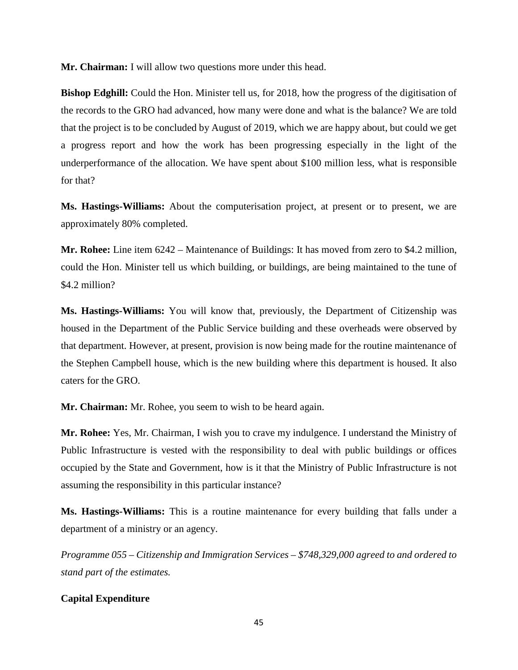**Mr. Chairman:** I will allow two questions more under this head.

**Bishop Edghill:** Could the Hon. Minister tell us, for 2018, how the progress of the digitisation of the records to the GRO had advanced, how many were done and what is the balance? We are told that the project is to be concluded by August of 2019, which we are happy about, but could we get a progress report and how the work has been progressing especially in the light of the underperformance of the allocation. We have spent about \$100 million less, what is responsible for that?

**Ms. Hastings-Williams:** About the computerisation project, at present or to present, we are approximately 80% completed.

**Mr. Rohee:** Line item 6242 – Maintenance of Buildings: It has moved from zero to \$4.2 million, could the Hon. Minister tell us which building, or buildings, are being maintained to the tune of \$4.2 million?

**Ms. Hastings-Williams:** You will know that, previously, the Department of Citizenship was housed in the Department of the Public Service building and these overheads were observed by that department. However, at present, provision is now being made for the routine maintenance of the Stephen Campbell house, which is the new building where this department is housed. It also caters for the GRO.

**Mr. Chairman:** Mr. Rohee, you seem to wish to be heard again.

**Mr. Rohee:** Yes, Mr. Chairman, I wish you to crave my indulgence. I understand the Ministry of Public Infrastructure is vested with the responsibility to deal with public buildings or offices occupied by the State and Government, how is it that the Ministry of Public Infrastructure is not assuming the responsibility in this particular instance?

**Ms. Hastings-Williams:** This is a routine maintenance for every building that falls under a department of a ministry or an agency.

*Programme 055 – Citizenship and Immigration Services – \$748,329,000 agreed to and ordered to stand part of the estimates.*

# **Capital Expenditure**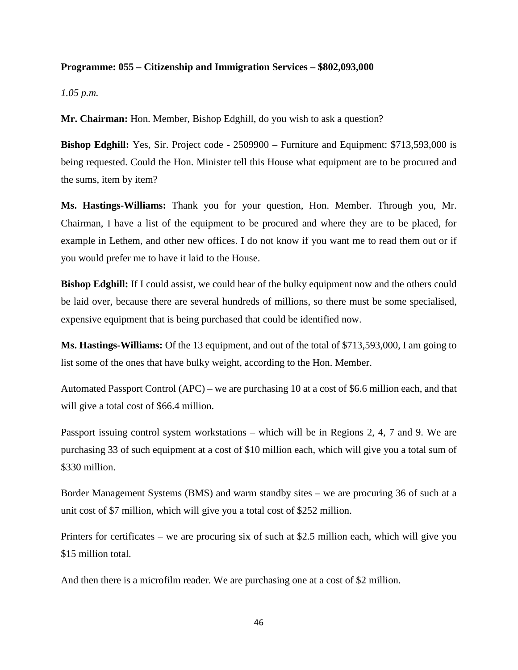## **Programme: 055 – Citizenship and Immigration Services – \$802,093,000**

## *1.05 p.m.*

**Mr. Chairman:** Hon. Member, Bishop Edghill, do you wish to ask a question?

**Bishop Edghill:** Yes, Sir. Project code - 2509900 – Furniture and Equipment: \$713,593,000 is being requested. Could the Hon. Minister tell this House what equipment are to be procured and the sums, item by item?

**Ms. Hastings-Williams:** Thank you for your question, Hon. Member. Through you, Mr. Chairman, I have a list of the equipment to be procured and where they are to be placed, for example in Lethem, and other new offices. I do not know if you want me to read them out or if you would prefer me to have it laid to the House.

**Bishop Edghill:** If I could assist, we could hear of the bulky equipment now and the others could be laid over, because there are several hundreds of millions, so there must be some specialised, expensive equipment that is being purchased that could be identified now.

**Ms. Hastings-Williams:** Of the 13 equipment, and out of the total of \$713,593,000, I am going to list some of the ones that have bulky weight, according to the Hon. Member.

Automated Passport Control (APC) – we are purchasing 10 at a cost of \$6.6 million each, and that will give a total cost of \$66.4 million.

Passport issuing control system workstations – which will be in Regions 2, 4, 7 and 9. We are purchasing 33 of such equipment at a cost of \$10 million each, which will give you a total sum of \$330 million.

Border Management Systems (BMS) and warm standby sites – we are procuring 36 of such at a unit cost of \$7 million, which will give you a total cost of \$252 million.

Printers for certificates – we are procuring six of such at \$2.5 million each, which will give you \$15 million total.

And then there is a microfilm reader. We are purchasing one at a cost of \$2 million.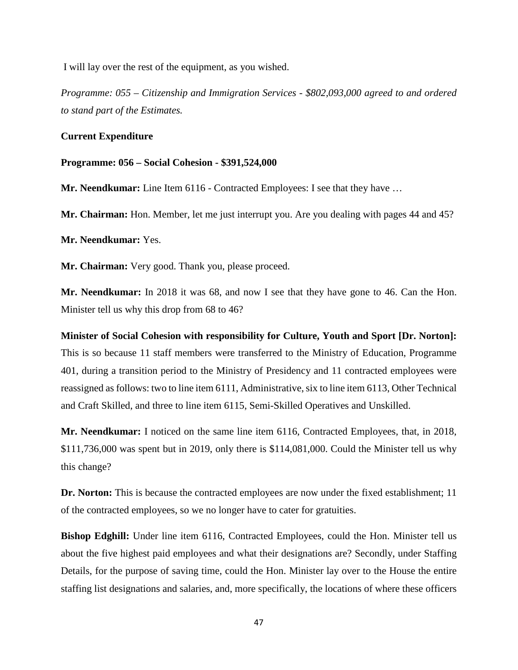I will lay over the rest of the equipment, as you wished.

*Programme: 055 – Citizenship and Immigration Services - \$802,093,000 agreed to and ordered to stand part of the Estimates.* 

## **Current Expenditure**

### **Programme: 056 – Social Cohesion - \$391,524,000**

**Mr. Neendkumar:** Line Item 6116 - Contracted Employees: I see that they have ...

**Mr. Chairman:** Hon. Member, let me just interrupt you. Are you dealing with pages 44 and 45?

**Mr. Neendkumar:** Yes.

**Mr. Chairman:** Very good. Thank you, please proceed.

**Mr. Neendkumar:** In 2018 it was 68, and now I see that they have gone to 46. Can the Hon. Minister tell us why this drop from 68 to 46?

**Minister of Social Cohesion with responsibility for Culture, Youth and Sport [Dr. Norton]:** This is so because 11 staff members were transferred to the Ministry of Education, Programme 401, during a transition period to the Ministry of Presidency and 11 contracted employees were reassigned as follows: two to line item 6111, Administrative, six to line item 6113, Other Technical and Craft Skilled, and three to line item 6115, Semi-Skilled Operatives and Unskilled.

**Mr. Neendkumar:** I noticed on the same line item 6116, Contracted Employees, that, in 2018, \$111,736,000 was spent but in 2019, only there is \$114,081,000. Could the Minister tell us why this change?

**Dr. Norton:** This is because the contracted employees are now under the fixed establishment; 11 of the contracted employees, so we no longer have to cater for gratuities.

**Bishop Edghill:** Under line item 6116, Contracted Employees, could the Hon. Minister tell us about the five highest paid employees and what their designations are? Secondly, under Staffing Details, for the purpose of saving time, could the Hon. Minister lay over to the House the entire staffing list designations and salaries, and, more specifically, the locations of where these officers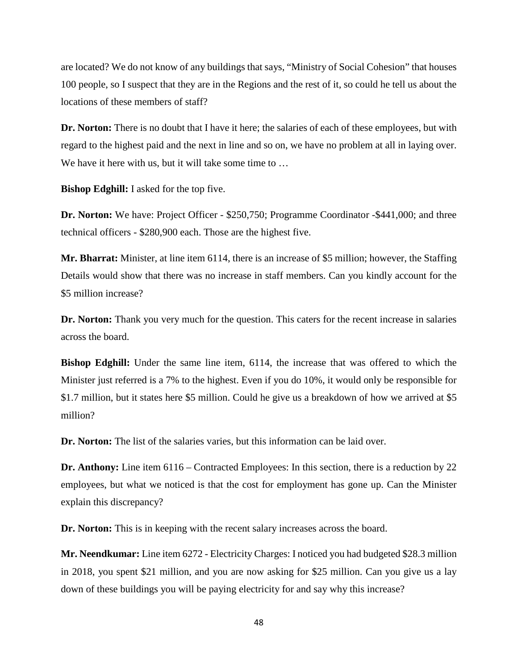are located? We do not know of any buildings that says, "Ministry of Social Cohesion" that houses 100 people, so I suspect that they are in the Regions and the rest of it, so could he tell us about the locations of these members of staff?

**Dr. Norton:** There is no doubt that I have it here; the salaries of each of these employees, but with regard to the highest paid and the next in line and so on, we have no problem at all in laying over. We have it here with us, but it will take some time to ...

**Bishop Edghill:** I asked for the top five.

**Dr. Norton:** We have: Project Officer - \$250,750; Programme Coordinator -\$441,000; and three technical officers - \$280,900 each. Those are the highest five.

**Mr. Bharrat:** Minister, at line item 6114, there is an increase of \$5 million; however, the Staffing Details would show that there was no increase in staff members. Can you kindly account for the \$5 million increase?

**Dr. Norton:** Thank you very much for the question. This caters for the recent increase in salaries across the board.

**Bishop Edghill:** Under the same line item, 6114, the increase that was offered to which the Minister just referred is a 7% to the highest. Even if you do 10%, it would only be responsible for \$1.7 million, but it states here \$5 million. Could he give us a breakdown of how we arrived at \$5 million?

**Dr. Norton:** The list of the salaries varies, but this information can be laid over.

**Dr. Anthony:** Line item 6116 – Contracted Employees: In this section, there is a reduction by 22 employees, but what we noticed is that the cost for employment has gone up. Can the Minister explain this discrepancy?

**Dr. Norton:** This is in keeping with the recent salary increases across the board.

**Mr. Neendkumar:** Line item 6272 - Electricity Charges: I noticed you had budgeted \$28.3 million in 2018, you spent \$21 million, and you are now asking for \$25 million. Can you give us a lay down of these buildings you will be paying electricity for and say why this increase?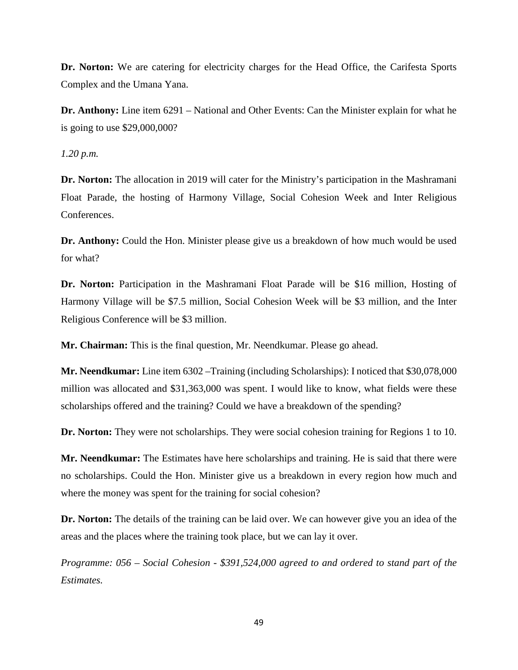**Dr. Norton:** We are catering for electricity charges for the Head Office, the Carifesta Sports Complex and the Umana Yana.

**Dr. Anthony:** Line item 6291 – National and Other Events: Can the Minister explain for what he is going to use \$29,000,000?

*1.20 p.m.*

**Dr. Norton:** The allocation in 2019 will cater for the Ministry's participation in the Mashramani Float Parade, the hosting of Harmony Village, Social Cohesion Week and Inter Religious Conferences.

**Dr. Anthony:** Could the Hon. Minister please give us a breakdown of how much would be used for what?

**Dr. Norton:** Participation in the Mashramani Float Parade will be \$16 million, Hosting of Harmony Village will be \$7.5 million, Social Cohesion Week will be \$3 million, and the Inter Religious Conference will be \$3 million.

**Mr. Chairman:** This is the final question, Mr. Neendkumar. Please go ahead.

**Mr. Neendkumar:** Line item 6302 –Training (including Scholarships): I noticed that \$30,078,000 million was allocated and \$31,363,000 was spent. I would like to know, what fields were these scholarships offered and the training? Could we have a breakdown of the spending?

**Dr. Norton:** They were not scholarships. They were social cohesion training for Regions 1 to 10.

**Mr. Neendkumar:** The Estimates have here scholarships and training. He is said that there were no scholarships. Could the Hon. Minister give us a breakdown in every region how much and where the money was spent for the training for social cohesion?

**Dr. Norton:** The details of the training can be laid over. We can however give you an idea of the areas and the places where the training took place, but we can lay it over.

*Programme: 056 – Social Cohesion - \$391,524,000 agreed to and ordered to stand part of the Estimates.*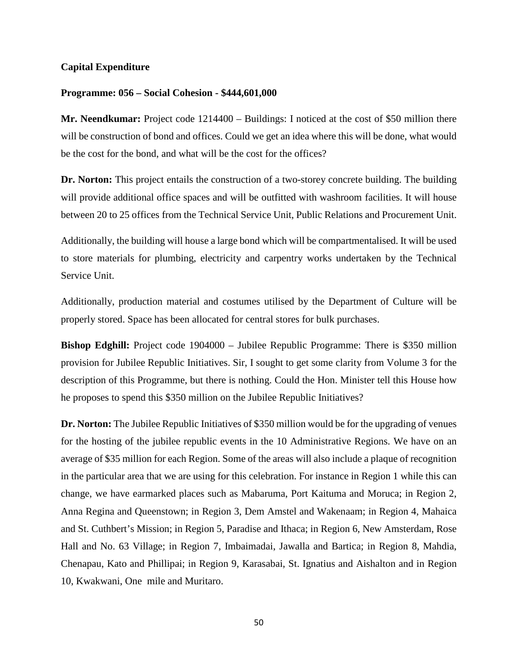## **Capital Expenditure**

### **Programme: 056 – Social Cohesion - \$444,601,000**

**Mr. Neendkumar:** Project code 1214400 – Buildings: I noticed at the cost of \$50 million there will be construction of bond and offices. Could we get an idea where this will be done, what would be the cost for the bond, and what will be the cost for the offices?

**Dr. Norton:** This project entails the construction of a two-storey concrete building. The building will provide additional office spaces and will be outfitted with washroom facilities. It will house between 20 to 25 offices from the Technical Service Unit, Public Relations and Procurement Unit.

Additionally, the building will house a large bond which will be compartmentalised. It will be used to store materials for plumbing, electricity and carpentry works undertaken by the Technical Service Unit.

Additionally, production material and costumes utilised by the Department of Culture will be properly stored. Space has been allocated for central stores for bulk purchases.

**Bishop Edghill:** Project code 1904000 – Jubilee Republic Programme: There is \$350 million provision for Jubilee Republic Initiatives. Sir, I sought to get some clarity from Volume 3 for the description of this Programme, but there is nothing. Could the Hon. Minister tell this House how he proposes to spend this \$350 million on the Jubilee Republic Initiatives?

**Dr. Norton:** The Jubilee Republic Initiatives of \$350 million would be for the upgrading of venues for the hosting of the jubilee republic events in the 10 Administrative Regions. We have on an average of \$35 million for each Region. Some of the areas will also include a plaque of recognition in the particular area that we are using for this celebration. For instance in Region 1 while this can change, we have earmarked places such as Mabaruma, Port Kaituma and Moruca; in Region 2, Anna Regina and Queenstown; in Region 3, Dem Amstel and Wakenaam; in Region 4, Mahaica and St. Cuthbert's Mission; in Region 5, Paradise and Ithaca; in Region 6, New Amsterdam, Rose Hall and No. 63 Village; in Region 7, Imbaimadai, Jawalla and Bartica; in Region 8, Mahdia, Chenapau, Kato and Phillipai; in Region 9, Karasabai, St. Ignatius and Aishalton and in Region 10, Kwakwani, One mile and Muritaro.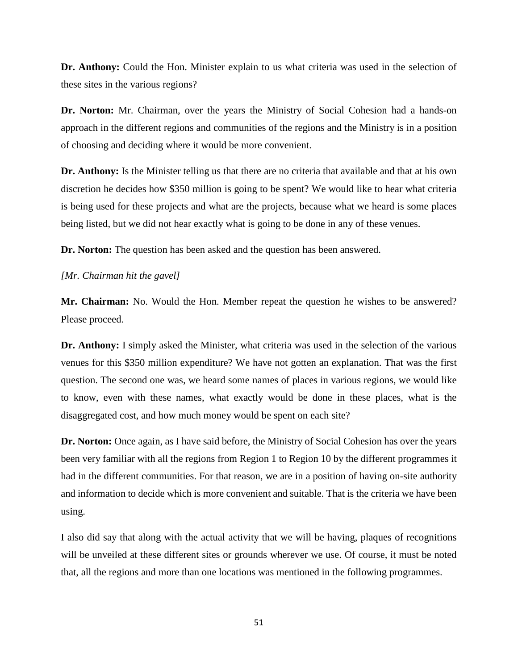**Dr. Anthony:** Could the Hon. Minister explain to us what criteria was used in the selection of these sites in the various regions?

**Dr. Norton:** Mr. Chairman, over the years the Ministry of Social Cohesion had a hands-on approach in the different regions and communities of the regions and the Ministry is in a position of choosing and deciding where it would be more convenient.

**Dr. Anthony:** Is the Minister telling us that there are no criteria that available and that at his own discretion he decides how \$350 million is going to be spent? We would like to hear what criteria is being used for these projects and what are the projects, because what we heard is some places being listed, but we did not hear exactly what is going to be done in any of these venues.

**Dr. Norton:** The question has been asked and the question has been answered.

## *[Mr. Chairman hit the gavel]*

**Mr. Chairman:** No. Would the Hon. Member repeat the question he wishes to be answered? Please proceed.

**Dr. Anthony:** I simply asked the Minister, what criteria was used in the selection of the various venues for this \$350 million expenditure? We have not gotten an explanation. That was the first question. The second one was, we heard some names of places in various regions, we would like to know, even with these names, what exactly would be done in these places, what is the disaggregated cost, and how much money would be spent on each site?

**Dr. Norton:** Once again, as I have said before, the Ministry of Social Cohesion has over the years been very familiar with all the regions from Region 1 to Region 10 by the different programmes it had in the different communities. For that reason, we are in a position of having on-site authority and information to decide which is more convenient and suitable. That is the criteria we have been using.

I also did say that along with the actual activity that we will be having, plaques of recognitions will be unveiled at these different sites or grounds wherever we use. Of course, it must be noted that, all the regions and more than one locations was mentioned in the following programmes.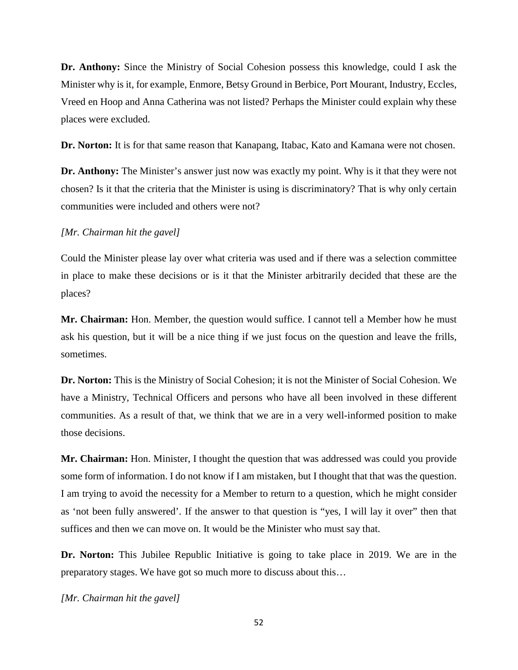**Dr. Anthony:** Since the Ministry of Social Cohesion possess this knowledge, could I ask the Minister why is it, for example, Enmore, Betsy Ground in Berbice, Port Mourant, Industry, Eccles, Vreed en Hoop and Anna Catherina was not listed? Perhaps the Minister could explain why these places were excluded.

**Dr. Norton:** It is for that same reason that Kanapang, Itabac, Kato and Kamana were not chosen.

**Dr. Anthony:** The Minister's answer just now was exactly my point. Why is it that they were not chosen? Is it that the criteria that the Minister is using is discriminatory? That is why only certain communities were included and others were not?

#### *[Mr. Chairman hit the gavel]*

Could the Minister please lay over what criteria was used and if there was a selection committee in place to make these decisions or is it that the Minister arbitrarily decided that these are the places?

**Mr. Chairman:** Hon. Member, the question would suffice. I cannot tell a Member how he must ask his question, but it will be a nice thing if we just focus on the question and leave the frills, sometimes.

**Dr. Norton:** This is the Ministry of Social Cohesion; it is not the Minister of Social Cohesion. We have a Ministry, Technical Officers and persons who have all been involved in these different communities. As a result of that, we think that we are in a very well-informed position to make those decisions.

**Mr. Chairman:** Hon. Minister, I thought the question that was addressed was could you provide some form of information. I do not know if I am mistaken, but I thought that that was the question. I am trying to avoid the necessity for a Member to return to a question, which he might consider as 'not been fully answered'. If the answer to that question is "yes, I will lay it over" then that suffices and then we can move on. It would be the Minister who must say that.

**Dr. Norton:** This Jubilee Republic Initiative is going to take place in 2019. We are in the preparatory stages. We have got so much more to discuss about this…

*[Mr. Chairman hit the gavel]*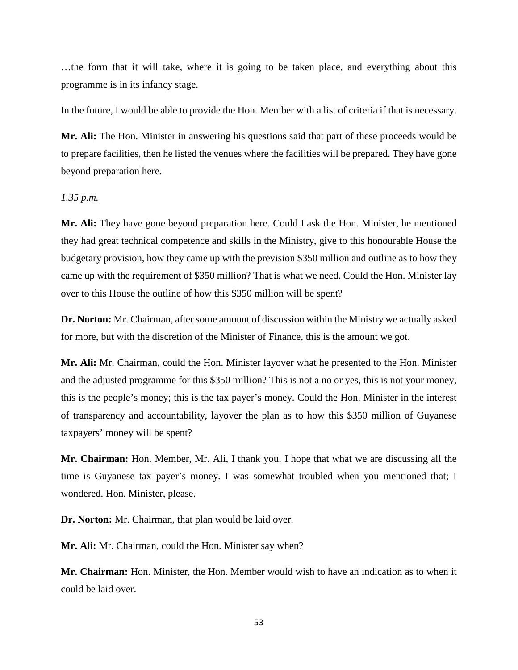…the form that it will take, where it is going to be taken place, and everything about this programme is in its infancy stage.

In the future, I would be able to provide the Hon. Member with a list of criteria if that is necessary.

**Mr. Ali:** The Hon. Minister in answering his questions said that part of these proceeds would be to prepare facilities, then he listed the venues where the facilities will be prepared. They have gone beyond preparation here.

# *1.35 p.m.*

**Mr. Ali:** They have gone beyond preparation here. Could I ask the Hon. Minister, he mentioned they had great technical competence and skills in the Ministry, give to this honourable House the budgetary provision, how they came up with the prevision \$350 million and outline as to how they came up with the requirement of \$350 million? That is what we need. Could the Hon. Minister lay over to this House the outline of how this \$350 million will be spent?

**Dr. Norton:** Mr. Chairman, after some amount of discussion within the Ministry we actually asked for more, but with the discretion of the Minister of Finance, this is the amount we got.

**Mr. Ali:** Mr. Chairman, could the Hon. Minister layover what he presented to the Hon. Minister and the adjusted programme for this \$350 million? This is not a no or yes, this is not your money, this is the people's money; this is the tax payer's money. Could the Hon. Minister in the interest of transparency and accountability, layover the plan as to how this \$350 million of Guyanese taxpayers' money will be spent?

**Mr. Chairman:** Hon. Member, Mr. Ali, I thank you. I hope that what we are discussing all the time is Guyanese tax payer's money. I was somewhat troubled when you mentioned that; I wondered. Hon. Minister, please.

**Dr. Norton:** Mr. Chairman, that plan would be laid over.

**Mr. Ali:** Mr. Chairman, could the Hon. Minister say when?

**Mr. Chairman:** Hon. Minister, the Hon. Member would wish to have an indication as to when it could be laid over.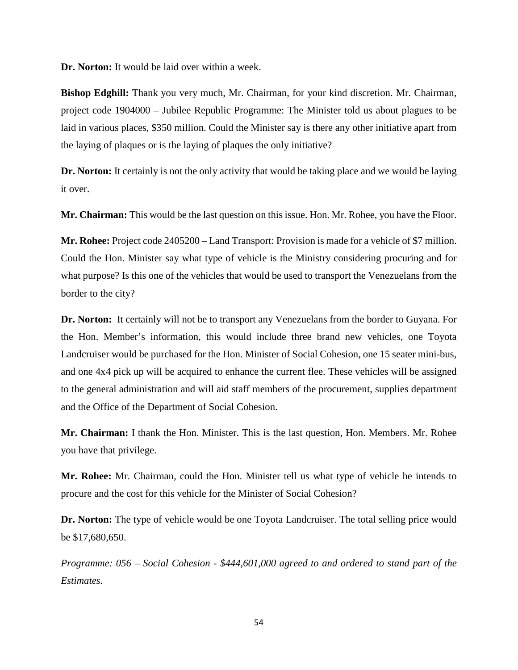**Dr. Norton:** It would be laid over within a week.

**Bishop Edghill:** Thank you very much, Mr. Chairman, for your kind discretion. Mr. Chairman, project code 1904000 – Jubilee Republic Programme: The Minister told us about plagues to be laid in various places, \$350 million. Could the Minister say is there any other initiative apart from the laying of plaques or is the laying of plaques the only initiative?

**Dr. Norton:** It certainly is not the only activity that would be taking place and we would be laying it over.

**Mr. Chairman:** This would be the last question on this issue. Hon. Mr. Rohee, you have the Floor.

**Mr. Rohee:** Project code 2405200 – Land Transport: Provision is made for a vehicle of \$7 million. Could the Hon. Minister say what type of vehicle is the Ministry considering procuring and for what purpose? Is this one of the vehicles that would be used to transport the Venezuelans from the border to the city?

**Dr. Norton:** It certainly will not be to transport any Venezuelans from the border to Guyana. For the Hon. Member's information, this would include three brand new vehicles, one Toyota Landcruiser would be purchased for the Hon. Minister of Social Cohesion, one 15 seater mini-bus, and one 4x4 pick up will be acquired to enhance the current flee. These vehicles will be assigned to the general administration and will aid staff members of the procurement, supplies department and the Office of the Department of Social Cohesion.

**Mr. Chairman:** I thank the Hon. Minister. This is the last question, Hon. Members. Mr. Rohee you have that privilege.

**Mr. Rohee:** Mr. Chairman, could the Hon. Minister tell us what type of vehicle he intends to procure and the cost for this vehicle for the Minister of Social Cohesion?

**Dr. Norton:** The type of vehicle would be one Toyota Landcruiser. The total selling price would be \$17,680,650.

*Programme: 056 – Social Cohesion - \$444,601,000 agreed to and ordered to stand part of the Estimates.*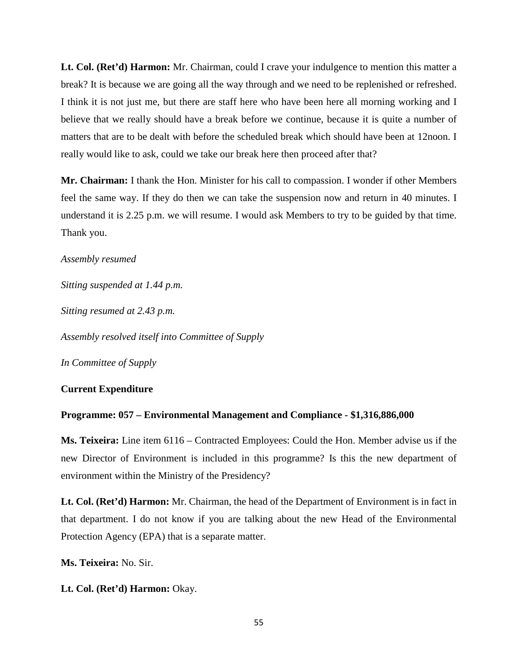**Lt. Col. (Ret'd) Harmon:** Mr. Chairman, could I crave your indulgence to mention this matter a break? It is because we are going all the way through and we need to be replenished or refreshed. I think it is not just me, but there are staff here who have been here all morning working and I believe that we really should have a break before we continue, because it is quite a number of matters that are to be dealt with before the scheduled break which should have been at 12noon. I really would like to ask, could we take our break here then proceed after that?

**Mr. Chairman:** I thank the Hon. Minister for his call to compassion. I wonder if other Members feel the same way. If they do then we can take the suspension now and return in 40 minutes. I understand it is 2.25 p.m. we will resume. I would ask Members to try to be guided by that time. Thank you.

## *Assembly resumed*

*Sitting suspended at 1.44 p.m.*

*Sitting resumed at 2.43 p.m.*

*Assembly resolved itself into Committee of Supply*

*In Committee of Supply*

# **Current Expenditure**

## **Programme: 057 – Environmental Management and Compliance - \$1,316,886,000**

**Ms. Teixeira:** Line item 6116 – Contracted Employees: Could the Hon. Member advise us if the new Director of Environment is included in this programme? Is this the new department of environment within the Ministry of the Presidency?

**Lt. Col. (Ret'd) Harmon:** Mr. Chairman, the head of the Department of Environment is in fact in that department. I do not know if you are talking about the new Head of the Environmental Protection Agency (EPA) that is a separate matter.

**Ms. Teixeira:** No. Sir.

**Lt. Col. (Ret'd) Harmon:** Okay.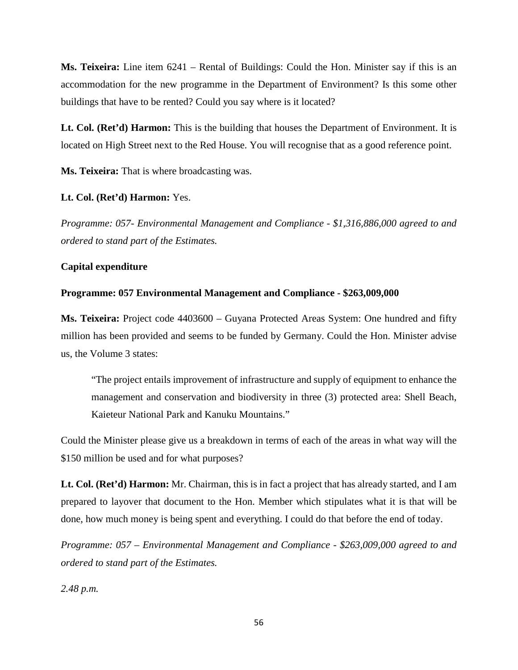**Ms. Teixeira:** Line item 6241 – Rental of Buildings: Could the Hon. Minister say if this is an accommodation for the new programme in the Department of Environment? Is this some other buildings that have to be rented? Could you say where is it located?

**Lt. Col. (Ret'd) Harmon:** This is the building that houses the Department of Environment. It is located on High Street next to the Red House. You will recognise that as a good reference point.

**Ms. Teixeira:** That is where broadcasting was.

## **Lt. Col. (Ret'd) Harmon:** Yes.

*Programme: 057- Environmental Management and Compliance - \$1,316,886,000 agreed to and ordered to stand part of the Estimates.*

# **Capital expenditure**

### **Programme: 057 Environmental Management and Compliance - \$263,009,000**

**Ms. Teixeira:** Project code 4403600 – Guyana Protected Areas System: One hundred and fifty million has been provided and seems to be funded by Germany. Could the Hon. Minister advise us, the Volume 3 states:

"The project entails improvement of infrastructure and supply of equipment to enhance the management and conservation and biodiversity in three (3) protected area: Shell Beach, Kaieteur National Park and Kanuku Mountains."

Could the Minister please give us a breakdown in terms of each of the areas in what way will the \$150 million be used and for what purposes?

**Lt. Col. (Ret'd) Harmon:** Mr. Chairman, this is in fact a project that has already started, and I am prepared to layover that document to the Hon. Member which stipulates what it is that will be done, how much money is being spent and everything. I could do that before the end of today.

*Programme: 057 – Environmental Management and Compliance - \$263,009,000 agreed to and ordered to stand part of the Estimates.* 

*2.48 p.m.*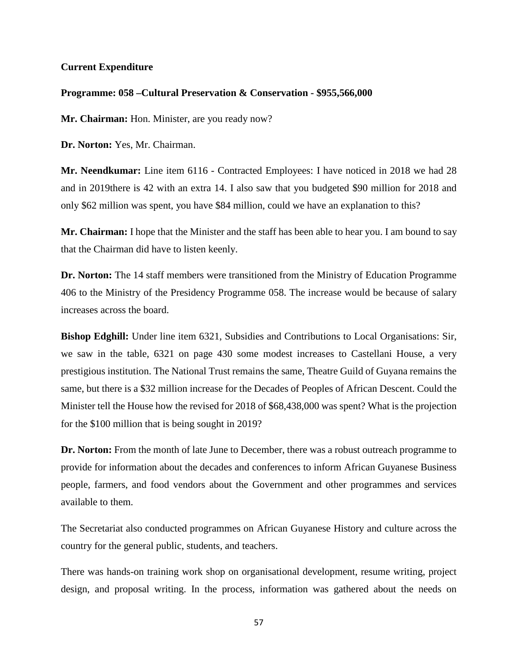# **Current Expenditure**

## **Programme: 058 –Cultural Preservation & Conservation - \$955,566,000**

Mr. Chairman: Hon. Minister, are you ready now?

**Dr. Norton:** Yes, Mr. Chairman.

**Mr. Neendkumar:** Line item 6116 - Contracted Employees: I have noticed in 2018 we had 28 and in 2019there is 42 with an extra 14. I also saw that you budgeted \$90 million for 2018 and only \$62 million was spent, you have \$84 million, could we have an explanation to this?

**Mr. Chairman:** I hope that the Minister and the staff has been able to hear you. I am bound to say that the Chairman did have to listen keenly.

**Dr. Norton:** The 14 staff members were transitioned from the Ministry of Education Programme 406 to the Ministry of the Presidency Programme 058. The increase would be because of salary increases across the board.

**Bishop Edghill:** Under line item 6321, Subsidies and Contributions to Local Organisations: Sir, we saw in the table, 6321 on page 430 some modest increases to Castellani House, a very prestigious institution. The National Trust remains the same, Theatre Guild of Guyana remains the same, but there is a \$32 million increase for the Decades of Peoples of African Descent. Could the Minister tell the House how the revised for 2018 of \$68,438,000 was spent? What is the projection for the \$100 million that is being sought in 2019?

**Dr. Norton:** From the month of late June to December, there was a robust outreach programme to provide for information about the decades and conferences to inform African Guyanese Business people, farmers, and food vendors about the Government and other programmes and services available to them.

The Secretariat also conducted programmes on African Guyanese History and culture across the country for the general public, students, and teachers.

There was hands-on training work shop on organisational development, resume writing, project design, and proposal writing. In the process, information was gathered about the needs on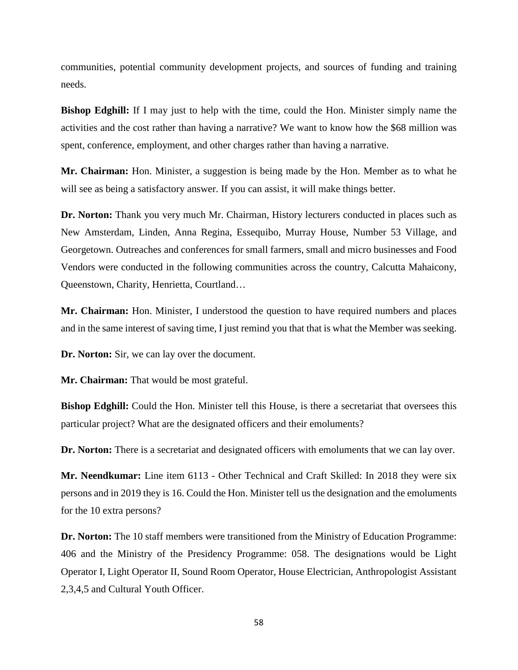communities, potential community development projects, and sources of funding and training needs.

**Bishop Edghill:** If I may just to help with the time, could the Hon. Minister simply name the activities and the cost rather than having a narrative? We want to know how the \$68 million was spent, conference, employment, and other charges rather than having a narrative.

**Mr. Chairman:** Hon. Minister, a suggestion is being made by the Hon. Member as to what he will see as being a satisfactory answer. If you can assist, it will make things better.

**Dr. Norton:** Thank you very much Mr. Chairman, History lecturers conducted in places such as New Amsterdam, Linden, Anna Regina, Essequibo, Murray House, Number 53 Village, and Georgetown. Outreaches and conferences for small farmers, small and micro businesses and Food Vendors were conducted in the following communities across the country, Calcutta Mahaicony, Queenstown, Charity, Henrietta, Courtland…

**Mr. Chairman:** Hon. Minister, I understood the question to have required numbers and places and in the same interest of saving time, I just remind you that that is what the Member was seeking.

**Dr. Norton:** Sir, we can lay over the document.

**Mr. Chairman:** That would be most grateful.

**Bishop Edghill:** Could the Hon. Minister tell this House, is there a secretariat that oversees this particular project? What are the designated officers and their emoluments?

**Dr. Norton:** There is a secretariat and designated officers with emoluments that we can lay over.

**Mr. Neendkumar:** Line item 6113 - Other Technical and Craft Skilled: In 2018 they were six persons and in 2019 they is 16. Could the Hon. Minister tell us the designation and the emoluments for the 10 extra persons?

**Dr. Norton:** The 10 staff members were transitioned from the Ministry of Education Programme: 406 and the Ministry of the Presidency Programme: 058. The designations would be Light Operator I, Light Operator II, Sound Room Operator, House Electrician, Anthropologist Assistant 2,3,4,5 and Cultural Youth Officer.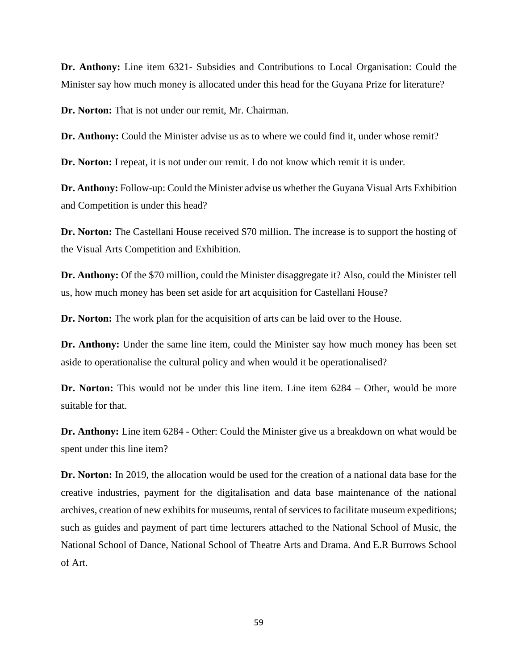**Dr. Anthony:** Line item 6321- Subsidies and Contributions to Local Organisation: Could the Minister say how much money is allocated under this head for the Guyana Prize for literature?

**Dr. Norton:** That is not under our remit, Mr. Chairman.

**Dr. Anthony:** Could the Minister advise us as to where we could find it, under whose remit?

**Dr. Norton:** I repeat, it is not under our remit. I do not know which remit it is under.

**Dr. Anthony:** Follow-up: Could the Minister advise us whether the Guyana Visual Arts Exhibition and Competition is under this head?

**Dr. Norton:** The Castellani House received \$70 million. The increase is to support the hosting of the Visual Arts Competition and Exhibition.

**Dr. Anthony:** Of the \$70 million, could the Minister disaggregate it? Also, could the Minister tell us, how much money has been set aside for art acquisition for Castellani House?

**Dr. Norton:** The work plan for the acquisition of arts can be laid over to the House.

Dr. Anthony: Under the same line item, could the Minister say how much money has been set aside to operationalise the cultural policy and when would it be operationalised?

**Dr. Norton:** This would not be under this line item. Line item 6284 – Other, would be more suitable for that.

**Dr. Anthony:** Line item 6284 - Other: Could the Minister give us a breakdown on what would be spent under this line item?

**Dr. Norton:** In 2019, the allocation would be used for the creation of a national data base for the creative industries, payment for the digitalisation and data base maintenance of the national archives, creation of new exhibits for museums, rental of services to facilitate museum expeditions; such as guides and payment of part time lecturers attached to the National School of Music, the National School of Dance, National School of Theatre Arts and Drama. And E.R Burrows School of Art.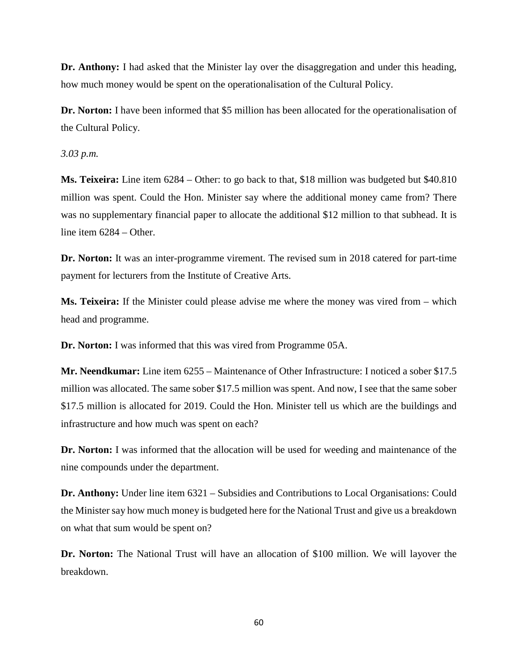**Dr. Anthony:** I had asked that the Minister lay over the disaggregation and under this heading, how much money would be spent on the operationalisation of the Cultural Policy.

**Dr. Norton:** I have been informed that \$5 million has been allocated for the operationalisation of the Cultural Policy.

*3.03 p.m.* 

**Ms. Teixeira:** Line item 6284 – Other: to go back to that, \$18 million was budgeted but \$40.810 million was spent. Could the Hon. Minister say where the additional money came from? There was no supplementary financial paper to allocate the additional \$12 million to that subhead. It is line item 6284 – Other.

**Dr. Norton:** It was an inter-programme virement. The revised sum in 2018 catered for part-time payment for lecturers from the Institute of Creative Arts.

**Ms. Teixeira:** If the Minister could please advise me where the money was vired from – which head and programme.

**Dr. Norton:** I was informed that this was vired from Programme 05A.

**Mr. Neendkumar:** Line item 6255 – Maintenance of Other Infrastructure: I noticed a sober \$17.5 million was allocated. The same sober \$17.5 million was spent. And now, I see that the same sober \$17.5 million is allocated for 2019. Could the Hon. Minister tell us which are the buildings and infrastructure and how much was spent on each?

**Dr. Norton:** I was informed that the allocation will be used for weeding and maintenance of the nine compounds under the department.

**Dr. Anthony:** Under line item 6321 – Subsidies and Contributions to Local Organisations: Could the Minister say how much money is budgeted here for the National Trust and give us a breakdown on what that sum would be spent on?

**Dr. Norton:** The National Trust will have an allocation of \$100 million. We will layover the breakdown.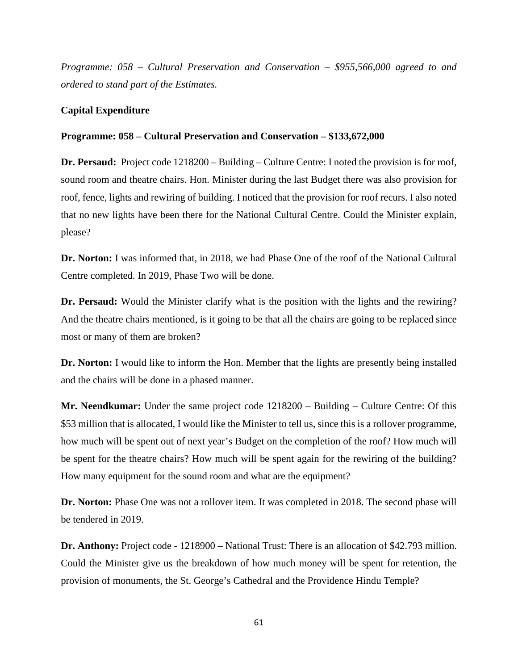*Programme: 058 – Cultural Preservation and Conservation – \$955,566,000 agreed to and ordered to stand part of the Estimates.*

# **Capital Expenditure**

# **Programme: 058 – Cultural Preservation and Conservation – \$133,672,000**

**Dr. Persaud:** Project code 1218200 – Building – Culture Centre: I noted the provision is for roof, sound room and theatre chairs. Hon. Minister during the last Budget there was also provision for roof, fence, lights and rewiring of building. I noticed that the provision for roof recurs. I also noted that no new lights have been there for the National Cultural Centre. Could the Minister explain, please?

**Dr. Norton:** I was informed that, in 2018, we had Phase One of the roof of the National Cultural Centre completed. In 2019, Phase Two will be done.

**Dr. Persaud:** Would the Minister clarify what is the position with the lights and the rewiring? And the theatre chairs mentioned, is it going to be that all the chairs are going to be replaced since most or many of them are broken?

**Dr. Norton:** I would like to inform the Hon. Member that the lights are presently being installed and the chairs will be done in a phased manner.

**Mr. Neendkumar:** Under the same project code 1218200 – Building – Culture Centre: Of this \$53 million that is allocated, I would like the Minister to tell us, since this is a rollover programme, how much will be spent out of next year's Budget on the completion of the roof? How much will be spent for the theatre chairs? How much will be spent again for the rewiring of the building? How many equipment for the sound room and what are the equipment?

**Dr. Norton:** Phase One was not a rollover item. It was completed in 2018. The second phase will be tendered in 2019.

**Dr. Anthony:** Project code - 1218900 – National Trust: There is an allocation of \$42.793 million. Could the Minister give us the breakdown of how much money will be spent for retention, the provision of monuments, the St. George's Cathedral and the Providence Hindu Temple?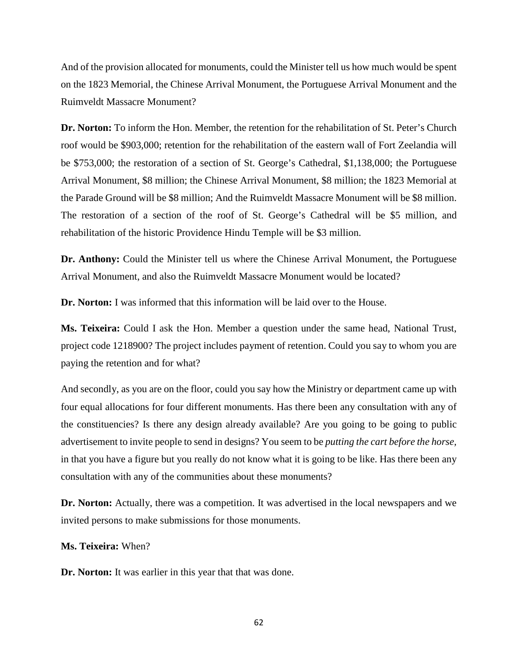And of the provision allocated for monuments, could the Minister tell us how much would be spent on the 1823 Memorial, the Chinese Arrival Monument, the Portuguese Arrival Monument and the Ruimveldt Massacre Monument?

**Dr. Norton:** To inform the Hon. Member, the retention for the rehabilitation of St. Peter's Church roof would be \$903,000; retention for the rehabilitation of the eastern wall of Fort Zeelandia will be \$753,000; the restoration of a section of St. George's Cathedral, \$1,138,000; the Portuguese Arrival Monument, \$8 million; the Chinese Arrival Monument, \$8 million; the 1823 Memorial at the Parade Ground will be \$8 million; And the Ruimveldt Massacre Monument will be \$8 million. The restoration of a section of the roof of St. George's Cathedral will be \$5 million, and rehabilitation of the historic Providence Hindu Temple will be \$3 million.

**Dr. Anthony:** Could the Minister tell us where the Chinese Arrival Monument, the Portuguese Arrival Monument, and also the Ruimveldt Massacre Monument would be located?

**Dr. Norton:** I was informed that this information will be laid over to the House.

**Ms. Teixeira:** Could I ask the Hon. Member a question under the same head, National Trust, project code 1218900? The project includes payment of retention. Could you say to whom you are paying the retention and for what?

And secondly, as you are on the floor, could you say how the Ministry or department came up with four equal allocations for four different monuments. Has there been any consultation with any of the constituencies? Is there any design already available? Are you going to be going to public advertisement to invite people to send in designs? You seem to be *putting the cart before the horse,* in that you have a figure but you really do not know what it is going to be like. Has there been any consultation with any of the communities about these monuments?

**Dr. Norton:** Actually, there was a competition. It was advertised in the local newspapers and we invited persons to make submissions for those monuments.

**Ms. Teixeira:** When?

Dr. Norton: It was earlier in this year that that was done.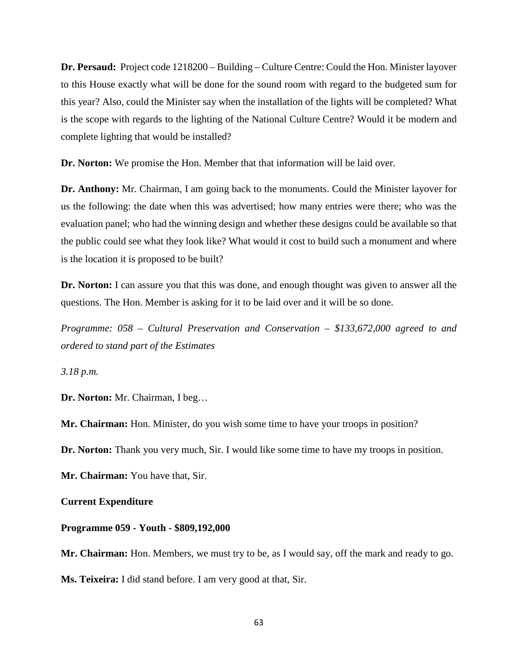**Dr. Persaud:** Project code 1218200 – Building – Culture Centre: Could the Hon. Minister layover to this House exactly what will be done for the sound room with regard to the budgeted sum for this year? Also, could the Minister say when the installation of the lights will be completed? What is the scope with regards to the lighting of the National Culture Centre? Would it be modern and complete lighting that would be installed?

**Dr. Norton:** We promise the Hon. Member that that information will be laid over.

**Dr. Anthony:** Mr. Chairman, I am going back to the monuments. Could the Minister layover for us the following: the date when this was advertised; how many entries were there; who was the evaluation panel; who had the winning design and whether these designs could be available so that the public could see what they look like? What would it cost to build such a monument and where is the location it is proposed to be built?

**Dr. Norton:** I can assure you that this was done, and enough thought was given to answer all the questions. The Hon. Member is asking for it to be laid over and it will be so done.

*Programme: 058 – Cultural Preservation and Conservation – \$133,672,000 agreed to and ordered to stand part of the Estimates*

*3.18 p.m.* 

**Dr. Norton:** Mr. Chairman, I beg…

**Mr. Chairman:** Hon. Minister, do you wish some time to have your troops in position?

**Dr. Norton:** Thank you very much, Sir. I would like some time to have my troops in position.

**Mr. Chairman:** You have that, Sir.

**Current Expenditure**

#### **Programme 059 - Youth - \$809,192,000**

**Mr. Chairman:** Hon. Members, we must try to be, as I would say, off the mark and ready to go. **Ms. Teixeira:** I did stand before. I am very good at that, Sir.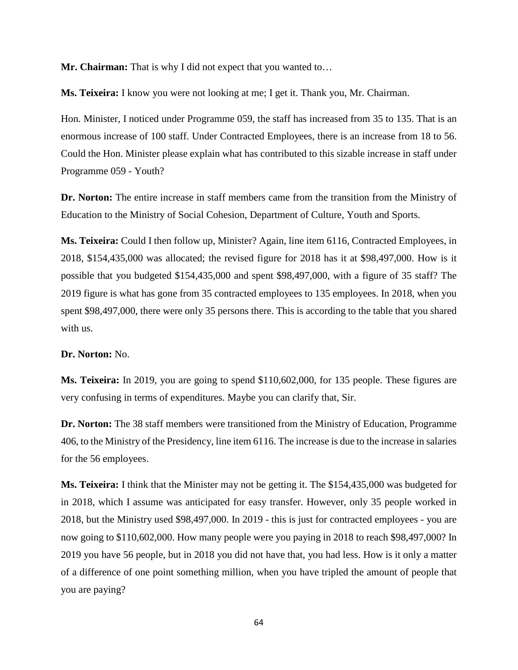**Mr. Chairman:** That is why I did not expect that you wanted to…

**Ms. Teixeira:** I know you were not looking at me; I get it. Thank you, Mr. Chairman.

Hon. Minister, I noticed under Programme 059, the staff has increased from 35 to 135. That is an enormous increase of 100 staff. Under Contracted Employees, there is an increase from 18 to 56. Could the Hon. Minister please explain what has contributed to this sizable increase in staff under Programme 059 - Youth?

**Dr. Norton:** The entire increase in staff members came from the transition from the Ministry of Education to the Ministry of Social Cohesion, Department of Culture, Youth and Sports.

**Ms. Teixeira:** Could I then follow up, Minister? Again, line item 6116, Contracted Employees, in 2018, \$154,435,000 was allocated; the revised figure for 2018 has it at \$98,497,000. How is it possible that you budgeted \$154,435,000 and spent \$98,497,000, with a figure of 35 staff? The 2019 figure is what has gone from 35 contracted employees to 135 employees. In 2018, when you spent \$98,497,000, there were only 35 persons there. This is according to the table that you shared with us.

## **Dr. Norton:** No.

**Ms. Teixeira:** In 2019, you are going to spend \$110,602,000, for 135 people. These figures are very confusing in terms of expenditures. Maybe you can clarify that, Sir.

**Dr. Norton:** The 38 staff members were transitioned from the Ministry of Education, Programme 406, to the Ministry of the Presidency, line item 6116. The increase is due to the increase in salaries for the 56 employees.

**Ms. Teixeira:** I think that the Minister may not be getting it. The \$154,435,000 was budgeted for in 2018, which I assume was anticipated for easy transfer. However, only 35 people worked in 2018, but the Ministry used \$98,497,000. In 2019 - this is just for contracted employees - you are now going to \$110,602,000. How many people were you paying in 2018 to reach \$98,497,000? In 2019 you have 56 people, but in 2018 you did not have that, you had less. How is it only a matter of a difference of one point something million, when you have tripled the amount of people that you are paying?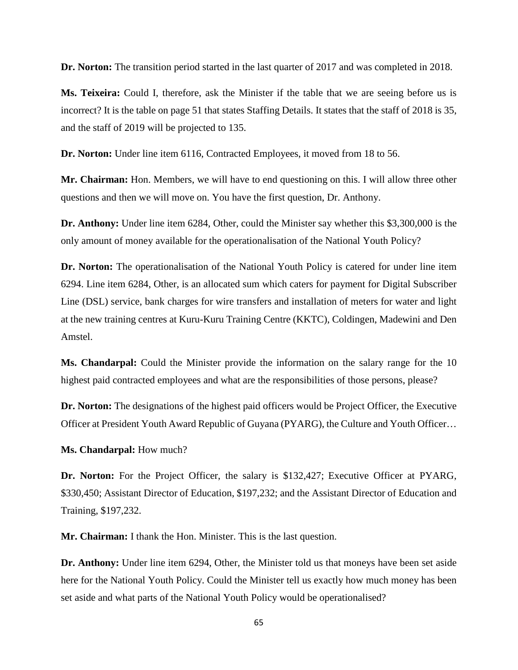**Dr. Norton:** The transition period started in the last quarter of 2017 and was completed in 2018.

**Ms. Teixeira:** Could I, therefore, ask the Minister if the table that we are seeing before us is incorrect? It is the table on page 51 that states Staffing Details. It states that the staff of 2018 is 35, and the staff of 2019 will be projected to 135.

**Dr. Norton:** Under line item 6116, Contracted Employees, it moved from 18 to 56.

**Mr. Chairman:** Hon. Members, we will have to end questioning on this. I will allow three other questions and then we will move on. You have the first question, Dr. Anthony.

**Dr. Anthony:** Under line item 6284, Other, could the Minister say whether this \$3,300,000 is the only amount of money available for the operationalisation of the National Youth Policy?

**Dr. Norton:** The operationalisation of the National Youth Policy is catered for under line item 6294. Line item 6284, Other, is an allocated sum which caters for payment for Digital Subscriber Line (DSL) service, bank charges for wire transfers and installation of meters for water and light at the new training centres at Kuru-Kuru Training Centre (KKTC), Coldingen, Madewini and Den Amstel.

**Ms. Chandarpal:** Could the Minister provide the information on the salary range for the 10 highest paid contracted employees and what are the responsibilities of those persons, please?

**Dr. Norton:** The designations of the highest paid officers would be Project Officer, the Executive Officer at President Youth Award Republic of Guyana (PYARG), the Culture and Youth Officer…

**Ms. Chandarpal:** How much?

**Dr. Norton:** For the Project Officer, the salary is \$132,427; Executive Officer at PYARG, \$330,450; Assistant Director of Education, \$197,232; and the Assistant Director of Education and Training, \$197,232.

**Mr. Chairman:** I thank the Hon. Minister. This is the last question.

**Dr. Anthony:** Under line item 6294, Other, the Minister told us that moneys have been set aside here for the National Youth Policy. Could the Minister tell us exactly how much money has been set aside and what parts of the National Youth Policy would be operationalised?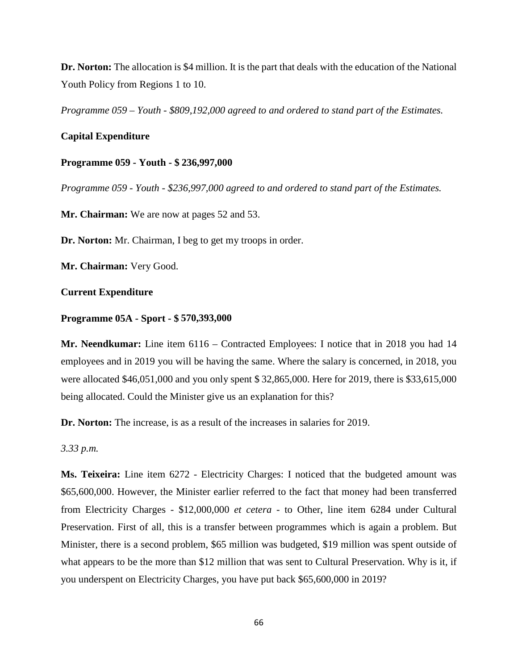**Dr. Norton:** The allocation is \$4 million. It is the part that deals with the education of the National Youth Policy from Regions 1 to 10.

*Programme 059 – Youth - \$809,192,000 agreed to and ordered to stand part of the Estimates.*

## **Capital Expenditure**

#### **Programme 059 - Youth - \$ 236,997,000**

*Programme 059 - Youth - \$236,997,000 agreed to and ordered to stand part of the Estimates.*

**Mr. Chairman:** We are now at pages 52 and 53.

**Dr. Norton:** Mr. Chairman, I beg to get my troops in order.

**Mr. Chairman:** Very Good.

#### **Current Expenditure**

#### **Programme 05A - Sport - \$ 570,393,000**

**Mr. Neendkumar:** Line item 6116 – Contracted Employees: I notice that in 2018 you had 14 employees and in 2019 you will be having the same. Where the salary is concerned, in 2018, you were allocated \$46,051,000 and you only spent \$ 32,865,000. Here for 2019, there is \$33,615,000 being allocated. Could the Minister give us an explanation for this?

**Dr. Norton:** The increase, is as a result of the increases in salaries for 2019.

*3.33 p.m.*

**Ms. Teixeira:** Line item 6272 - Electricity Charges: I noticed that the budgeted amount was \$65,600,000. However, the Minister earlier referred to the fact that money had been transferred from Electricity Charges - \$12,000,000 *et cetera* - to Other, line item 6284 under Cultural Preservation. First of all, this is a transfer between programmes which is again a problem. But Minister, there is a second problem, \$65 million was budgeted, \$19 million was spent outside of what appears to be the more than \$12 million that was sent to Cultural Preservation. Why is it, if you underspent on Electricity Charges, you have put back \$65,600,000 in 2019?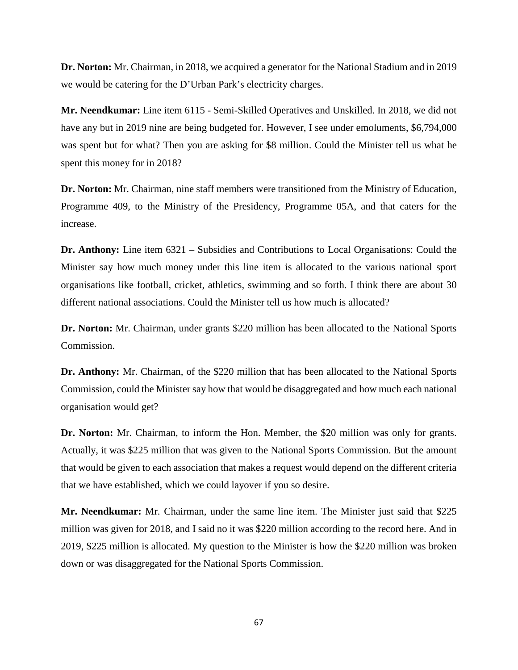**Dr. Norton:** Mr. Chairman, in 2018, we acquired a generator for the National Stadium and in 2019 we would be catering for the D'Urban Park's electricity charges.

**Mr. Neendkumar:** Line item 6115 - Semi-Skilled Operatives and Unskilled. In 2018, we did not have any but in 2019 nine are being budgeted for. However, I see under emoluments, \$6,794,000 was spent but for what? Then you are asking for \$8 million. Could the Minister tell us what he spent this money for in 2018?

**Dr. Norton:** Mr. Chairman, nine staff members were transitioned from the Ministry of Education, Programme 409, to the Ministry of the Presidency, Programme 05A, and that caters for the increase.

**Dr. Anthony:** Line item 6321 – Subsidies and Contributions to Local Organisations: Could the Minister say how much money under this line item is allocated to the various national sport organisations like football, cricket, athletics, swimming and so forth. I think there are about 30 different national associations. Could the Minister tell us how much is allocated?

**Dr. Norton:** Mr. Chairman, under grants \$220 million has been allocated to the National Sports Commission.

**Dr. Anthony:** Mr. Chairman, of the \$220 million that has been allocated to the National Sports Commission, could the Minister say how that would be disaggregated and how much each national organisation would get?

**Dr. Norton:** Mr. Chairman, to inform the Hon. Member, the \$20 million was only for grants. Actually, it was \$225 million that was given to the National Sports Commission. But the amount that would be given to each association that makes a request would depend on the different criteria that we have established, which we could layover if you so desire.

**Mr. Neendkumar:** Mr. Chairman, under the same line item. The Minister just said that \$225 million was given for 2018, and I said no it was \$220 million according to the record here. And in 2019, \$225 million is allocated. My question to the Minister is how the \$220 million was broken down or was disaggregated for the National Sports Commission.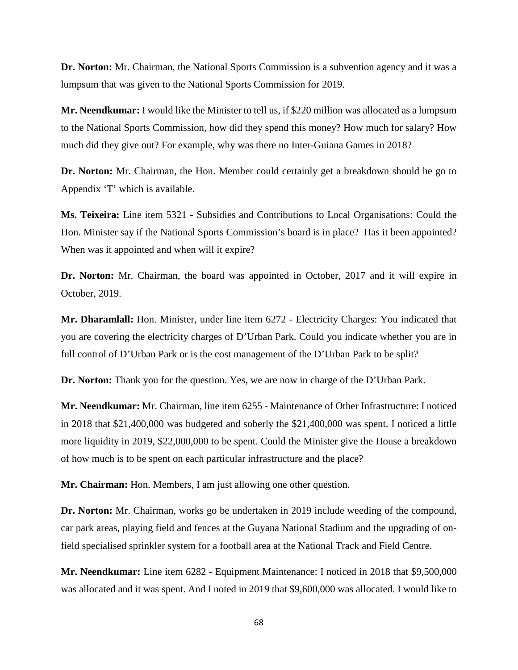**Dr. Norton:** Mr. Chairman, the National Sports Commission is a subvention agency and it was a lumpsum that was given to the National Sports Commission for 2019.

**Mr. Neendkumar:** I would like the Minister to tell us, if \$220 million was allocated as a lumpsum to the National Sports Commission, how did they spend this money? How much for salary? How much did they give out? For example, why was there no Inter-Guiana Games in 2018?

**Dr. Norton:** Mr. Chairman, the Hon. Member could certainly get a breakdown should he go to Appendix 'T' which is available.

**Ms. Teixeira:** Line item 5321 - Subsidies and Contributions to Local Organisations: Could the Hon. Minister say if the National Sports Commission's board is in place? Has it been appointed? When was it appointed and when will it expire?

**Dr. Norton:** Mr. Chairman, the board was appointed in October, 2017 and it will expire in October, 2019.

**Mr. Dharamlall:** Hon. Minister, under line item 6272 - Electricity Charges: You indicated that you are covering the electricity charges of D'Urban Park. Could you indicate whether you are in full control of D'Urban Park or is the cost management of the D'Urban Park to be split?

**Dr. Norton:** Thank you for the question. Yes, we are now in charge of the D'Urban Park.

**Mr. Neendkumar:** Mr. Chairman, line item 6255 - Maintenance of Other Infrastructure: I noticed in 2018 that \$21,400,000 was budgeted and soberly the \$21,400,000 was spent. I noticed a little more liquidity in 2019, \$22,000,000 to be spent. Could the Minister give the House a breakdown of how much is to be spent on each particular infrastructure and the place?

**Mr. Chairman:** Hon. Members, I am just allowing one other question.

**Dr. Norton:** Mr. Chairman, works go be undertaken in 2019 include weeding of the compound, car park areas, playing field and fences at the Guyana National Stadium and the upgrading of onfield specialised sprinkler system for a football area at the National Track and Field Centre.

**Mr. Neendkumar:** Line item 6282 - Equipment Maintenance: I noticed in 2018 that \$9,500,000 was allocated and it was spent. And I noted in 2019 that \$9,600,000 was allocated. I would like to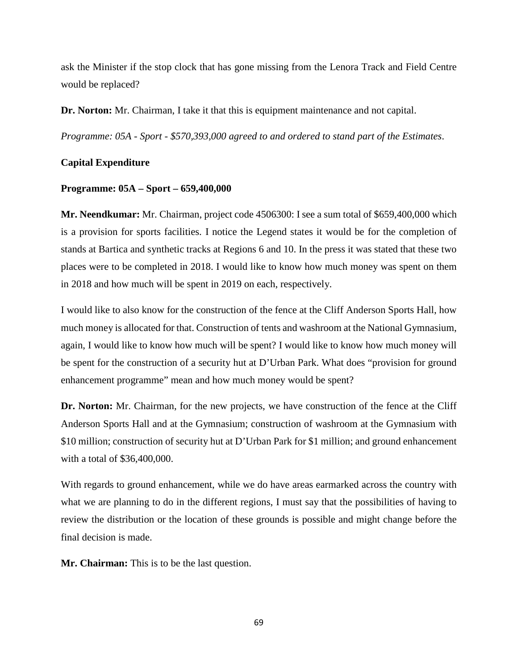ask the Minister if the stop clock that has gone missing from the Lenora Track and Field Centre would be replaced?

**Dr. Norton:** Mr. Chairman, I take it that this is equipment maintenance and not capital.

*Programme: 05A - Sport - \$570,393,000 agreed to and ordered to stand part of the Estimates*.

# **Capital Expenditure**

## **Programme: 05A – Sport – 659,400,000**

**Mr. Neendkumar:** Mr. Chairman, project code 4506300: I see a sum total of \$659,400,000 which is a provision for sports facilities. I notice the Legend states it would be for the completion of stands at Bartica and synthetic tracks at Regions 6 and 10. In the press it was stated that these two places were to be completed in 2018. I would like to know how much money was spent on them in 2018 and how much will be spent in 2019 on each, respectively.

I would like to also know for the construction of the fence at the Cliff Anderson Sports Hall, how much money is allocated for that. Construction of tents and washroom at the National Gymnasium, again, I would like to know how much will be spent? I would like to know how much money will be spent for the construction of a security hut at D'Urban Park. What does "provision for ground enhancement programme" mean and how much money would be spent?

**Dr. Norton:** Mr. Chairman, for the new projects, we have construction of the fence at the Cliff Anderson Sports Hall and at the Gymnasium; construction of washroom at the Gymnasium with \$10 million; construction of security hut at D'Urban Park for \$1 million; and ground enhancement with a total of \$36,400,000.

With regards to ground enhancement, while we do have areas earmarked across the country with what we are planning to do in the different regions, I must say that the possibilities of having to review the distribution or the location of these grounds is possible and might change before the final decision is made.

**Mr. Chairman:** This is to be the last question.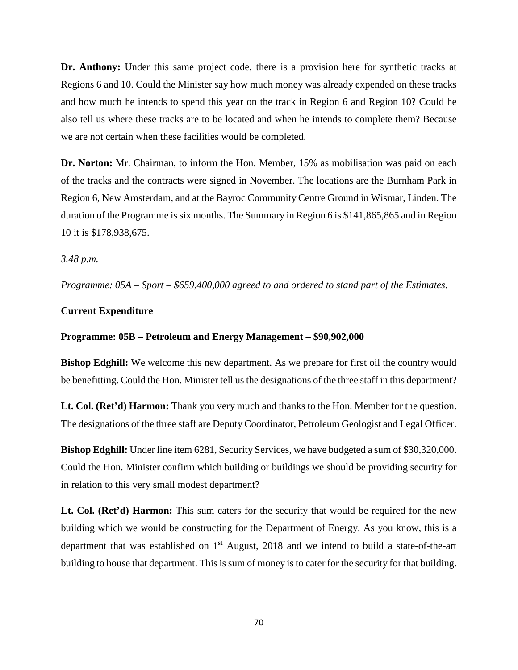**Dr. Anthony:** Under this same project code, there is a provision here for synthetic tracks at Regions 6 and 10. Could the Minister say how much money was already expended on these tracks and how much he intends to spend this year on the track in Region 6 and Region 10? Could he also tell us where these tracks are to be located and when he intends to complete them? Because we are not certain when these facilities would be completed.

**Dr. Norton:** Mr. Chairman, to inform the Hon. Member, 15% as mobilisation was paid on each of the tracks and the contracts were signed in November. The locations are the Burnham Park in Region 6, New Amsterdam, and at the Bayroc Community Centre Ground in Wismar, Linden. The duration of the Programme is six months. The Summary in Region 6 is \$141,865,865 and in Region 10 it is \$178,938,675.

*3.48 p.m.*

*Programme: 05A – Sport – \$659,400,000 agreed to and ordered to stand part of the Estimates.*

#### **Current Expenditure**

#### **Programme: 05B – Petroleum and Energy Management – \$90,902,000**

**Bishop Edghill:** We welcome this new department. As we prepare for first oil the country would be benefitting. Could the Hon. Minister tell us the designations of the three staff in this department?

**Lt. Col. (Ret'd) Harmon:** Thank you very much and thanks to the Hon. Member for the question. The designations of the three staff are Deputy Coordinator, Petroleum Geologist and Legal Officer.

**Bishop Edghill:** Under line item 6281, Security Services, we have budgeted a sum of \$30,320,000. Could the Hon. Minister confirm which building or buildings we should be providing security for in relation to this very small modest department?

Lt. Col. (Ret'd) Harmon: This sum caters for the security that would be required for the new building which we would be constructing for the Department of Energy. As you know, this is a department that was established on  $1<sup>st</sup>$  August, 2018 and we intend to build a state-of-the-art building to house that department. This is sum of money is to cater for the security for that building.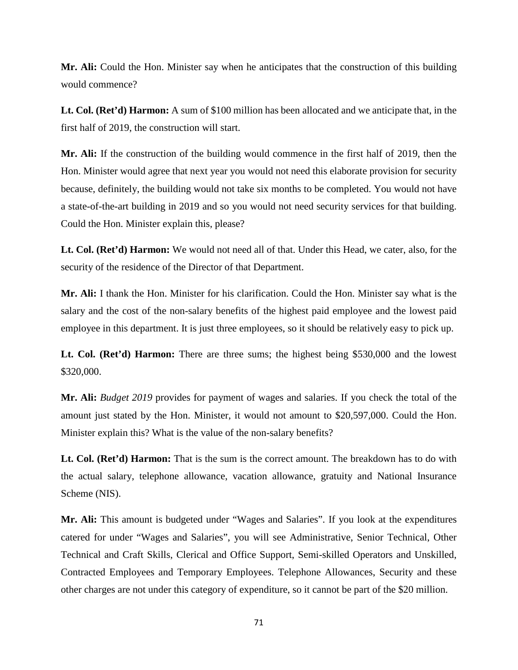**Mr. Ali:** Could the Hon. Minister say when he anticipates that the construction of this building would commence?

**Lt. Col. (Ret'd) Harmon:** A sum of \$100 million has been allocated and we anticipate that, in the first half of 2019, the construction will start.

**Mr. Ali:** If the construction of the building would commence in the first half of 2019, then the Hon. Minister would agree that next year you would not need this elaborate provision for security because, definitely, the building would not take six months to be completed. You would not have a state-of-the-art building in 2019 and so you would not need security services for that building. Could the Hon. Minister explain this, please?

**Lt. Col. (Ret'd) Harmon:** We would not need all of that. Under this Head, we cater, also, for the security of the residence of the Director of that Department.

**Mr. Ali:** I thank the Hon. Minister for his clarification. Could the Hon. Minister say what is the salary and the cost of the non-salary benefits of the highest paid employee and the lowest paid employee in this department. It is just three employees, so it should be relatively easy to pick up.

**Lt. Col. (Ret'd) Harmon:** There are three sums; the highest being \$530,000 and the lowest \$320,000.

**Mr. Ali:** *Budget 2019* provides for payment of wages and salaries. If you check the total of the amount just stated by the Hon. Minister, it would not amount to \$20,597,000. Could the Hon. Minister explain this? What is the value of the non-salary benefits?

Lt. Col. (Ret'd) Harmon: That is the sum is the correct amount. The breakdown has to do with the actual salary, telephone allowance, vacation allowance, gratuity and National Insurance Scheme (NIS).

**Mr. Ali:** This amount is budgeted under "Wages and Salaries". If you look at the expenditures catered for under "Wages and Salaries", you will see Administrative, Senior Technical, Other Technical and Craft Skills, Clerical and Office Support, Semi-skilled Operators and Unskilled, Contracted Employees and Temporary Employees. Telephone Allowances, Security and these other charges are not under this category of expenditure, so it cannot be part of the \$20 million.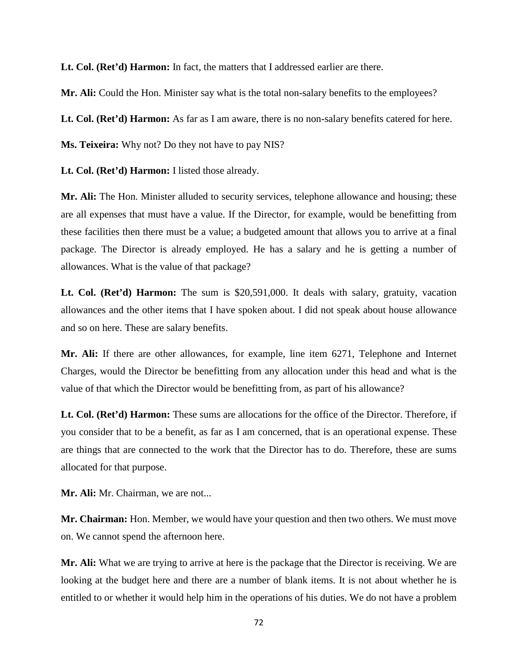**Lt. Col. (Ret'd) Harmon:** In fact, the matters that I addressed earlier are there.

**Mr. Ali:** Could the Hon. Minister say what is the total non-salary benefits to the employees?

**Lt. Col. (Ret'd) Harmon:** As far as I am aware, there is no non-salary benefits catered for here.

**Ms. Teixeira:** Why not? Do they not have to pay NIS?

**Lt. Col. (Ret'd) Harmon:** I listed those already.

**Mr. Ali:** The Hon. Minister alluded to security services, telephone allowance and housing; these are all expenses that must have a value. If the Director, for example, would be benefitting from these facilities then there must be a value; a budgeted amount that allows you to arrive at a final package. The Director is already employed. He has a salary and he is getting a number of allowances. What is the value of that package?

Lt. Col. (Ret'd) Harmon: The sum is \$20,591,000. It deals with salary, gratuity, vacation allowances and the other items that I have spoken about. I did not speak about house allowance and so on here. These are salary benefits.

**Mr. Ali:** If there are other allowances, for example, line item 6271, Telephone and Internet Charges, would the Director be benefitting from any allocation under this head and what is the value of that which the Director would be benefitting from, as part of his allowance?

**Lt. Col. (Ret'd) Harmon:** These sums are allocations for the office of the Director. Therefore, if you consider that to be a benefit, as far as I am concerned, that is an operational expense. These are things that are connected to the work that the Director has to do. Therefore, these are sums allocated for that purpose.

**Mr. Ali:** Mr. Chairman, we are not...

**Mr. Chairman:** Hon. Member, we would have your question and then two others. We must move on. We cannot spend the afternoon here.

**Mr. Ali:** What we are trying to arrive at here is the package that the Director is receiving. We are looking at the budget here and there are a number of blank items. It is not about whether he is entitled to or whether it would help him in the operations of his duties. We do not have a problem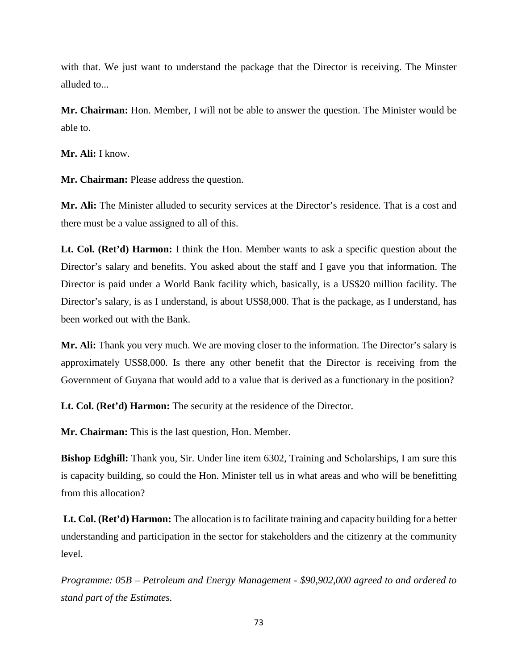with that. We just want to understand the package that the Director is receiving. The Minster alluded to...

**Mr. Chairman:** Hon. Member, I will not be able to answer the question. The Minister would be able to.

**Mr. Ali:** I know.

**Mr. Chairman:** Please address the question.

**Mr. Ali:** The Minister alluded to security services at the Director's residence. That is a cost and there must be a value assigned to all of this.

**Lt. Col. (Ret'd) Harmon:** I think the Hon. Member wants to ask a specific question about the Director's salary and benefits. You asked about the staff and I gave you that information. The Director is paid under a World Bank facility which, basically, is a US\$20 million facility. The Director's salary, is as I understand, is about US\$8,000. That is the package, as I understand, has been worked out with the Bank.

**Mr. Ali:** Thank you very much. We are moving closer to the information. The Director's salary is approximately US\$8,000. Is there any other benefit that the Director is receiving from the Government of Guyana that would add to a value that is derived as a functionary in the position?

**Lt. Col. (Ret'd) Harmon:** The security at the residence of the Director.

**Mr. Chairman:** This is the last question, Hon. Member.

**Bishop Edghill:** Thank you, Sir. Under line item 6302, Training and Scholarships, I am sure this is capacity building, so could the Hon. Minister tell us in what areas and who will be benefitting from this allocation?

**Lt. Col. (Ret'd) Harmon:** The allocation is to facilitate training and capacity building for a better understanding and participation in the sector for stakeholders and the citizenry at the community level.

*Programme: 05B – Petroleum and Energy Management - \$90,902,000 agreed to and ordered to stand part of the Estimates.*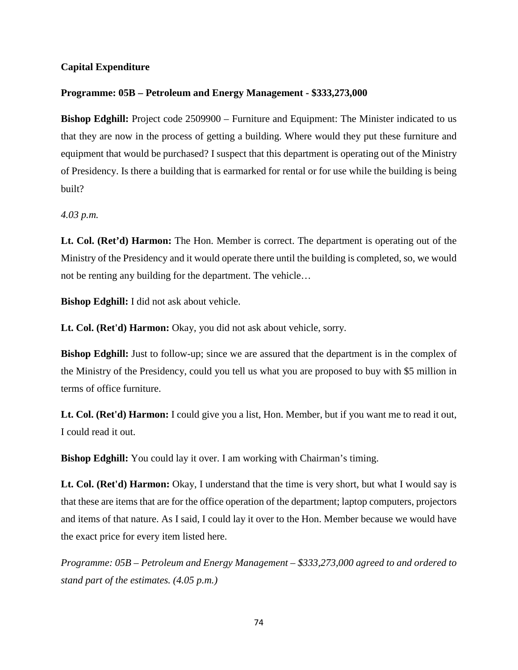## **Capital Expenditure**

## **Programme: 05B – Petroleum and Energy Management - \$333,273,000**

**Bishop Edghill:** Project code 2509900 – Furniture and Equipment: The Minister indicated to us that they are now in the process of getting a building. Where would they put these furniture and equipment that would be purchased? I suspect that this department is operating out of the Ministry of Presidency. Is there a building that is earmarked for rental or for use while the building is being built?

*4.03 p.m.* 

**Lt. Col. (Ret'd) Harmon:** The Hon. Member is correct. The department is operating out of the Ministry of the Presidency and it would operate there until the building is completed, so, we would not be renting any building for the department. The vehicle…

**Bishop Edghill:** I did not ask about vehicle.

**Lt. Col. (Ret'd) Harmon:** Okay, you did not ask about vehicle, sorry.

**Bishop Edghill:** Just to follow-up; since we are assured that the department is in the complex of the Ministry of the Presidency, could you tell us what you are proposed to buy with \$5 million in terms of office furniture.

**Lt. Col. (Ret'd) Harmon:** I could give you a list, Hon. Member, but if you want me to read it out, I could read it out.

**Bishop Edghill:** You could lay it over. I am working with Chairman's timing.

**Lt. Col. (Ret'd) Harmon:** Okay, I understand that the time is very short, but what I would say is that these are items that are for the office operation of the department; laptop computers, projectors and items of that nature. As I said, I could lay it over to the Hon. Member because we would have the exact price for every item listed here.

*Programme: 05B – Petroleum and Energy Management – \$333,273,000 agreed to and ordered to stand part of the estimates. (4.05 p.m.)*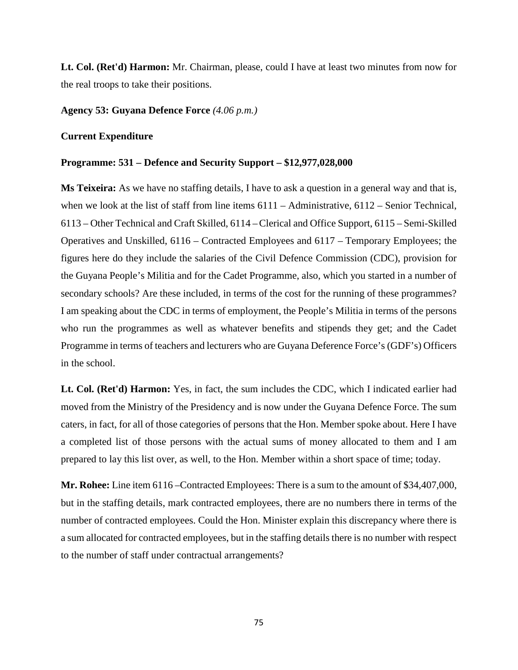**Lt. Col. (Ret'd) Harmon:** Mr. Chairman, please, could I have at least two minutes from now for the real troops to take their positions.

## **Agency 53: Guyana Defence Force** *(4.06 p.m.)*

### **Current Expenditure**

## **Programme: 531 – Defence and Security Support – \$12,977,028,000**

**Ms Teixeira:** As we have no staffing details, I have to ask a question in a general way and that is, when we look at the list of staff from line items  $6111 -$ Administrative,  $6112 -$ Senior Technical, 6113 – Other Technical and Craft Skilled, 6114 –Clerical and Office Support, 6115 – Semi-Skilled Operatives and Unskilled, 6116 – Contracted Employees and 6117 – Temporary Employees; the figures here do they include the salaries of the Civil Defence Commission (CDC), provision for the Guyana People's Militia and for the Cadet Programme, also, which you started in a number of secondary schools? Are these included, in terms of the cost for the running of these programmes? I am speaking about the CDC in terms of employment, the People's Militia in terms of the persons who run the programmes as well as whatever benefits and stipends they get; and the Cadet Programme in terms of teachers and lecturers who are Guyana Deference Force's (GDF's) Officers in the school.

**Lt. Col. (Ret'd) Harmon:** Yes, in fact, the sum includes the CDC, which I indicated earlier had moved from the Ministry of the Presidency and is now under the Guyana Defence Force. The sum caters, in fact, for all of those categories of persons that the Hon. Member spoke about. Here I have a completed list of those persons with the actual sums of money allocated to them and I am prepared to lay this list over, as well, to the Hon. Member within a short space of time; today.

**Mr. Rohee:** Line item 6116 –Contracted Employees: There is a sum to the amount of \$34,407,000, but in the staffing details, mark contracted employees, there are no numbers there in terms of the number of contracted employees. Could the Hon. Minister explain this discrepancy where there is a sum allocated for contracted employees, but in the staffing details there is no number with respect to the number of staff under contractual arrangements?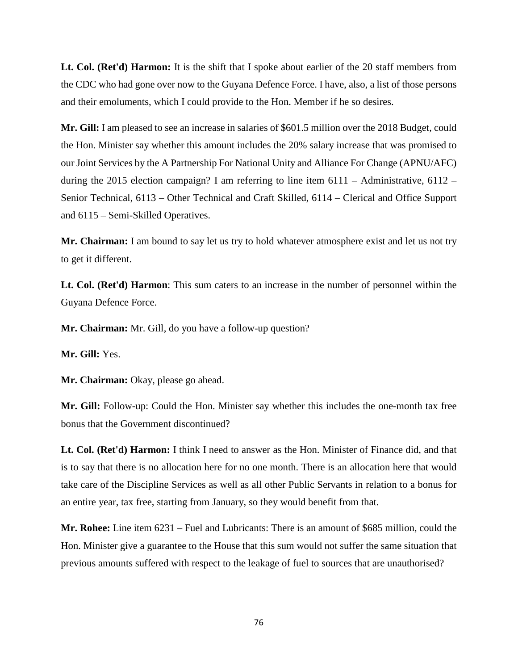**Lt. Col. (Ret'd) Harmon:** It is the shift that I spoke about earlier of the 20 staff members from the CDC who had gone over now to the Guyana Defence Force. I have, also, a list of those persons and their emoluments, which I could provide to the Hon. Member if he so desires.

**Mr. Gill:** I am pleased to see an increase in salaries of \$601.5 million over the 2018 Budget, could the Hon. Minister say whether this amount includes the 20% salary increase that was promised to our Joint Services by the A Partnership For National Unity and Alliance For Change (APNU/AFC) during the 2015 election campaign? I am referring to line item  $6111 -$  Administrative,  $6112 -$ Senior Technical, 6113 – Other Technical and Craft Skilled, 6114 – Clerical and Office Support and 6115 – Semi-Skilled Operatives.

**Mr. Chairman:** I am bound to say let us try to hold whatever atmosphere exist and let us not try to get it different.

**Lt. Col. (Ret'd) Harmon**: This sum caters to an increase in the number of personnel within the Guyana Defence Force.

**Mr. Chairman:** Mr. Gill, do you have a follow-up question?

**Mr. Gill:** Yes.

**Mr. Chairman:** Okay, please go ahead.

**Mr. Gill:** Follow-up: Could the Hon. Minister say whether this includes the one-month tax free bonus that the Government discontinued?

**Lt. Col. (Ret'd) Harmon:** I think I need to answer as the Hon. Minister of Finance did, and that is to say that there is no allocation here for no one month. There is an allocation here that would take care of the Discipline Services as well as all other Public Servants in relation to a bonus for an entire year, tax free, starting from January, so they would benefit from that.

**Mr. Rohee:** Line item 6231 – Fuel and Lubricants: There is an amount of \$685 million, could the Hon. Minister give a guarantee to the House that this sum would not suffer the same situation that previous amounts suffered with respect to the leakage of fuel to sources that are unauthorised?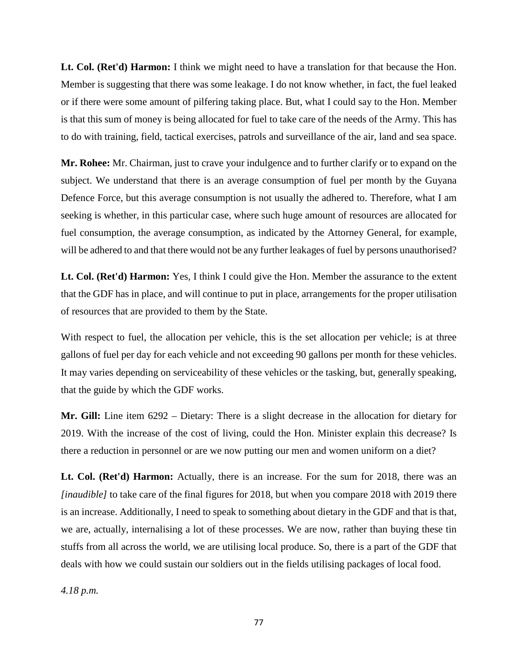**Lt. Col. (Ret'd) Harmon:** I think we might need to have a translation for that because the Hon. Member is suggesting that there was some leakage. I do not know whether, in fact, the fuel leaked or if there were some amount of pilfering taking place. But, what I could say to the Hon. Member is that this sum of money is being allocated for fuel to take care of the needs of the Army. This has to do with training, field, tactical exercises, patrols and surveillance of the air, land and sea space.

**Mr. Rohee:** Mr. Chairman, just to crave your indulgence and to further clarify or to expand on the subject. We understand that there is an average consumption of fuel per month by the Guyana Defence Force, but this average consumption is not usually the adhered to. Therefore, what I am seeking is whether, in this particular case, where such huge amount of resources are allocated for fuel consumption, the average consumption, as indicated by the Attorney General, for example, will be adhered to and that there would not be any further leakages of fuel by persons unauthorised?

**Lt. Col. (Ret'd) Harmon:** Yes, I think I could give the Hon. Member the assurance to the extent that the GDF has in place, and will continue to put in place, arrangements for the proper utilisation of resources that are provided to them by the State.

With respect to fuel, the allocation per vehicle, this is the set allocation per vehicle; is at three gallons of fuel per day for each vehicle and not exceeding 90 gallons per month for these vehicles. It may varies depending on serviceability of these vehicles or the tasking, but, generally speaking, that the guide by which the GDF works.

**Mr. Gill:** Line item 6292 – Dietary: There is a slight decrease in the allocation for dietary for 2019. With the increase of the cost of living, could the Hon. Minister explain this decrease? Is there a reduction in personnel or are we now putting our men and women uniform on a diet?

**Lt. Col. (Ret'd) Harmon:** Actually, there is an increase. For the sum for 2018, there was an *[inaudible]* to take care of the final figures for 2018, but when you compare 2018 with 2019 there is an increase. Additionally, I need to speak to something about dietary in the GDF and that is that, we are, actually, internalising a lot of these processes. We are now, rather than buying these tin stuffs from all across the world, we are utilising local produce. So, there is a part of the GDF that deals with how we could sustain our soldiers out in the fields utilising packages of local food.

*4.18 p.m.*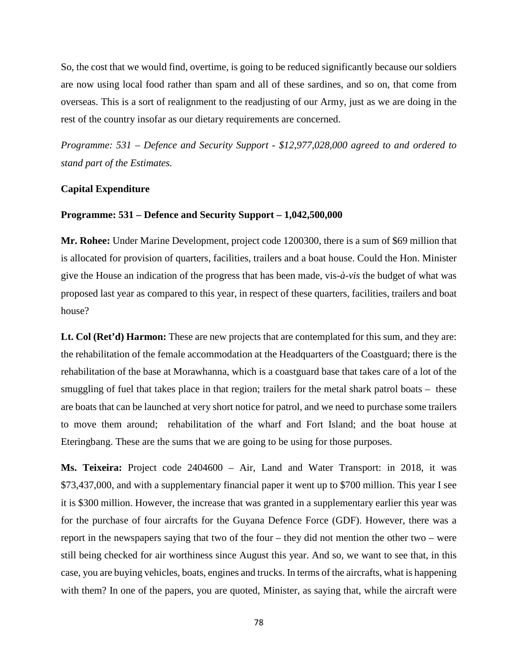So, the cost that we would find, overtime, is going to be reduced significantly because our soldiers are now using local food rather than spam and all of these sardines, and so on, that come from overseas. This is a sort of realignment to the readjusting of our Army, just as we are doing in the rest of the country insofar as our dietary requirements are concerned.

*Programme: 531 – Defence and Security Support - \$12,977,028,000 agreed to and ordered to stand part of the Estimates.* 

## **Capital Expenditure**

### **Programme: 531 – Defence and Security Support – 1,042,500,000**

**Mr. Rohee:** Under Marine Development, project code 1200300, there is a sum of \$69 million that is allocated for provision of quarters, facilities, trailers and a boat house. Could the Hon. Minister give the House an indication of the progress that has been made, vis*-à-vis* the budget of what was proposed last year as compared to this year, in respect of these quarters, facilities, trailers and boat house?

Lt. Col (Ret'd) Harmon: These are new projects that are contemplated for this sum, and they are: the rehabilitation of the female accommodation at the Headquarters of the Coastguard; there is the rehabilitation of the base at Morawhanna, which is a coastguard base that takes care of a lot of the smuggling of fuel that takes place in that region; trailers for the metal shark patrol boats – these are boats that can be launched at very short notice for patrol, and we need to purchase some trailers to move them around; rehabilitation of the wharf and Fort Island; and the boat house at Eteringbang. These are the sums that we are going to be using for those purposes.

**Ms. Teixeira:** Project code 2404600 – Air, Land and Water Transport: in 2018, it was \$73,437,000, and with a supplementary financial paper it went up to \$700 million. This year I see it is \$300 million. However, the increase that was granted in a supplementary earlier this year was for the purchase of four aircrafts for the Guyana Defence Force (GDF). However, there was a report in the newspapers saying that two of the four – they did not mention the other two – were still being checked for air worthiness since August this year. And so, we want to see that, in this case, you are buying vehicles, boats, engines and trucks. In terms of the aircrafts, what is happening with them? In one of the papers, you are quoted, Minister, as saying that, while the aircraft were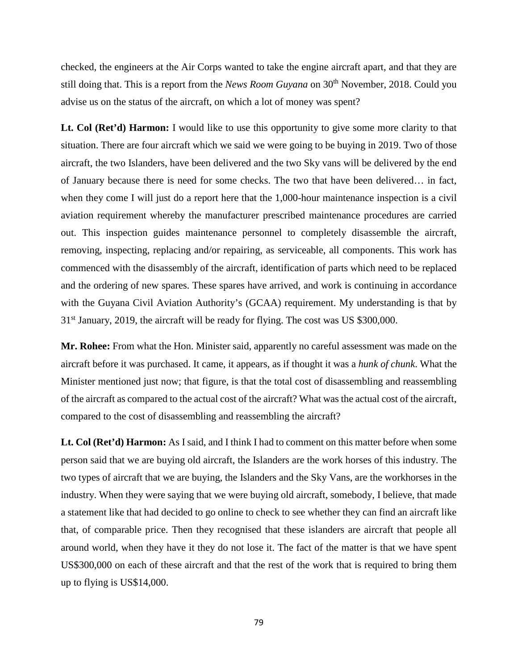checked, the engineers at the Air Corps wanted to take the engine aircraft apart, and that they are still doing that. This is a report from the *News Room Guyana* on 30<sup>th</sup> November, 2018. Could you advise us on the status of the aircraft, on which a lot of money was spent?

**Lt. Col (Ret'd) Harmon:** I would like to use this opportunity to give some more clarity to that situation. There are four aircraft which we said we were going to be buying in 2019. Two of those aircraft, the two Islanders, have been delivered and the two Sky vans will be delivered by the end of January because there is need for some checks. The two that have been delivered… in fact, when they come I will just do a report here that the 1,000-hour maintenance inspection is a civil aviation requirement whereby the manufacturer prescribed maintenance procedures are carried out. This inspection guides maintenance personnel to completely disassemble the aircraft, removing, inspecting, replacing and/or repairing, as serviceable, all components. This work has commenced with the disassembly of the aircraft, identification of parts which need to be replaced and the ordering of new spares. These spares have arrived, and work is continuing in accordance with the Guyana Civil Aviation Authority's (GCAA) requirement. My understanding is that by 31st January, 2019, the aircraft will be ready for flying. The cost was US \$300,000.

**Mr. Rohee:** From what the Hon. Minister said, apparently no careful assessment was made on the aircraft before it was purchased. It came, it appears, as if thought it was a *hunk of chunk*. What the Minister mentioned just now; that figure, is that the total cost of disassembling and reassembling of the aircraft as compared to the actual cost of the aircraft? What was the actual cost of the aircraft, compared to the cost of disassembling and reassembling the aircraft?

**Lt. Col (Ret'd) Harmon:** As I said, and I think I had to comment on this matter before when some person said that we are buying old aircraft, the Islanders are the work horses of this industry. The two types of aircraft that we are buying, the Islanders and the Sky Vans, are the workhorses in the industry. When they were saying that we were buying old aircraft, somebody, I believe, that made a statement like that had decided to go online to check to see whether they can find an aircraft like that, of comparable price. Then they recognised that these islanders are aircraft that people all around world, when they have it they do not lose it. The fact of the matter is that we have spent US\$300,000 on each of these aircraft and that the rest of the work that is required to bring them up to flying is US\$14,000.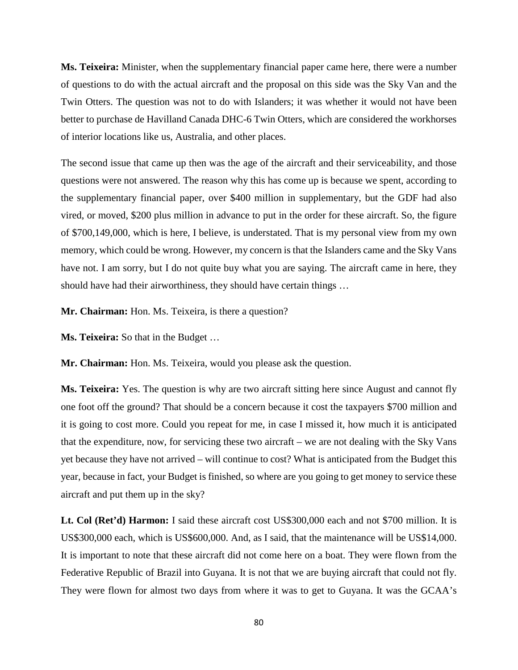**Ms. Teixeira:** Minister, when the supplementary financial paper came here, there were a number of questions to do with the actual aircraft and the proposal on this side was the Sky Van and the Twin Otters. The question was not to do with Islanders; it was whether it would not have been better to purchase de Havilland Canada DHC-6 Twin Otters, which are considered the workhorses of interior locations like us, Australia, and other places.

The second issue that came up then was the age of the aircraft and their serviceability, and those questions were not answered. The reason why this has come up is because we spent, according to the supplementary financial paper, over \$400 million in supplementary, but the GDF had also vired, or moved, \$200 plus million in advance to put in the order for these aircraft. So, the figure of \$700,149,000, which is here, I believe, is understated. That is my personal view from my own memory, which could be wrong. However, my concern is that the Islanders came and the Sky Vans have not. I am sorry, but I do not quite buy what you are saying. The aircraft came in here, they should have had their airworthiness, they should have certain things …

**Mr. Chairman:** Hon. Ms. Teixeira, is there a question?

**Ms. Teixeira:** So that in the Budget …

**Mr. Chairman:** Hon. Ms. Teixeira, would you please ask the question.

**Ms. Teixeira:** Yes. The question is why are two aircraft sitting here since August and cannot fly one foot off the ground? That should be a concern because it cost the taxpayers \$700 million and it is going to cost more. Could you repeat for me, in case I missed it, how much it is anticipated that the expenditure, now, for servicing these two aircraft – we are not dealing with the Sky Vans yet because they have not arrived – will continue to cost? What is anticipated from the Budget this year, because in fact, your Budget is finished, so where are you going to get money to service these aircraft and put them up in the sky?

**Lt. Col (Ret'd) Harmon:** I said these aircraft cost US\$300,000 each and not \$700 million. It is US\$300,000 each, which is US\$600,000. And, as I said, that the maintenance will be US\$14,000. It is important to note that these aircraft did not come here on a boat. They were flown from the Federative Republic of Brazil into Guyana. It is not that we are buying aircraft that could not fly. They were flown for almost two days from where it was to get to Guyana. It was the GCAA's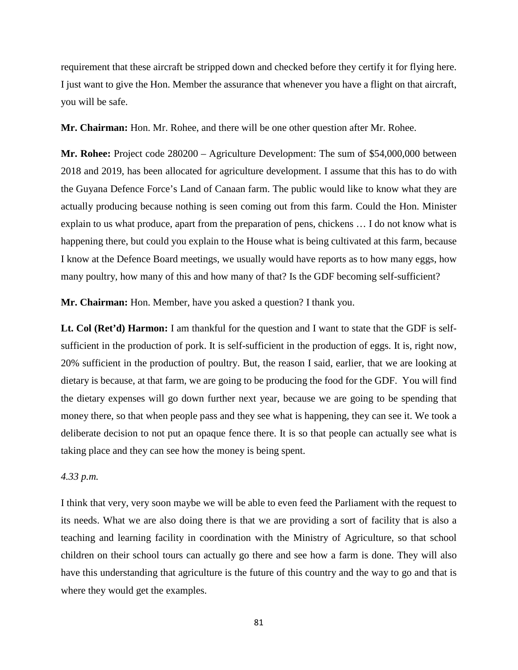requirement that these aircraft be stripped down and checked before they certify it for flying here. I just want to give the Hon. Member the assurance that whenever you have a flight on that aircraft, you will be safe.

**Mr. Chairman:** Hon. Mr. Rohee, and there will be one other question after Mr. Rohee.

**Mr. Rohee:** Project code 280200 – Agriculture Development: The sum of \$54,000,000 between 2018 and 2019, has been allocated for agriculture development. I assume that this has to do with the Guyana Defence Force's Land of Canaan farm. The public would like to know what they are actually producing because nothing is seen coming out from this farm. Could the Hon. Minister explain to us what produce, apart from the preparation of pens, chickens … I do not know what is happening there, but could you explain to the House what is being cultivated at this farm, because I know at the Defence Board meetings, we usually would have reports as to how many eggs, how many poultry, how many of this and how many of that? Is the GDF becoming self-sufficient?

**Mr. Chairman:** Hon. Member, have you asked a question? I thank you.

**Lt. Col (Ret'd) Harmon:** I am thankful for the question and I want to state that the GDF is selfsufficient in the production of pork. It is self-sufficient in the production of eggs. It is, right now, 20% sufficient in the production of poultry. But, the reason I said, earlier, that we are looking at dietary is because, at that farm, we are going to be producing the food for the GDF. You will find the dietary expenses will go down further next year, because we are going to be spending that money there, so that when people pass and they see what is happening, they can see it. We took a deliberate decision to not put an opaque fence there. It is so that people can actually see what is taking place and they can see how the money is being spent.

## *4.33 p.m.*

I think that very, very soon maybe we will be able to even feed the Parliament with the request to its needs. What we are also doing there is that we are providing a sort of facility that is also a teaching and learning facility in coordination with the Ministry of Agriculture, so that school children on their school tours can actually go there and see how a farm is done. They will also have this understanding that agriculture is the future of this country and the way to go and that is where they would get the examples.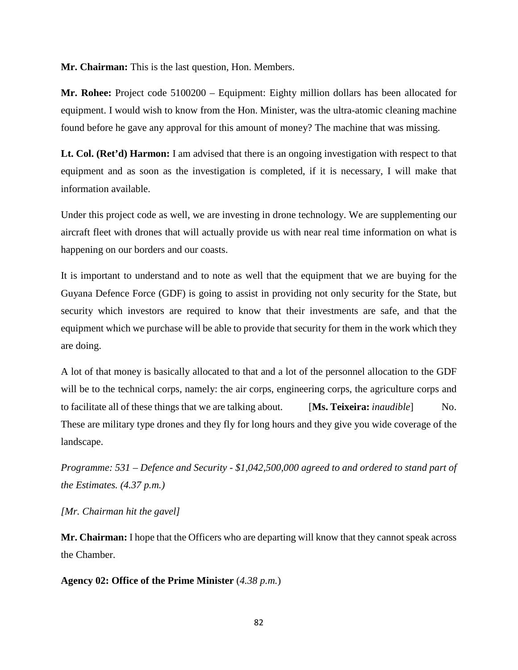**Mr. Chairman:** This is the last question, Hon. Members.

**Mr. Rohee:** Project code 5100200 – Equipment: Eighty million dollars has been allocated for equipment. I would wish to know from the Hon. Minister, was the ultra-atomic cleaning machine found before he gave any approval for this amount of money? The machine that was missing.

Lt. Col. (Ret'd) Harmon: I am advised that there is an ongoing investigation with respect to that equipment and as soon as the investigation is completed, if it is necessary, I will make that information available.

Under this project code as well, we are investing in drone technology. We are supplementing our aircraft fleet with drones that will actually provide us with near real time information on what is happening on our borders and our coasts.

It is important to understand and to note as well that the equipment that we are buying for the Guyana Defence Force (GDF) is going to assist in providing not only security for the State, but security which investors are required to know that their investments are safe, and that the equipment which we purchase will be able to provide that security for them in the work which they are doing.

A lot of that money is basically allocated to that and a lot of the personnel allocation to the GDF will be to the technical corps, namely: the air corps, engineering corps, the agriculture corps and to facilitate all of these things that we are talking about. [**Ms. Teixeira:** *inaudible*] No. These are military type drones and they fly for long hours and they give you wide coverage of the landscape.

*Programme: 531 – Defence and Security - \$1,042,500,000 agreed to and ordered to stand part of the Estimates. (4.37 p.m.)*

*[Mr. Chairman hit the gavel]*

**Mr. Chairman:** I hope that the Officers who are departing will know that they cannot speak across the Chamber.

**Agency 02: Office of the Prime Minister** (*4.38 p.m.*)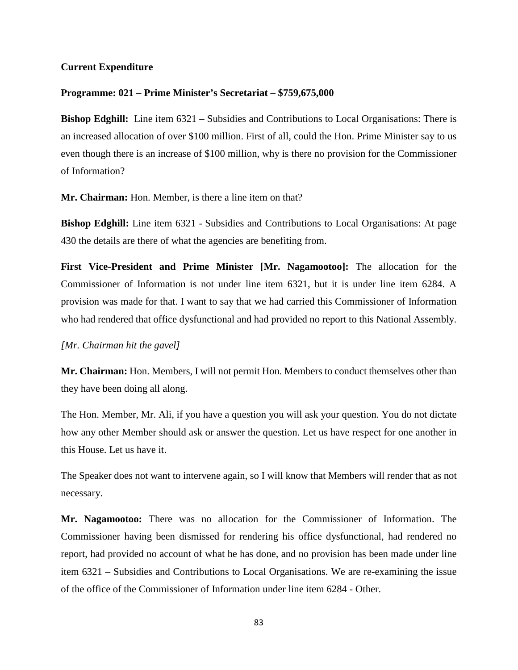## **Current Expenditure**

## **Programme: 021 – Prime Minister's Secretariat – \$759,675,000**

**Bishop Edghill:** Line item 6321 – Subsidies and Contributions to Local Organisations: There is an increased allocation of over \$100 million. First of all, could the Hon. Prime Minister say to us even though there is an increase of \$100 million, why is there no provision for the Commissioner of Information?

**Mr. Chairman:** Hon. Member, is there a line item on that?

**Bishop Edghill:** Line item 6321 - Subsidies and Contributions to Local Organisations: At page 430 the details are there of what the agencies are benefiting from.

**First Vice-President and Prime Minister [Mr. Nagamootoo]:** The allocation for the Commissioner of Information is not under line item 6321, but it is under line item 6284. A provision was made for that. I want to say that we had carried this Commissioner of Information who had rendered that office dysfunctional and had provided no report to this National Assembly.

*[Mr. Chairman hit the gavel]*

**Mr. Chairman:** Hon. Members, I will not permit Hon. Members to conduct themselves other than they have been doing all along.

The Hon. Member, Mr. Ali, if you have a question you will ask your question. You do not dictate how any other Member should ask or answer the question. Let us have respect for one another in this House. Let us have it.

The Speaker does not want to intervene again, so I will know that Members will render that as not necessary.

**Mr. Nagamootoo:** There was no allocation for the Commissioner of Information. The Commissioner having been dismissed for rendering his office dysfunctional, had rendered no report, had provided no account of what he has done, and no provision has been made under line item 6321 – Subsidies and Contributions to Local Organisations. We are re-examining the issue of the office of the Commissioner of Information under line item 6284 - Other.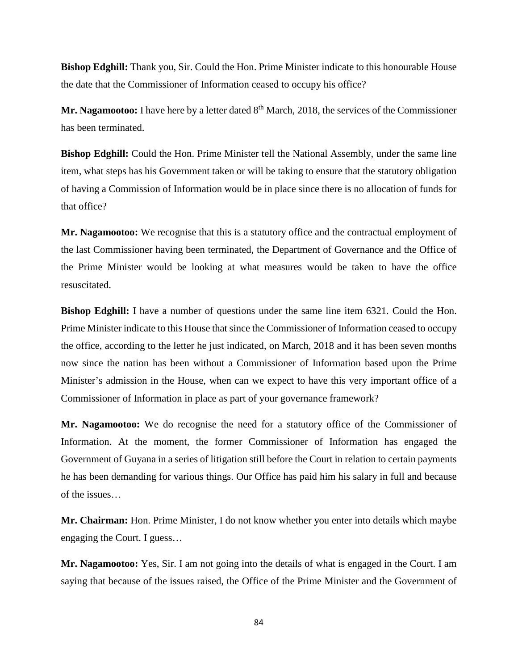**Bishop Edghill:** Thank you, Sir. Could the Hon. Prime Minister indicate to this honourable House the date that the Commissioner of Information ceased to occupy his office?

Mr. Nagamootoo: I have here by a letter dated 8<sup>th</sup> March, 2018, the services of the Commissioner has been terminated.

**Bishop Edghill:** Could the Hon. Prime Minister tell the National Assembly, under the same line item, what steps has his Government taken or will be taking to ensure that the statutory obligation of having a Commission of Information would be in place since there is no allocation of funds for that office?

**Mr. Nagamootoo:** We recognise that this is a statutory office and the contractual employment of the last Commissioner having been terminated, the Department of Governance and the Office of the Prime Minister would be looking at what measures would be taken to have the office resuscitated.

**Bishop Edghill:** I have a number of questions under the same line item 6321. Could the Hon. Prime Minister indicate to this House that since the Commissioner of Information ceased to occupy the office, according to the letter he just indicated, on March, 2018 and it has been seven months now since the nation has been without a Commissioner of Information based upon the Prime Minister's admission in the House, when can we expect to have this very important office of a Commissioner of Information in place as part of your governance framework?

**Mr. Nagamootoo:** We do recognise the need for a statutory office of the Commissioner of Information. At the moment, the former Commissioner of Information has engaged the Government of Guyana in a series of litigation still before the Court in relation to certain payments he has been demanding for various things. Our Office has paid him his salary in full and because of the issues…

**Mr. Chairman:** Hon. Prime Minister, I do not know whether you enter into details which maybe engaging the Court. I guess…

**Mr. Nagamootoo:** Yes, Sir. I am not going into the details of what is engaged in the Court. I am saying that because of the issues raised, the Office of the Prime Minister and the Government of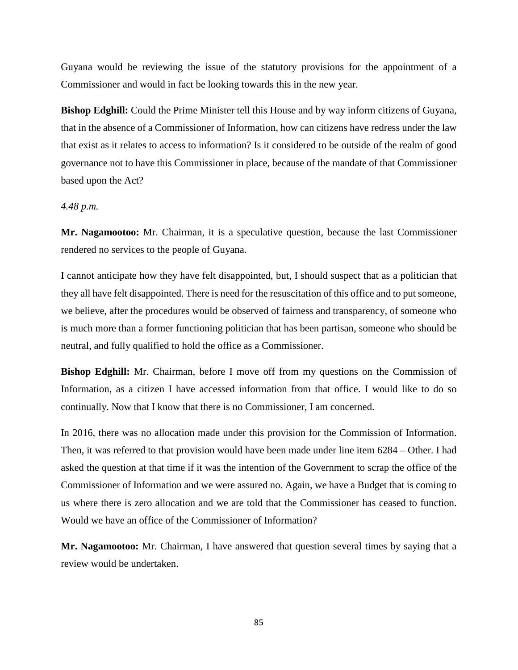Guyana would be reviewing the issue of the statutory provisions for the appointment of a Commissioner and would in fact be looking towards this in the new year.

**Bishop Edghill:** Could the Prime Minister tell this House and by way inform citizens of Guyana, that in the absence of a Commissioner of Information, how can citizens have redress under the law that exist as it relates to access to information? Is it considered to be outside of the realm of good governance not to have this Commissioner in place, because of the mandate of that Commissioner based upon the Act?

## *4.48 p.m.*

**Mr. Nagamootoo:** Mr. Chairman, it is a speculative question, because the last Commissioner rendered no services to the people of Guyana.

I cannot anticipate how they have felt disappointed, but, I should suspect that as a politician that they all have felt disappointed. There is need for the resuscitation of this office and to put someone, we believe, after the procedures would be observed of fairness and transparency, of someone who is much more than a former functioning politician that has been partisan, someone who should be neutral, and fully qualified to hold the office as a Commissioner.

**Bishop Edghill:** Mr. Chairman, before I move off from my questions on the Commission of Information, as a citizen I have accessed information from that office. I would like to do so continually. Now that I know that there is no Commissioner, I am concerned.

In 2016, there was no allocation made under this provision for the Commission of Information. Then, it was referred to that provision would have been made under line item 6284 – Other. I had asked the question at that time if it was the intention of the Government to scrap the office of the Commissioner of Information and we were assured no. Again, we have a Budget that is coming to us where there is zero allocation and we are told that the Commissioner has ceased to function. Would we have an office of the Commissioner of Information?

**Mr. Nagamootoo:** Mr. Chairman, I have answered that question several times by saying that a review would be undertaken.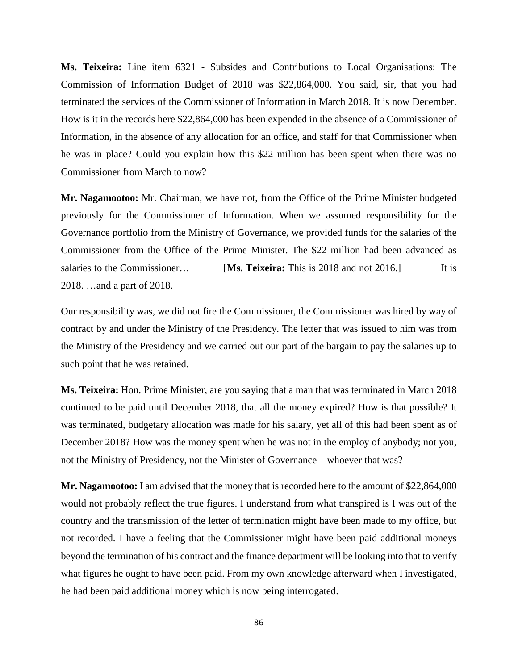**Ms. Teixeira:** Line item 6321 - Subsides and Contributions to Local Organisations: The Commission of Information Budget of 2018 was \$22,864,000. You said, sir, that you had terminated the services of the Commissioner of Information in March 2018. It is now December. How is it in the records here \$22,864,000 has been expended in the absence of a Commissioner of Information, in the absence of any allocation for an office, and staff for that Commissioner when he was in place? Could you explain how this \$22 million has been spent when there was no Commissioner from March to now?

**Mr. Nagamootoo:** Mr. Chairman, we have not, from the Office of the Prime Minister budgeted previously for the Commissioner of Information. When we assumed responsibility for the Governance portfolio from the Ministry of Governance, we provided funds for the salaries of the Commissioner from the Office of the Prime Minister. The \$22 million had been advanced as salaries to the Commissioner… **[Ms. Teixeira:** This is 2018 and not 2016.] It is 2018. …and a part of 2018.

Our responsibility was, we did not fire the Commissioner, the Commissioner was hired by way of contract by and under the Ministry of the Presidency. The letter that was issued to him was from the Ministry of the Presidency and we carried out our part of the bargain to pay the salaries up to such point that he was retained.

**Ms. Teixeira:** Hon. Prime Minister, are you saying that a man that was terminated in March 2018 continued to be paid until December 2018, that all the money expired? How is that possible? It was terminated, budgetary allocation was made for his salary, yet all of this had been spent as of December 2018? How was the money spent when he was not in the employ of anybody; not you, not the Ministry of Presidency, not the Minister of Governance – whoever that was?

**Mr. Nagamootoo:** I am advised that the money that is recorded here to the amount of \$22,864,000 would not probably reflect the true figures. I understand from what transpired is I was out of the country and the transmission of the letter of termination might have been made to my office, but not recorded. I have a feeling that the Commissioner might have been paid additional moneys beyond the termination of his contract and the finance department will be looking into that to verify what figures he ought to have been paid. From my own knowledge afterward when I investigated, he had been paid additional money which is now being interrogated.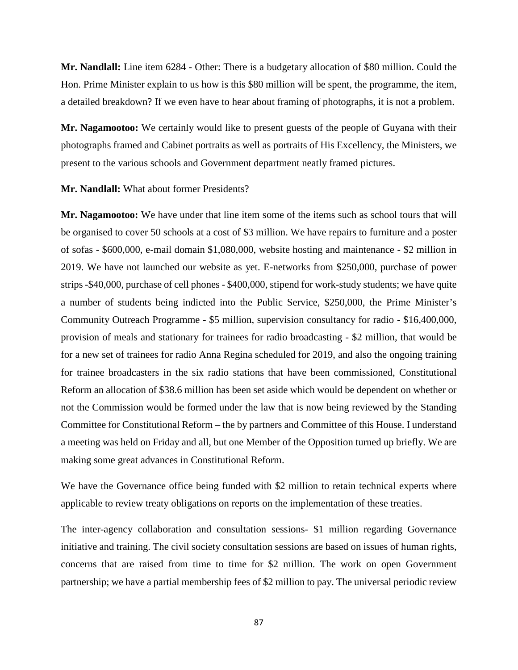**Mr. Nandlall:** Line item 6284 - Other: There is a budgetary allocation of \$80 million. Could the Hon. Prime Minister explain to us how is this \$80 million will be spent, the programme, the item, a detailed breakdown? If we even have to hear about framing of photographs, it is not a problem.

**Mr. Nagamootoo:** We certainly would like to present guests of the people of Guyana with their photographs framed and Cabinet portraits as well as portraits of His Excellency, the Ministers, we present to the various schools and Government department neatly framed pictures.

**Mr. Nandlall:** What about former Presidents?

**Mr. Nagamootoo:** We have under that line item some of the items such as school tours that will be organised to cover 50 schools at a cost of \$3 million. We have repairs to furniture and a poster of sofas - \$600,000, e-mail domain \$1,080,000, website hosting and maintenance - \$2 million in 2019. We have not launched our website as yet. E-networks from \$250,000, purchase of power strips -\$40,000, purchase of cell phones - \$400,000, stipend for work-study students; we have quite a number of students being indicted into the Public Service, \$250,000, the Prime Minister's Community Outreach Programme - \$5 million, supervision consultancy for radio - \$16,400,000, provision of meals and stationary for trainees for radio broadcasting - \$2 million, that would be for a new set of trainees for radio Anna Regina scheduled for 2019, and also the ongoing training for trainee broadcasters in the six radio stations that have been commissioned, Constitutional Reform an allocation of \$38.6 million has been set aside which would be dependent on whether or not the Commission would be formed under the law that is now being reviewed by the Standing Committee for Constitutional Reform – the by partners and Committee of this House. I understand a meeting was held on Friday and all, but one Member of the Opposition turned up briefly. We are making some great advances in Constitutional Reform.

We have the Governance office being funded with \$2 million to retain technical experts where applicable to review treaty obligations on reports on the implementation of these treaties.

The inter-agency collaboration and consultation sessions- \$1 million regarding Governance initiative and training. The civil society consultation sessions are based on issues of human rights, concerns that are raised from time to time for \$2 million. The work on open Government partnership; we have a partial membership fees of \$2 million to pay. The universal periodic review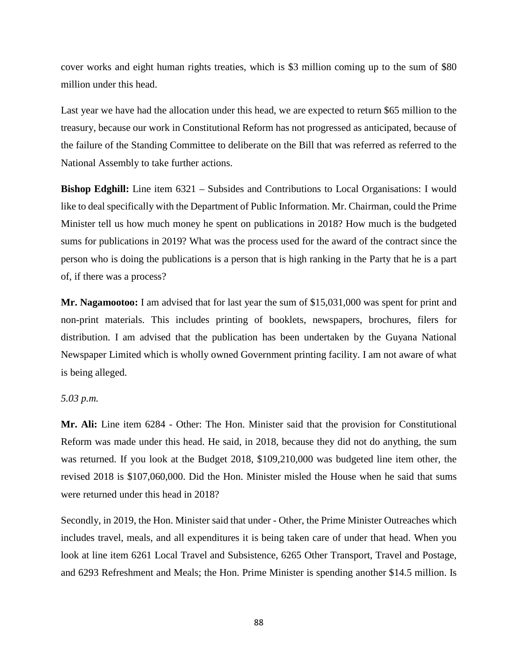cover works and eight human rights treaties, which is \$3 million coming up to the sum of \$80 million under this head.

Last year we have had the allocation under this head, we are expected to return \$65 million to the treasury, because our work in Constitutional Reform has not progressed as anticipated, because of the failure of the Standing Committee to deliberate on the Bill that was referred as referred to the National Assembly to take further actions.

**Bishop Edghill:** Line item 6321 – Subsides and Contributions to Local Organisations: I would like to deal specifically with the Department of Public Information. Mr. Chairman, could the Prime Minister tell us how much money he spent on publications in 2018? How much is the budgeted sums for publications in 2019? What was the process used for the award of the contract since the person who is doing the publications is a person that is high ranking in the Party that he is a part of, if there was a process?

**Mr. Nagamootoo:** I am advised that for last year the sum of \$15,031,000 was spent for print and non-print materials. This includes printing of booklets, newspapers, brochures, filers for distribution. I am advised that the publication has been undertaken by the Guyana National Newspaper Limited which is wholly owned Government printing facility. I am not aware of what is being alleged.

## *5.03 p.m.*

**Mr. Ali:** Line item 6284 - Other: The Hon. Minister said that the provision for Constitutional Reform was made under this head. He said, in 2018, because they did not do anything, the sum was returned. If you look at the Budget 2018, \$109,210,000 was budgeted line item other, the revised 2018 is \$107,060,000. Did the Hon. Minister misled the House when he said that sums were returned under this head in 2018?

Secondly, in 2019, the Hon. Minister said that under - Other, the Prime Minister Outreaches which includes travel, meals, and all expenditures it is being taken care of under that head. When you look at line item 6261 Local Travel and Subsistence, 6265 Other Transport, Travel and Postage, and 6293 Refreshment and Meals; the Hon. Prime Minister is spending another \$14.5 million. Is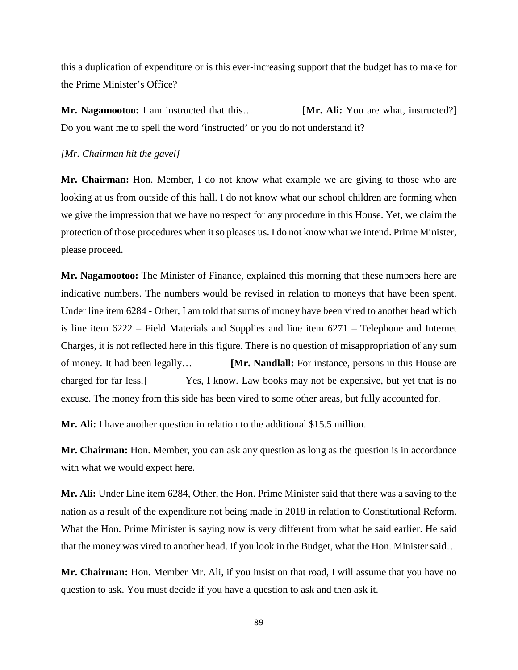this a duplication of expenditure or is this ever-increasing support that the budget has to make for the Prime Minister's Office?

**Mr. Nagamootoo:** I am instructed that this… **[Mr. Ali:** You are what, instructed?] Do you want me to spell the word 'instructed' or you do not understand it?

#### *[Mr. Chairman hit the gavel]*

**Mr. Chairman:** Hon. Member, I do not know what example we are giving to those who are looking at us from outside of this hall. I do not know what our school children are forming when we give the impression that we have no respect for any procedure in this House. Yet, we claim the protection of those procedures when it so pleases us. I do not know what we intend. Prime Minister, please proceed.

**Mr. Nagamootoo:** The Minister of Finance, explained this morning that these numbers here are indicative numbers. The numbers would be revised in relation to moneys that have been spent. Under line item 6284 - Other, I am told that sums of money have been vired to another head which is line item 6222 – Field Materials and Supplies and line item 6271 – Telephone and Internet Charges, it is not reflected here in this figure. There is no question of misappropriation of any sum of money. It had been legally… **[Mr. Nandlall:** For instance, persons in this House are charged for far less.] Yes, I know. Law books may not be expensive, but yet that is no excuse. The money from this side has been vired to some other areas, but fully accounted for.

**Mr. Ali:** I have another question in relation to the additional \$15.5 million.

**Mr. Chairman:** Hon. Member, you can ask any question as long as the question is in accordance with what we would expect here.

**Mr. Ali:** Under Line item 6284, Other, the Hon. Prime Minister said that there was a saving to the nation as a result of the expenditure not being made in 2018 in relation to Constitutional Reform. What the Hon. Prime Minister is saying now is very different from what he said earlier. He said that the money was vired to another head. If you look in the Budget, what the Hon. Minister said…

**Mr. Chairman:** Hon. Member Mr. Ali, if you insist on that road, I will assume that you have no question to ask. You must decide if you have a question to ask and then ask it.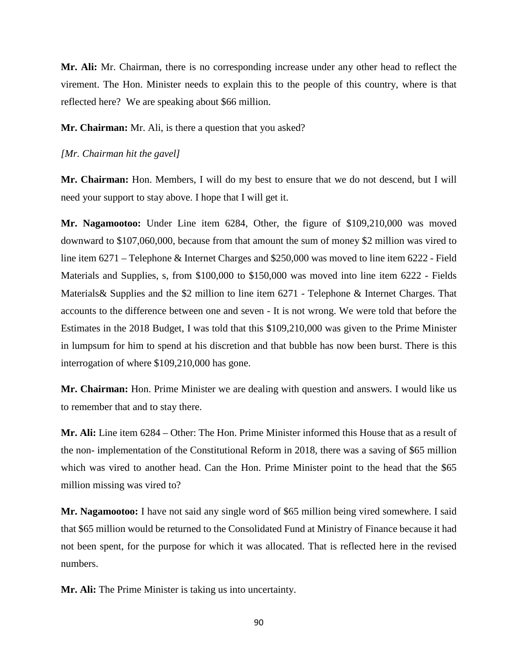**Mr. Ali:** Mr. Chairman, there is no corresponding increase under any other head to reflect the virement. The Hon. Minister needs to explain this to the people of this country, where is that reflected here? We are speaking about \$66 million.

**Mr. Chairman:** Mr. Ali, is there a question that you asked?

## *[Mr. Chairman hit the gavel]*

**Mr. Chairman:** Hon. Members, I will do my best to ensure that we do not descend, but I will need your support to stay above. I hope that I will get it.

**Mr. Nagamootoo:** Under Line item 6284, Other, the figure of \$109,210,000 was moved downward to \$107,060,000, because from that amount the sum of money \$2 million was vired to line item 6271 – Telephone & Internet Charges and \$250,000 was moved to line item 6222 - Field Materials and Supplies, s, from \$100,000 to \$150,000 was moved into line item 6222 - Fields Materials& Supplies and the \$2 million to line item 6271 - Telephone & Internet Charges. That accounts to the difference between one and seven - It is not wrong. We were told that before the Estimates in the 2018 Budget, I was told that this \$109,210,000 was given to the Prime Minister in lumpsum for him to spend at his discretion and that bubble has now been burst. There is this interrogation of where \$109,210,000 has gone.

**Mr. Chairman:** Hon. Prime Minister we are dealing with question and answers. I would like us to remember that and to stay there.

**Mr. Ali:** Line item 6284 – Other: The Hon. Prime Minister informed this House that as a result of the non- implementation of the Constitutional Reform in 2018, there was a saving of \$65 million which was vired to another head. Can the Hon. Prime Minister point to the head that the \$65 million missing was vired to?

**Mr. Nagamootoo:** I have not said any single word of \$65 million being vired somewhere. I said that \$65 million would be returned to the Consolidated Fund at Ministry of Finance because it had not been spent, for the purpose for which it was allocated. That is reflected here in the revised numbers.

**Mr. Ali:** The Prime Minister is taking us into uncertainty.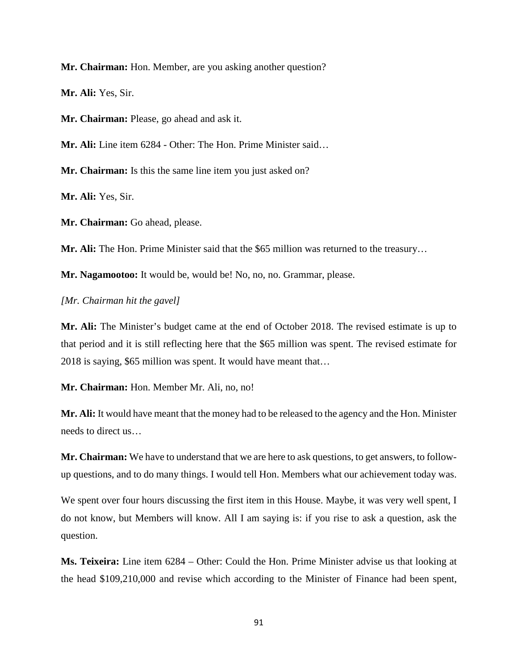**Mr. Chairman:** Hon. Member, are you asking another question?

**Mr. Ali:** Yes, Sir.

**Mr. Chairman:** Please, go ahead and ask it.

**Mr. Ali:** Line item 6284 - Other: The Hon. Prime Minister said…

**Mr. Chairman:** Is this the same line item you just asked on?

**Mr. Ali:** Yes, Sir.

**Mr. Chairman:** Go ahead, please.

**Mr. Ali:** The Hon. Prime Minister said that the \$65 million was returned to the treasury…

**Mr. Nagamootoo:** It would be, would be! No, no, no. Grammar, please.

*[Mr. Chairman hit the gavel]* 

**Mr. Ali:** The Minister's budget came at the end of October 2018. The revised estimate is up to that period and it is still reflecting here that the \$65 million was spent. The revised estimate for 2018 is saying, \$65 million was spent. It would have meant that…

**Mr. Chairman:** Hon. Member Mr. Ali, no, no!

**Mr. Ali:** It would have meant that the money had to be released to the agency and the Hon. Minister needs to direct us…

**Mr. Chairman:** We have to understand that we are here to ask questions, to get answers, to followup questions, and to do many things. I would tell Hon. Members what our achievement today was.

We spent over four hours discussing the first item in this House. Maybe, it was very well spent, I do not know, but Members will know. All I am saying is: if you rise to ask a question, ask the question.

**Ms. Teixeira:** Line item 6284 – Other: Could the Hon. Prime Minister advise us that looking at the head \$109,210,000 and revise which according to the Minister of Finance had been spent,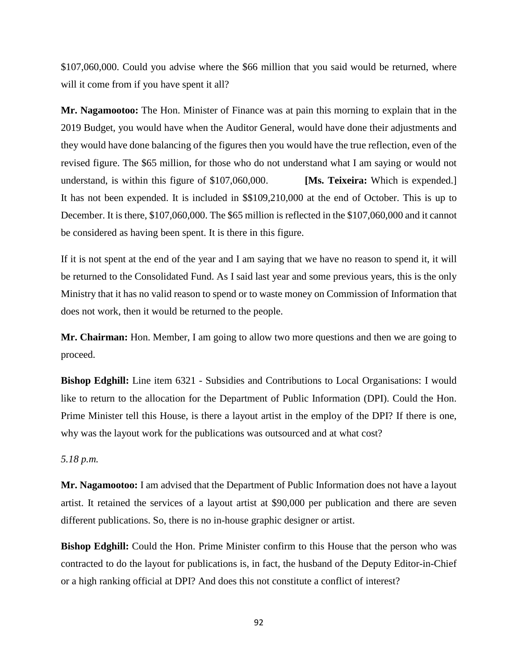\$107,060,000. Could you advise where the \$66 million that you said would be returned, where will it come from if you have spent it all?

**Mr. Nagamootoo:** The Hon. Minister of Finance was at pain this morning to explain that in the 2019 Budget, you would have when the Auditor General, would have done their adjustments and they would have done balancing of the figures then you would have the true reflection, even of the revised figure. The \$65 million, for those who do not understand what I am saying or would not understand, is within this figure of \$107,060,000. **[Ms. Teixeira:** Which is expended.] It has not been expended. It is included in \$\$109,210,000 at the end of October. This is up to December. It is there, \$107,060,000. The \$65 million is reflected in the \$107,060,000 and it cannot be considered as having been spent. It is there in this figure.

If it is not spent at the end of the year and I am saying that we have no reason to spend it, it will be returned to the Consolidated Fund. As I said last year and some previous years, this is the only Ministry that it has no valid reason to spend or to waste money on Commission of Information that does not work, then it would be returned to the people.

**Mr. Chairman:** Hon. Member, I am going to allow two more questions and then we are going to proceed.

**Bishop Edghill:** Line item 6321 - Subsidies and Contributions to Local Organisations: I would like to return to the allocation for the Department of Public Information (DPI). Could the Hon. Prime Minister tell this House, is there a layout artist in the employ of the DPI? If there is one, why was the layout work for the publications was outsourced and at what cost?

*5.18 p.m.* 

**Mr. Nagamootoo:** I am advised that the Department of Public Information does not have a layout artist. It retained the services of a layout artist at \$90,000 per publication and there are seven different publications. So, there is no in-house graphic designer or artist.

**Bishop Edghill:** Could the Hon. Prime Minister confirm to this House that the person who was contracted to do the layout for publications is, in fact, the husband of the Deputy Editor-in-Chief or a high ranking official at DPI? And does this not constitute a conflict of interest?

92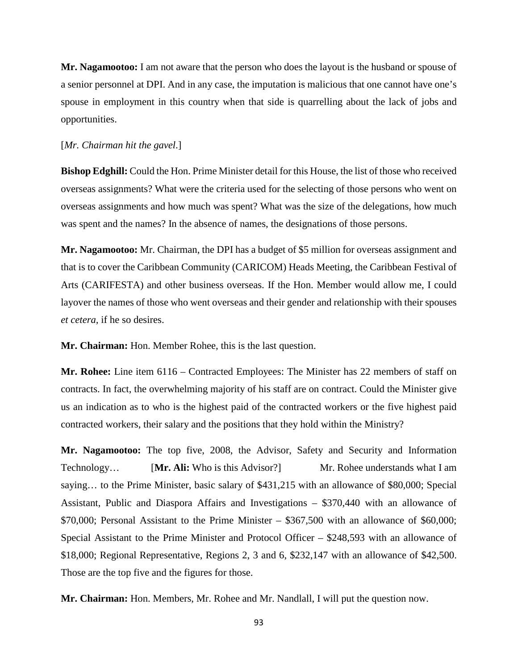**Mr. Nagamootoo:** I am not aware that the person who does the layout is the husband or spouse of a senior personnel at DPI. And in any case, the imputation is malicious that one cannot have one's spouse in employment in this country when that side is quarrelling about the lack of jobs and opportunities.

#### [*Mr. Chairman hit the gavel*.]

**Bishop Edghill:** Could the Hon. Prime Minister detail for this House, the list of those who received overseas assignments? What were the criteria used for the selecting of those persons who went on overseas assignments and how much was spent? What was the size of the delegations, how much was spent and the names? In the absence of names, the designations of those persons.

**Mr. Nagamootoo:** Mr. Chairman, the DPI has a budget of \$5 million for overseas assignment and that is to cover the Caribbean Community (CARICOM) Heads Meeting, the Caribbean Festival of Arts (CARIFESTA) and other business overseas. If the Hon. Member would allow me, I could layover the names of those who went overseas and their gender and relationship with their spouses *et cetera,* if he so desires.

**Mr. Chairman:** Hon. Member Rohee, this is the last question.

**Mr. Rohee:** Line item 6116 – Contracted Employees: The Minister has 22 members of staff on contracts. In fact, the overwhelming majority of his staff are on contract. Could the Minister give us an indication as to who is the highest paid of the contracted workers or the five highest paid contracted workers, their salary and the positions that they hold within the Ministry?

**Mr. Nagamootoo:** The top five, 2008, the Advisor, Safety and Security and Information Technology... **[Mr. Ali:** Who is this Advisor?] Mr. Rohee understands what I am saying… to the Prime Minister, basic salary of \$431,215 with an allowance of \$80,000; Special Assistant, Public and Diaspora Affairs and Investigations – \$370,440 with an allowance of \$70,000; Personal Assistant to the Prime Minister – \$367,500 with an allowance of \$60,000; Special Assistant to the Prime Minister and Protocol Officer – \$248,593 with an allowance of \$18,000; Regional Representative, Regions 2, 3 and 6, \$232,147 with an allowance of \$42,500. Those are the top five and the figures for those.

**Mr. Chairman:** Hon. Members, Mr. Rohee and Mr. Nandlall, I will put the question now.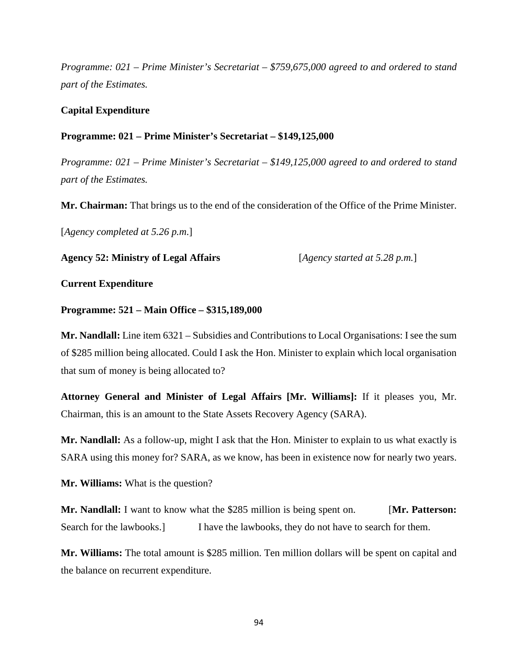*Programme: 021 – Prime Minister's Secretariat – \$759,675,000 agreed to and ordered to stand part of the Estimates.*

## **Capital Expenditure**

## **Programme: 021 – Prime Minister's Secretariat – \$149,125,000**

*Programme: 021 – Prime Minister's Secretariat – \$149,125,000 agreed to and ordered to stand part of the Estimates.*

**Mr. Chairman:** That brings us to the end of the consideration of the Office of the Prime Minister.

[*Agency completed at 5.26 p.m*.]

**Agency 52: Ministry of Legal Affairs** [*Agency started at 5.28 p.m.*]

### **Current Expenditure**

### **Programme: 521 – Main Office – \$315,189,000**

**Mr. Nandlall:** Line item 6321 – Subsidies and Contributions to Local Organisations: I see the sum of \$285 million being allocated. Could I ask the Hon. Minister to explain which local organisation that sum of money is being allocated to?

**Attorney General and Minister of Legal Affairs [Mr. Williams]:** If it pleases you, Mr. Chairman, this is an amount to the State Assets Recovery Agency (SARA).

**Mr. Nandlall:** As a follow-up, might I ask that the Hon. Minister to explain to us what exactly is SARA using this money for? SARA, as we know, has been in existence now for nearly two years.

**Mr. Williams:** What is the question?

**Mr. Nandlall:** I want to know what the \$285 million is being spent on. [Mr. Patterson: Search for the lawbooks.] I have the lawbooks, they do not have to search for them.

**Mr. Williams:** The total amount is \$285 million. Ten million dollars will be spent on capital and the balance on recurrent expenditure.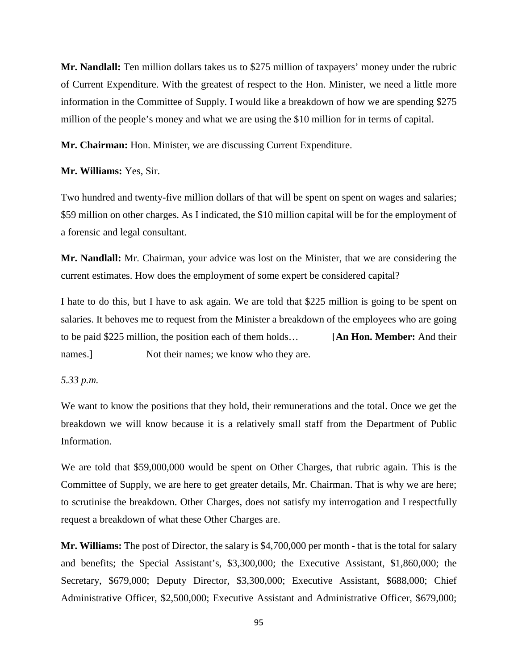**Mr. Nandlall:** Ten million dollars takes us to \$275 million of taxpayers' money under the rubric of Current Expenditure. With the greatest of respect to the Hon. Minister, we need a little more information in the Committee of Supply. I would like a breakdown of how we are spending \$275 million of the people's money and what we are using the \$10 million for in terms of capital.

**Mr. Chairman:** Hon. Minister, we are discussing Current Expenditure.

## **Mr. Williams:** Yes, Sir.

Two hundred and twenty-five million dollars of that will be spent on spent on wages and salaries; \$59 million on other charges. As I indicated, the \$10 million capital will be for the employment of a forensic and legal consultant.

**Mr. Nandlall:** Mr. Chairman, your advice was lost on the Minister, that we are considering the current estimates. How does the employment of some expert be considered capital?

I hate to do this, but I have to ask again. We are told that \$225 million is going to be spent on salaries. It behoves me to request from the Minister a breakdown of the employees who are going to be paid \$225 million, the position each of them holds… [**An Hon. Member:** And their names.] Not their names; we know who they are.

#### *5.33 p.m.*

We want to know the positions that they hold, their remunerations and the total. Once we get the breakdown we will know because it is a relatively small staff from the Department of Public Information.

We are told that \$59,000,000 would be spent on Other Charges, that rubric again. This is the Committee of Supply, we are here to get greater details, Mr. Chairman. That is why we are here; to scrutinise the breakdown. Other Charges, does not satisfy my interrogation and I respectfully request a breakdown of what these Other Charges are.

**Mr. Williams:** The post of Director, the salary is \$4,700,000 per month - that is the total for salary and benefits; the Special Assistant's, \$3,300,000; the Executive Assistant, \$1,860,000; the Secretary, \$679,000; Deputy Director, \$3,300,000; Executive Assistant, \$688,000; Chief Administrative Officer, \$2,500,000; Executive Assistant and Administrative Officer, \$679,000;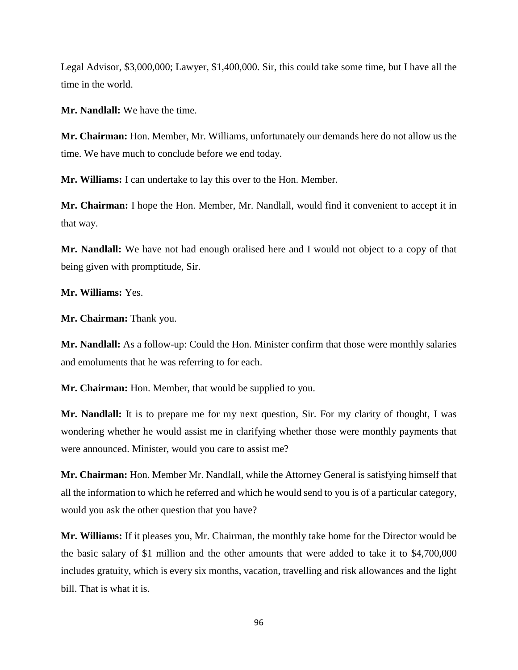Legal Advisor, \$3,000,000; Lawyer, \$1,400,000. Sir, this could take some time, but I have all the time in the world.

**Mr. Nandlall:** We have the time.

**Mr. Chairman:** Hon. Member, Mr. Williams, unfortunately our demands here do not allow us the time. We have much to conclude before we end today.

**Mr. Williams:** I can undertake to lay this over to the Hon. Member.

**Mr. Chairman:** I hope the Hon. Member, Mr. Nandlall, would find it convenient to accept it in that way.

**Mr. Nandlall:** We have not had enough oralised here and I would not object to a copy of that being given with promptitude, Sir.

**Mr. Williams:** Yes.

**Mr. Chairman:** Thank you.

**Mr. Nandlall:** As a follow-up: Could the Hon. Minister confirm that those were monthly salaries and emoluments that he was referring to for each.

**Mr. Chairman:** Hon. Member, that would be supplied to you.

**Mr. Nandlall:** It is to prepare me for my next question, Sir. For my clarity of thought, I was wondering whether he would assist me in clarifying whether those were monthly payments that were announced. Minister, would you care to assist me?

**Mr. Chairman:** Hon. Member Mr. Nandlall, while the Attorney General is satisfying himself that all the information to which he referred and which he would send to you is of a particular category, would you ask the other question that you have?

**Mr. Williams:** If it pleases you, Mr. Chairman, the monthly take home for the Director would be the basic salary of \$1 million and the other amounts that were added to take it to \$4,700,000 includes gratuity, which is every six months, vacation, travelling and risk allowances and the light bill. That is what it is.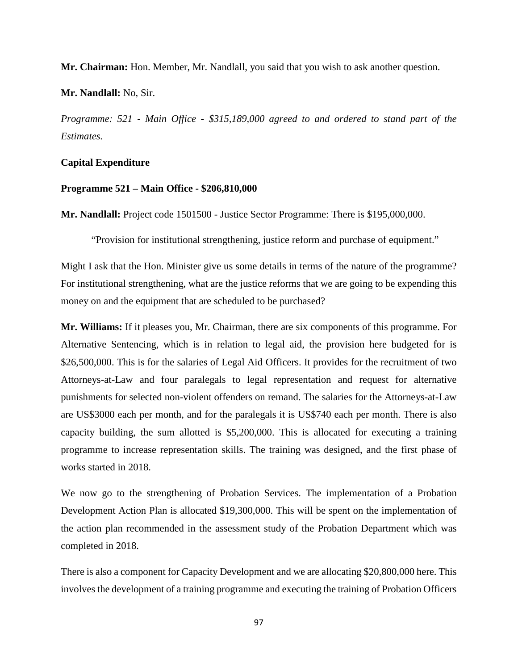**Mr. Chairman:** Hon. Member, Mr. Nandlall, you said that you wish to ask another question.

**Mr. Nandlall:** No, Sir.

*Programme: 521 - Main Office - \$315,189,000 agreed to and ordered to stand part of the Estimates.*

## **Capital Expenditure**

#### **Programme 521 – Main Office - \$206,810,000**

**Mr. Nandlall:** Project code 1501500 - Justice Sector Programme: There is \$195,000,000.

"Provision for institutional strengthening, justice reform and purchase of equipment."

Might I ask that the Hon. Minister give us some details in terms of the nature of the programme? For institutional strengthening, what are the justice reforms that we are going to be expending this money on and the equipment that are scheduled to be purchased?

**Mr. Williams:** If it pleases you, Mr. Chairman, there are six components of this programme. For Alternative Sentencing, which is in relation to legal aid, the provision here budgeted for is \$26,500,000. This is for the salaries of Legal Aid Officers. It provides for the recruitment of two Attorneys-at-Law and four paralegals to legal representation and request for alternative punishments for selected non-violent offenders on remand. The salaries for the Attorneys-at-Law are US\$3000 each per month, and for the paralegals it is US\$740 each per month. There is also capacity building, the sum allotted is \$5,200,000. This is allocated for executing a training programme to increase representation skills. The training was designed, and the first phase of works started in 2018.

We now go to the strengthening of Probation Services. The implementation of a Probation Development Action Plan is allocated \$19,300,000. This will be spent on the implementation of the action plan recommended in the assessment study of the Probation Department which was completed in 2018.

There is also a component for Capacity Development and we are allocating \$20,800,000 here. This involves the development of a training programme and executing the training of Probation Officers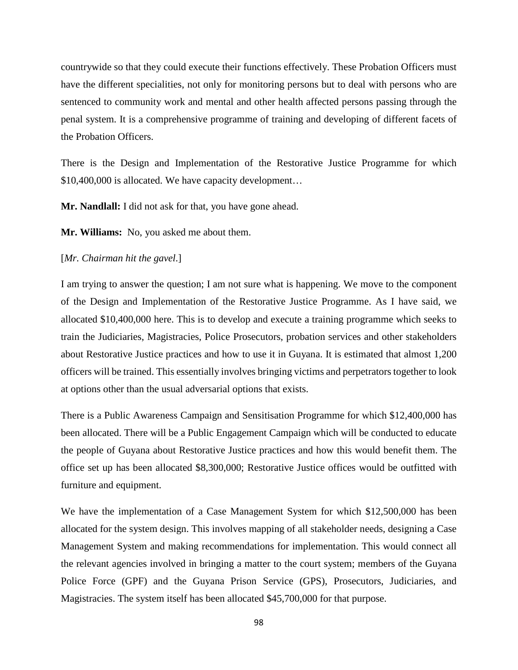countrywide so that they could execute their functions effectively. These Probation Officers must have the different specialities, not only for monitoring persons but to deal with persons who are sentenced to community work and mental and other health affected persons passing through the penal system. It is a comprehensive programme of training and developing of different facets of the Probation Officers.

There is the Design and Implementation of the Restorative Justice Programme for which \$10,400,000 is allocated. We have capacity development…

**Mr. Nandlall:** I did not ask for that, you have gone ahead.

**Mr. Williams:** No, you asked me about them.

## [*Mr. Chairman hit the gavel*.]

I am trying to answer the question; I am not sure what is happening. We move to the component of the Design and Implementation of the Restorative Justice Programme. As I have said, we allocated \$10,400,000 here. This is to develop and execute a training programme which seeks to train the Judiciaries, Magistracies, Police Prosecutors, probation services and other stakeholders about Restorative Justice practices and how to use it in Guyana. It is estimated that almost 1,200 officers will be trained. This essentially involves bringing victims and perpetrators together to look at options other than the usual adversarial options that exists.

There is a Public Awareness Campaign and Sensitisation Programme for which \$12,400,000 has been allocated. There will be a Public Engagement Campaign which will be conducted to educate the people of Guyana about Restorative Justice practices and how this would benefit them. The office set up has been allocated \$8,300,000; Restorative Justice offices would be outfitted with furniture and equipment.

We have the implementation of a Case Management System for which \$12,500,000 has been allocated for the system design. This involves mapping of all stakeholder needs, designing a Case Management System and making recommendations for implementation. This would connect all the relevant agencies involved in bringing a matter to the court system; members of the Guyana Police Force (GPF) and the Guyana Prison Service (GPS), Prosecutors, Judiciaries, and Magistracies. The system itself has been allocated \$45,700,000 for that purpose.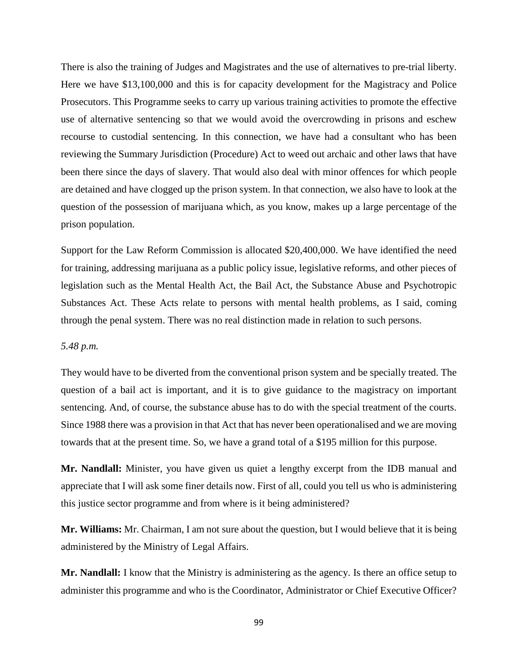There is also the training of Judges and Magistrates and the use of alternatives to pre-trial liberty. Here we have \$13,100,000 and this is for capacity development for the Magistracy and Police Prosecutors. This Programme seeks to carry up various training activities to promote the effective use of alternative sentencing so that we would avoid the overcrowding in prisons and eschew recourse to custodial sentencing. In this connection, we have had a consultant who has been reviewing the Summary Jurisdiction (Procedure) Act to weed out archaic and other laws that have been there since the days of slavery. That would also deal with minor offences for which people are detained and have clogged up the prison system. In that connection, we also have to look at the question of the possession of marijuana which, as you know, makes up a large percentage of the prison population.

Support for the Law Reform Commission is allocated \$20,400,000. We have identified the need for training, addressing marijuana as a public policy issue, legislative reforms, and other pieces of legislation such as the Mental Health Act, the Bail Act, the Substance Abuse and Psychotropic Substances Act. These Acts relate to persons with mental health problems, as I said, coming through the penal system. There was no real distinction made in relation to such persons.

## *5.48 p.m.*

They would have to be diverted from the conventional prison system and be specially treated. The question of a bail act is important, and it is to give guidance to the magistracy on important sentencing. And, of course, the substance abuse has to do with the special treatment of the courts. Since 1988 there was a provision in that Act that has never been operationalised and we are moving towards that at the present time. So, we have a grand total of a \$195 million for this purpose.

**Mr. Nandlall:** Minister, you have given us quiet a lengthy excerpt from the IDB manual and appreciate that I will ask some finer details now. First of all, could you tell us who is administering this justice sector programme and from where is it being administered?

**Mr. Williams:** Mr. Chairman, I am not sure about the question, but I would believe that it is being administered by the Ministry of Legal Affairs.

**Mr. Nandlall:** I know that the Ministry is administering as the agency. Is there an office setup to administer this programme and who is the Coordinator, Administrator or Chief Executive Officer?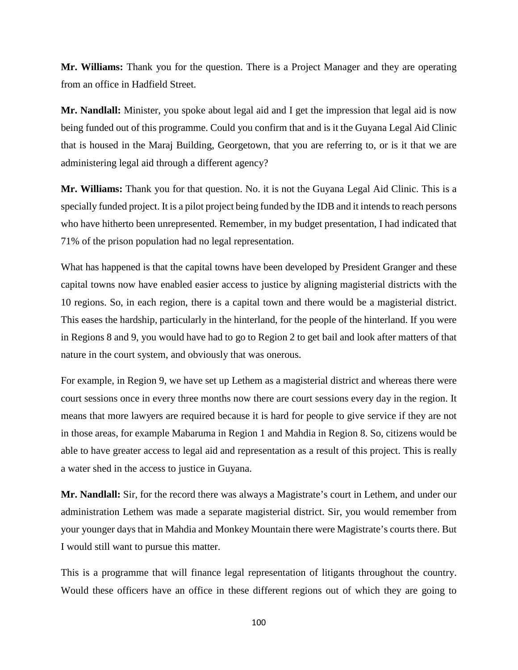**Mr. Williams:** Thank you for the question. There is a Project Manager and they are operating from an office in Hadfield Street.

**Mr. Nandlall:** Minister, you spoke about legal aid and I get the impression that legal aid is now being funded out of this programme. Could you confirm that and is it the Guyana Legal Aid Clinic that is housed in the Maraj Building, Georgetown, that you are referring to, or is it that we are administering legal aid through a different agency?

**Mr. Williams:** Thank you for that question. No. it is not the Guyana Legal Aid Clinic. This is a specially funded project. It is a pilot project being funded by the IDB and it intends to reach persons who have hitherto been unrepresented. Remember, in my budget presentation, I had indicated that 71% of the prison population had no legal representation.

What has happened is that the capital towns have been developed by President Granger and these capital towns now have enabled easier access to justice by aligning magisterial districts with the 10 regions. So, in each region, there is a capital town and there would be a magisterial district. This eases the hardship, particularly in the hinterland, for the people of the hinterland. If you were in Regions 8 and 9, you would have had to go to Region 2 to get bail and look after matters of that nature in the court system, and obviously that was onerous.

For example, in Region 9, we have set up Lethem as a magisterial district and whereas there were court sessions once in every three months now there are court sessions every day in the region. It means that more lawyers are required because it is hard for people to give service if they are not in those areas, for example Mabaruma in Region 1 and Mahdia in Region 8. So, citizens would be able to have greater access to legal aid and representation as a result of this project. This is really a water shed in the access to justice in Guyana.

**Mr. Nandlall:** Sir, for the record there was always a Magistrate's court in Lethem, and under our administration Lethem was made a separate magisterial district. Sir, you would remember from your younger days that in Mahdia and Monkey Mountain there were Magistrate's courts there. But I would still want to pursue this matter.

This is a programme that will finance legal representation of litigants throughout the country. Would these officers have an office in these different regions out of which they are going to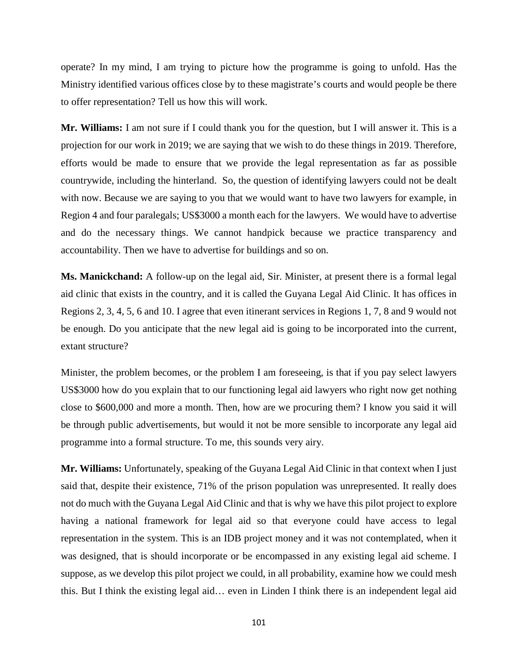operate? In my mind, I am trying to picture how the programme is going to unfold. Has the Ministry identified various offices close by to these magistrate's courts and would people be there to offer representation? Tell us how this will work.

**Mr. Williams:** I am not sure if I could thank you for the question, but I will answer it. This is a projection for our work in 2019; we are saying that we wish to do these things in 2019. Therefore, efforts would be made to ensure that we provide the legal representation as far as possible countrywide, including the hinterland. So, the question of identifying lawyers could not be dealt with now. Because we are saying to you that we would want to have two lawyers for example, in Region 4 and four paralegals; US\$3000 a month each for the lawyers. We would have to advertise and do the necessary things. We cannot handpick because we practice transparency and accountability. Then we have to advertise for buildings and so on.

**Ms. Manickchand:** A follow-up on the legal aid, Sir. Minister, at present there is a formal legal aid clinic that exists in the country, and it is called the Guyana Legal Aid Clinic. It has offices in Regions 2, 3, 4, 5, 6 and 10. I agree that even itinerant services in Regions 1, 7, 8 and 9 would not be enough. Do you anticipate that the new legal aid is going to be incorporated into the current, extant structure?

Minister, the problem becomes, or the problem I am foreseeing, is that if you pay select lawyers US\$3000 how do you explain that to our functioning legal aid lawyers who right now get nothing close to \$600,000 and more a month. Then, how are we procuring them? I know you said it will be through public advertisements, but would it not be more sensible to incorporate any legal aid programme into a formal structure. To me, this sounds very airy.

**Mr. Williams:** Unfortunately, speaking of the Guyana Legal Aid Clinic in that context when I just said that, despite their existence, 71% of the prison population was unrepresented. It really does not do much with the Guyana Legal Aid Clinic and that is why we have this pilot project to explore having a national framework for legal aid so that everyone could have access to legal representation in the system. This is an IDB project money and it was not contemplated, when it was designed, that is should incorporate or be encompassed in any existing legal aid scheme. I suppose, as we develop this pilot project we could, in all probability, examine how we could mesh this. But I think the existing legal aid… even in Linden I think there is an independent legal aid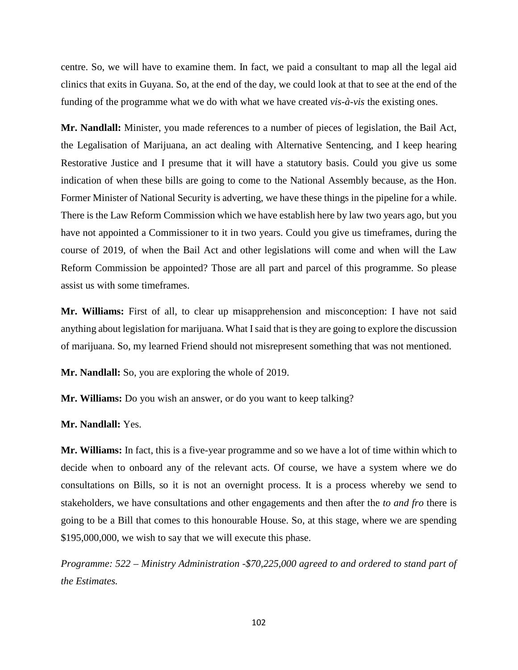centre. So, we will have to examine them. In fact, we paid a consultant to map all the legal aid clinics that exits in Guyana. So, at the end of the day, we could look at that to see at the end of the funding of the programme what we do with what we have created *vis-à-vis* the existing ones.

**Mr. Nandlall:** Minister, you made references to a number of pieces of legislation, the Bail Act, the Legalisation of Marijuana, an act dealing with Alternative Sentencing, and I keep hearing Restorative Justice and I presume that it will have a statutory basis. Could you give us some indication of when these bills are going to come to the National Assembly because, as the Hon. Former Minister of National Security is adverting, we have these things in the pipeline for a while. There is the Law Reform Commission which we have establish here by law two years ago, but you have not appointed a Commissioner to it in two years. Could you give us timeframes, during the course of 2019, of when the Bail Act and other legislations will come and when will the Law Reform Commission be appointed? Those are all part and parcel of this programme. So please assist us with some timeframes.

**Mr. Williams:** First of all, to clear up misapprehension and misconception: I have not said anything about legislation for marijuana. What I said that is they are going to explore the discussion of marijuana. So, my learned Friend should not misrepresent something that was not mentioned.

**Mr. Nandlall:** So, you are exploring the whole of 2019.

**Mr. Williams:** Do you wish an answer, or do you want to keep talking?

**Mr. Nandlall:** Yes.

**Mr. Williams:** In fact, this is a five-year programme and so we have a lot of time within which to decide when to onboard any of the relevant acts. Of course, we have a system where we do consultations on Bills, so it is not an overnight process. It is a process whereby we send to stakeholders, we have consultations and other engagements and then after the *to and fro* there is going to be a Bill that comes to this honourable House. So, at this stage, where we are spending \$195,000,000, we wish to say that we will execute this phase.

*Programme: 522 – Ministry Administration -\$70,225,000 agreed to and ordered to stand part of the Estimates.*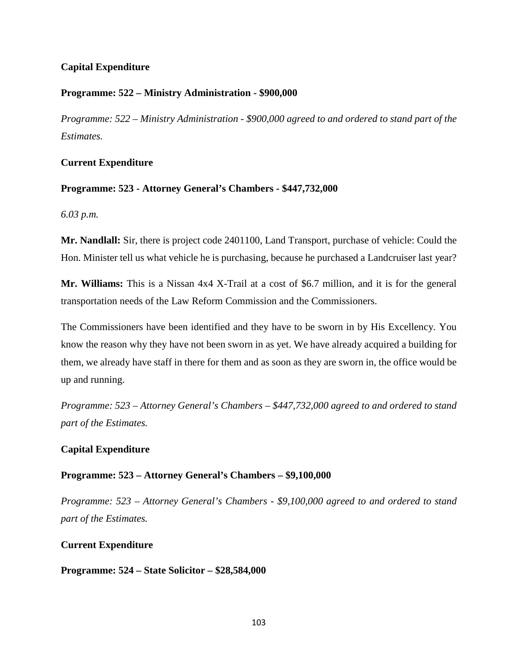# **Capital Expenditure**

## **Programme: 522 – Ministry Administration - \$900,000**

*Programme: 522 – Ministry Administration - \$900,000 agreed to and ordered to stand part of the Estimates.*

## **Current Expenditure**

## **Programme: 523 - Attorney General's Chambers - \$447,732,000**

*6.03 p.m.*

**Mr. Nandlall:** Sir, there is project code 2401100, Land Transport, purchase of vehicle: Could the Hon. Minister tell us what vehicle he is purchasing, because he purchased a Landcruiser last year?

**Mr. Williams:** This is a Nissan 4x4 X-Trail at a cost of \$6.7 million, and it is for the general transportation needs of the Law Reform Commission and the Commissioners.

The Commissioners have been identified and they have to be sworn in by His Excellency. You know the reason why they have not been sworn in as yet. We have already acquired a building for them, we already have staff in there for them and as soon as they are sworn in, the office would be up and running.

*Programme: 523 – Attorney General's Chambers – \$447,732,000 agreed to and ordered to stand part of the Estimates.*

# **Capital Expenditure**

## **Programme: 523 – Attorney General's Chambers – \$9,100,000**

*Programme: 523 – Attorney General's Chambers - \$9,100,000 agreed to and ordered to stand part of the Estimates.*

## **Current Expenditure**

## **Programme: 524 – State Solicitor – \$28,584,000**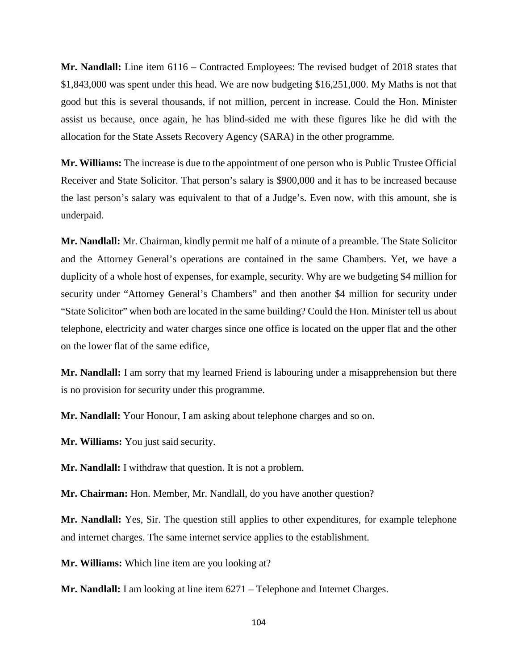**Mr. Nandlall:** Line item 6116 – Contracted Employees: The revised budget of 2018 states that \$1,843,000 was spent under this head. We are now budgeting \$16,251,000. My Maths is not that good but this is several thousands, if not million, percent in increase. Could the Hon. Minister assist us because, once again, he has blind-sided me with these figures like he did with the allocation for the State Assets Recovery Agency (SARA) in the other programme.

**Mr. Williams:** The increase is due to the appointment of one person who is Public Trustee Official Receiver and State Solicitor. That person's salary is \$900,000 and it has to be increased because the last person's salary was equivalent to that of a Judge's. Even now, with this amount, she is underpaid.

**Mr. Nandlall:** Mr. Chairman, kindly permit me half of a minute of a preamble. The State Solicitor and the Attorney General's operations are contained in the same Chambers. Yet, we have a duplicity of a whole host of expenses, for example, security. Why are we budgeting \$4 million for security under "Attorney General's Chambers" and then another \$4 million for security under "State Solicitor" when both are located in the same building? Could the Hon. Minister tell us about telephone, electricity and water charges since one office is located on the upper flat and the other on the lower flat of the same edifice,

**Mr. Nandlall:** I am sorry that my learned Friend is labouring under a misapprehension but there is no provision for security under this programme.

**Mr. Nandlall:** Your Honour, I am asking about telephone charges and so on.

**Mr. Williams:** You just said security.

**Mr. Nandlall:** I withdraw that question. It is not a problem.

**Mr. Chairman:** Hon. Member, Mr. Nandlall, do you have another question?

**Mr. Nandlall:** Yes, Sir. The question still applies to other expenditures, for example telephone and internet charges. The same internet service applies to the establishment.

**Mr. Williams:** Which line item are you looking at?

**Mr. Nandlall:** I am looking at line item 6271 – Telephone and Internet Charges.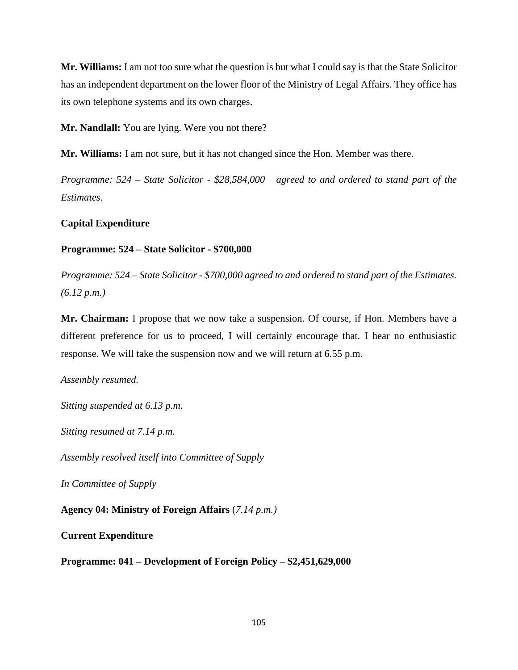**Mr. Williams:** I am not too sure what the question is but what I could say is that the State Solicitor has an independent department on the lower floor of the Ministry of Legal Affairs. They office has its own telephone systems and its own charges.

**Mr. Nandlall:** You are lying. Were you not there?

**Mr. Williams:** I am not sure, but it has not changed since the Hon. Member was there.

*Programme: 524 – State Solicitor - \$28,584,000 agreed to and ordered to stand part of the Estimates.*

## **Capital Expenditure**

## **Programme: 524 – State Solicitor - \$700,000**

*Programme: 524 – State Solicitor - \$700,000 agreed to and ordered to stand part of the Estimates. (6.12 p.m.)*

**Mr. Chairman:** I propose that we now take a suspension. Of course, if Hon. Members have a different preference for us to proceed, I will certainly encourage that. I hear no enthusiastic response. We will take the suspension now and we will return at 6.55 p.m.

*Assembly resumed.*

*Sitting suspended at 6.13 p.m.*

*Sitting resumed at 7.14 p.m.*

*Assembly resolved itself into Committee of Supply*

*In Committee of Supply*

**Agency 04: Ministry of Foreign Affairs** (*7.14 p.m.)*

**Current Expenditure**

**Programme: 041 – Development of Foreign Policy – \$2,451,629,000**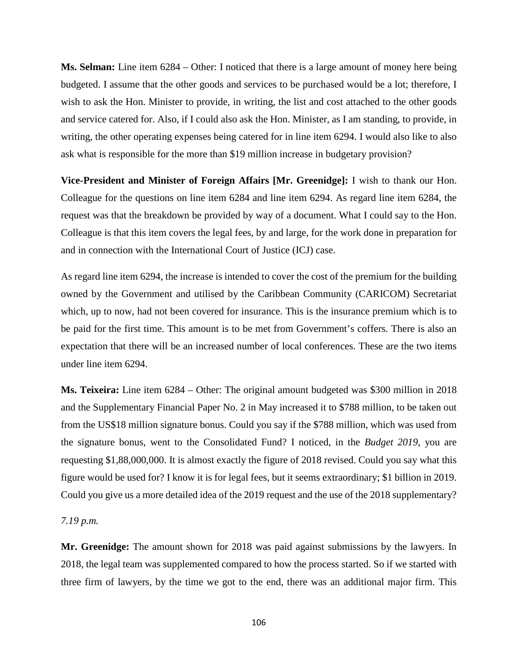**Ms. Selman:** Line item 6284 – Other: I noticed that there is a large amount of money here being budgeted. I assume that the other goods and services to be purchased would be a lot; therefore, I wish to ask the Hon. Minister to provide, in writing, the list and cost attached to the other goods and service catered for. Also, if I could also ask the Hon. Minister, as I am standing, to provide, in writing, the other operating expenses being catered for in line item 6294. I would also like to also ask what is responsible for the more than \$19 million increase in budgetary provision?

**Vice-President and Minister of Foreign Affairs [Mr. Greenidge]:** I wish to thank our Hon. Colleague for the questions on line item 6284 and line item 6294. As regard line item 6284, the request was that the breakdown be provided by way of a document. What I could say to the Hon. Colleague is that this item covers the legal fees, by and large, for the work done in preparation for and in connection with the International Court of Justice (ICJ) case.

As regard line item 6294, the increase is intended to cover the cost of the premium for the building owned by the Government and utilised by the Caribbean Community (CARICOM) Secretariat which, up to now, had not been covered for insurance. This is the insurance premium which is to be paid for the first time. This amount is to be met from Government's coffers. There is also an expectation that there will be an increased number of local conferences. These are the two items under line item 6294.

**Ms. Teixeira:** Line item 6284 – Other: The original amount budgeted was \$300 million in 2018 and the Supplementary Financial Paper No. 2 in May increased it to \$788 million, to be taken out from the US\$18 million signature bonus. Could you say if the \$788 million, which was used from the signature bonus, went to the Consolidated Fund? I noticed, in the *Budget 2019*, you are requesting \$1,88,000,000. It is almost exactly the figure of 2018 revised. Could you say what this figure would be used for? I know it is for legal fees, but it seems extraordinary; \$1 billion in 2019. Could you give us a more detailed idea of the 2019 request and the use of the 2018 supplementary?

## *7.19 p.m.*

**Mr. Greenidge:** The amount shown for 2018 was paid against submissions by the lawyers. In 2018, the legal team was supplemented compared to how the process started. So if we started with three firm of lawyers, by the time we got to the end, there was an additional major firm. This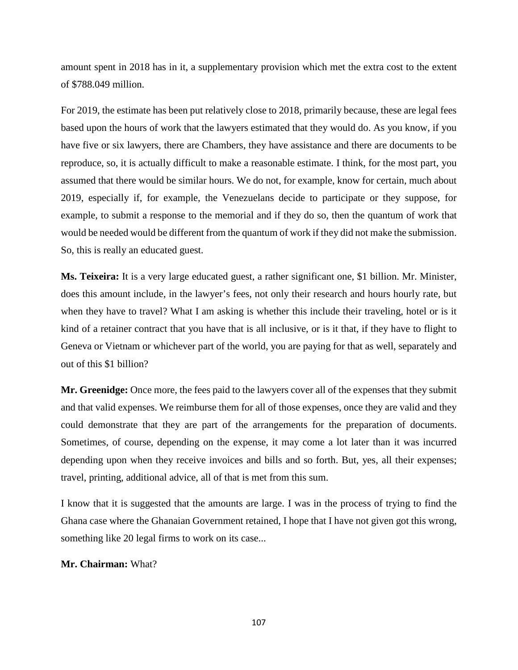amount spent in 2018 has in it, a supplementary provision which met the extra cost to the extent of \$788.049 million.

For 2019, the estimate has been put relatively close to 2018, primarily because, these are legal fees based upon the hours of work that the lawyers estimated that they would do. As you know, if you have five or six lawyers, there are Chambers, they have assistance and there are documents to be reproduce, so, it is actually difficult to make a reasonable estimate. I think, for the most part, you assumed that there would be similar hours. We do not, for example, know for certain, much about 2019, especially if, for example, the Venezuelans decide to participate or they suppose, for example, to submit a response to the memorial and if they do so, then the quantum of work that would be needed would be different from the quantum of work if they did not make the submission. So, this is really an educated guest.

**Ms. Teixeira:** It is a very large educated guest, a rather significant one, \$1 billion. Mr. Minister, does this amount include, in the lawyer's fees, not only their research and hours hourly rate, but when they have to travel? What I am asking is whether this include their traveling, hotel or is it kind of a retainer contract that you have that is all inclusive, or is it that, if they have to flight to Geneva or Vietnam or whichever part of the world, you are paying for that as well, separately and out of this \$1 billion?

**Mr. Greenidge:** Once more, the fees paid to the lawyers cover all of the expenses that they submit and that valid expenses. We reimburse them for all of those expenses, once they are valid and they could demonstrate that they are part of the arrangements for the preparation of documents. Sometimes, of course, depending on the expense, it may come a lot later than it was incurred depending upon when they receive invoices and bills and so forth. But, yes, all their expenses; travel, printing, additional advice, all of that is met from this sum.

I know that it is suggested that the amounts are large. I was in the process of trying to find the Ghana case where the Ghanaian Government retained, I hope that I have not given got this wrong, something like 20 legal firms to work on its case...

# **Mr. Chairman:** What?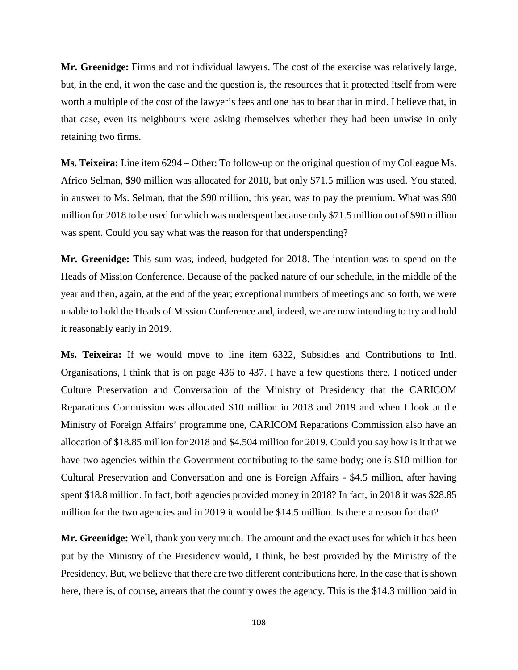**Mr. Greenidge:** Firms and not individual lawyers. The cost of the exercise was relatively large, but, in the end, it won the case and the question is, the resources that it protected itself from were worth a multiple of the cost of the lawyer's fees and one has to bear that in mind. I believe that, in that case, even its neighbours were asking themselves whether they had been unwise in only retaining two firms.

**Ms. Teixeira:** Line item 6294 – Other: To follow-up on the original question of my Colleague Ms. Africo Selman, \$90 million was allocated for 2018, but only \$71.5 million was used. You stated, in answer to Ms. Selman, that the \$90 million, this year, was to pay the premium. What was \$90 million for 2018 to be used for which was underspent because only \$71.5 million out of \$90 million was spent. Could you say what was the reason for that underspending?

**Mr. Greenidge:** This sum was, indeed, budgeted for 2018. The intention was to spend on the Heads of Mission Conference. Because of the packed nature of our schedule, in the middle of the year and then, again, at the end of the year; exceptional numbers of meetings and so forth, we were unable to hold the Heads of Mission Conference and, indeed, we are now intending to try and hold it reasonably early in 2019.

**Ms. Teixeira:** If we would move to line item 6322, Subsidies and Contributions to Intl. Organisations, I think that is on page 436 to 437. I have a few questions there. I noticed under Culture Preservation and Conversation of the Ministry of Presidency that the CARICOM Reparations Commission was allocated \$10 million in 2018 and 2019 and when I look at the Ministry of Foreign Affairs' programme one, CARICOM Reparations Commission also have an allocation of \$18.85 million for 2018 and \$4.504 million for 2019. Could you say how is it that we have two agencies within the Government contributing to the same body; one is \$10 million for Cultural Preservation and Conversation and one is Foreign Affairs - \$4.5 million, after having spent \$18.8 million. In fact, both agencies provided money in 2018? In fact, in 2018 it was \$28.85 million for the two agencies and in 2019 it would be \$14.5 million. Is there a reason for that?

**Mr. Greenidge:** Well, thank you very much. The amount and the exact uses for which it has been put by the Ministry of the Presidency would, I think, be best provided by the Ministry of the Presidency. But, we believe that there are two different contributions here. In the case that is shown here, there is, of course, arrears that the country owes the agency. This is the \$14.3 million paid in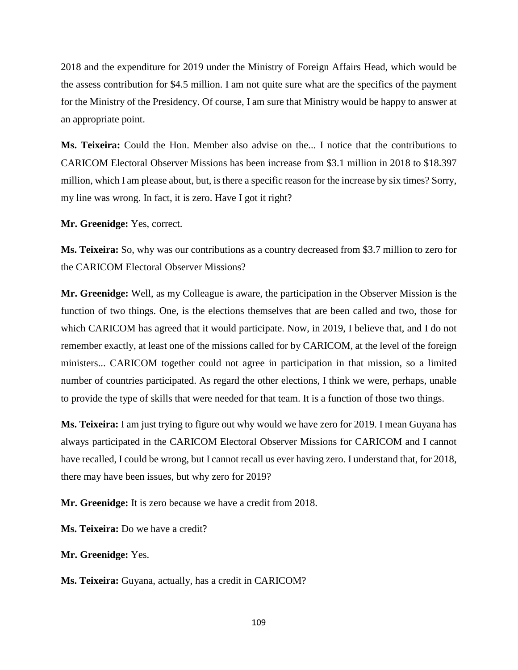2018 and the expenditure for 2019 under the Ministry of Foreign Affairs Head, which would be the assess contribution for \$4.5 million. I am not quite sure what are the specifics of the payment for the Ministry of the Presidency. Of course, I am sure that Ministry would be happy to answer at an appropriate point.

**Ms. Teixeira:** Could the Hon. Member also advise on the... I notice that the contributions to CARICOM Electoral Observer Missions has been increase from \$3.1 million in 2018 to \$18.397 million, which I am please about, but, is there a specific reason for the increase by six times? Sorry, my line was wrong. In fact, it is zero. Have I got it right?

**Mr. Greenidge:** Yes, correct.

**Ms. Teixeira:** So, why was our contributions as a country decreased from \$3.7 million to zero for the CARICOM Electoral Observer Missions?

**Mr. Greenidge:** Well, as my Colleague is aware, the participation in the Observer Mission is the function of two things. One, is the elections themselves that are been called and two, those for which CARICOM has agreed that it would participate. Now, in 2019, I believe that, and I do not remember exactly, at least one of the missions called for by CARICOM, at the level of the foreign ministers... CARICOM together could not agree in participation in that mission, so a limited number of countries participated. As regard the other elections, I think we were, perhaps, unable to provide the type of skills that were needed for that team. It is a function of those two things.

**Ms. Teixeira:** I am just trying to figure out why would we have zero for 2019. I mean Guyana has always participated in the CARICOM Electoral Observer Missions for CARICOM and I cannot have recalled, I could be wrong, but I cannot recall us ever having zero. I understand that, for 2018, there may have been issues, but why zero for 2019?

**Mr. Greenidge:** It is zero because we have a credit from 2018.

**Ms. Teixeira:** Do we have a credit?

**Mr. Greenidge:** Yes.

**Ms. Teixeira:** Guyana, actually, has a credit in CARICOM?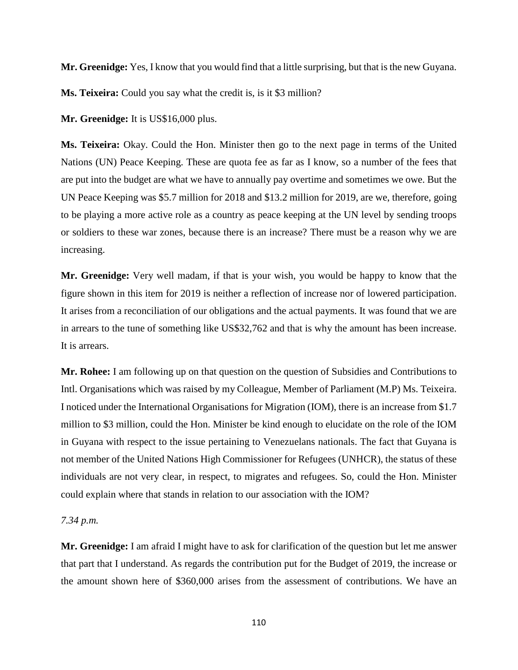**Mr. Greenidge:** Yes, I know that you would find that a little surprising, but that is the new Guyana.

**Ms. Teixeira:** Could you say what the credit is, is it \$3 million?

**Mr. Greenidge:** It is US\$16,000 plus.

**Ms. Teixeira:** Okay. Could the Hon. Minister then go to the next page in terms of the United Nations (UN) Peace Keeping. These are quota fee as far as I know, so a number of the fees that are put into the budget are what we have to annually pay overtime and sometimes we owe. But the UN Peace Keeping was \$5.7 million for 2018 and \$13.2 million for 2019, are we, therefore, going to be playing a more active role as a country as peace keeping at the UN level by sending troops or soldiers to these war zones, because there is an increase? There must be a reason why we are increasing.

**Mr. Greenidge:** Very well madam, if that is your wish, you would be happy to know that the figure shown in this item for 2019 is neither a reflection of increase nor of lowered participation. It arises from a reconciliation of our obligations and the actual payments. It was found that we are in arrears to the tune of something like US\$32,762 and that is why the amount has been increase. It is arrears.

**Mr. Rohee:** I am following up on that question on the question of Subsidies and Contributions to Intl. Organisations which was raised by my Colleague, Member of Parliament (M.P) Ms. Teixeira. I noticed under the International Organisations for Migration (IOM), there is an increase from \$1.7 million to \$3 million, could the Hon. Minister be kind enough to elucidate on the role of the IOM in Guyana with respect to the issue pertaining to Venezuelans nationals. The fact that Guyana is not member of the United Nations High Commissioner for Refugees (UNHCR), the status of these individuals are not very clear, in respect, to migrates and refugees. So, could the Hon. Minister could explain where that stands in relation to our association with the IOM?

### *7.34 p.m.*

**Mr. Greenidge:** I am afraid I might have to ask for clarification of the question but let me answer that part that I understand. As regards the contribution put for the Budget of 2019, the increase or the amount shown here of \$360,000 arises from the assessment of contributions. We have an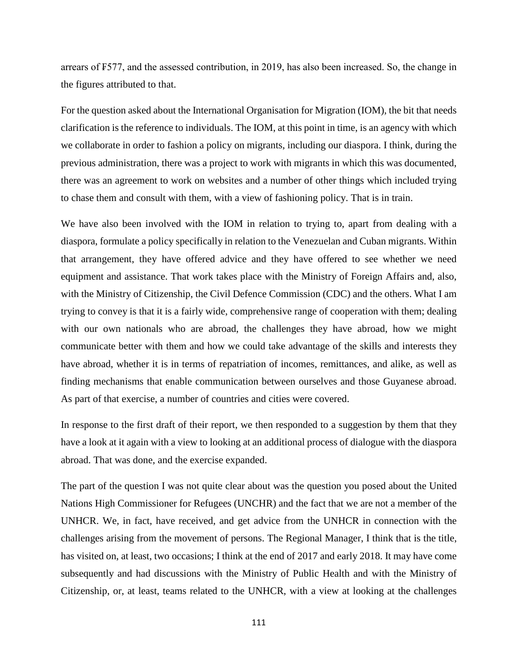arrears of ₣577, and the assessed contribution, in 2019, has also been increased. So, the change in the figures attributed to that.

For the question asked about the International Organisation for Migration (IOM), the bit that needs clarification is the reference to individuals. The IOM, at this point in time, is an agency with which we collaborate in order to fashion a policy on migrants, including our diaspora. I think, during the previous administration, there was a project to work with migrants in which this was documented, there was an agreement to work on websites and a number of other things which included trying to chase them and consult with them, with a view of fashioning policy. That is in train.

We have also been involved with the IOM in relation to trying to, apart from dealing with a diaspora, formulate a policy specifically in relation to the Venezuelan and Cuban migrants. Within that arrangement, they have offered advice and they have offered to see whether we need equipment and assistance. That work takes place with the Ministry of Foreign Affairs and, also, with the Ministry of Citizenship, the Civil Defence Commission (CDC) and the others. What I am trying to convey is that it is a fairly wide, comprehensive range of cooperation with them; dealing with our own nationals who are abroad, the challenges they have abroad, how we might communicate better with them and how we could take advantage of the skills and interests they have abroad, whether it is in terms of repatriation of incomes, remittances, and alike, as well as finding mechanisms that enable communication between ourselves and those Guyanese abroad. As part of that exercise, a number of countries and cities were covered.

In response to the first draft of their report, we then responded to a suggestion by them that they have a look at it again with a view to looking at an additional process of dialogue with the diaspora abroad. That was done, and the exercise expanded.

The part of the question I was not quite clear about was the question you posed about the United Nations High Commissioner for Refugees (UNCHR) and the fact that we are not a member of the UNHCR. We, in fact, have received, and get advice from the UNHCR in connection with the challenges arising from the movement of persons. The Regional Manager, I think that is the title, has visited on, at least, two occasions; I think at the end of 2017 and early 2018. It may have come subsequently and had discussions with the Ministry of Public Health and with the Ministry of Citizenship, or, at least, teams related to the UNHCR, with a view at looking at the challenges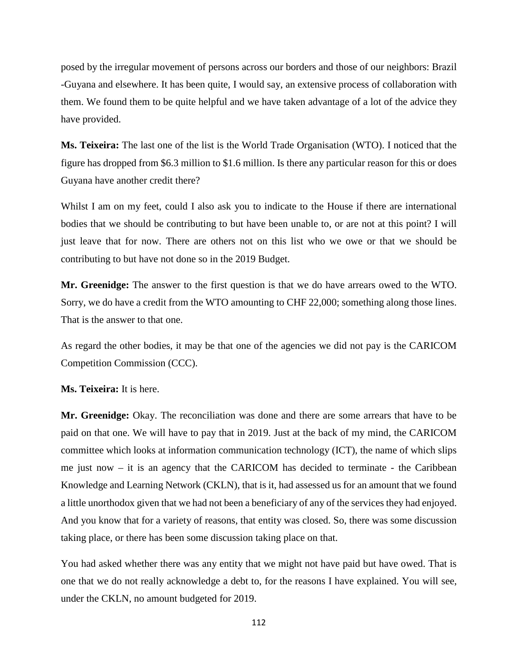posed by the irregular movement of persons across our borders and those of our neighbors: Brazil -Guyana and elsewhere. It has been quite, I would say, an extensive process of collaboration with them. We found them to be quite helpful and we have taken advantage of a lot of the advice they have provided.

**Ms. Teixeira:** The last one of the list is the World Trade Organisation (WTO). I noticed that the figure has dropped from \$6.3 million to \$1.6 million. Is there any particular reason for this or does Guyana have another credit there?

Whilst I am on my feet, could I also ask you to indicate to the House if there are international bodies that we should be contributing to but have been unable to, or are not at this point? I will just leave that for now. There are others not on this list who we owe or that we should be contributing to but have not done so in the 2019 Budget.

**Mr. Greenidge:** The answer to the first question is that we do have arrears owed to the WTO. Sorry, we do have a credit from the WTO amounting to CHF 22,000; something along those lines. That is the answer to that one.

As regard the other bodies, it may be that one of the agencies we did not pay is the CARICOM Competition Commission (CCC).

**Ms. Teixeira:** It is here.

**Mr. Greenidge:** Okay. The reconciliation was done and there are some arrears that have to be paid on that one. We will have to pay that in 2019. Just at the back of my mind, the CARICOM committee which looks at information communication technology (ICT), the name of which slips me just now – it is an agency that the CARICOM has decided to terminate - the Caribbean Knowledge and Learning Network (CKLN), that is it, had assessed us for an amount that we found a little unorthodox given that we had not been a beneficiary of any of the services they had enjoyed. And you know that for a variety of reasons, that entity was closed. So, there was some discussion taking place, or there has been some discussion taking place on that.

You had asked whether there was any entity that we might not have paid but have owed. That is one that we do not really acknowledge a debt to, for the reasons I have explained. You will see, under the CKLN, no amount budgeted for 2019.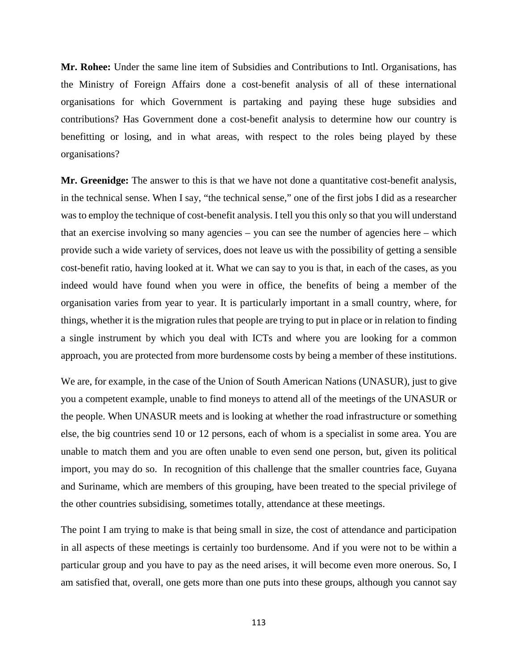**Mr. Rohee:** Under the same line item of Subsidies and Contributions to Intl. Organisations, has the Ministry of Foreign Affairs done a cost-benefit analysis of all of these international organisations for which Government is partaking and paying these huge subsidies and contributions? Has Government done a cost-benefit analysis to determine how our country is benefitting or losing, and in what areas, with respect to the roles being played by these organisations?

**Mr. Greenidge:** The answer to this is that we have not done a quantitative cost-benefit analysis, in the technical sense. When I say, "the technical sense," one of the first jobs I did as a researcher was to employ the technique of cost-benefit analysis. I tell you this only so that you will understand that an exercise involving so many agencies – you can see the number of agencies here – which provide such a wide variety of services, does not leave us with the possibility of getting a sensible cost-benefit ratio, having looked at it. What we can say to you is that, in each of the cases, as you indeed would have found when you were in office, the benefits of being a member of the organisation varies from year to year. It is particularly important in a small country, where, for things, whether it is the migration rules that people are trying to put in place or in relation to finding a single instrument by which you deal with ICTs and where you are looking for a common approach, you are protected from more burdensome costs by being a member of these institutions.

We are, for example, in the case of the Union of South American Nations (UNASUR), just to give you a competent example, unable to find moneys to attend all of the meetings of the UNASUR or the people. When UNASUR meets and is looking at whether the road infrastructure or something else, the big countries send 10 or 12 persons, each of whom is a specialist in some area. You are unable to match them and you are often unable to even send one person, but, given its political import, you may do so. In recognition of this challenge that the smaller countries face, Guyana and Suriname, which are members of this grouping, have been treated to the special privilege of the other countries subsidising, sometimes totally, attendance at these meetings.

The point I am trying to make is that being small in size, the cost of attendance and participation in all aspects of these meetings is certainly too burdensome. And if you were not to be within a particular group and you have to pay as the need arises, it will become even more onerous. So, I am satisfied that, overall, one gets more than one puts into these groups, although you cannot say

113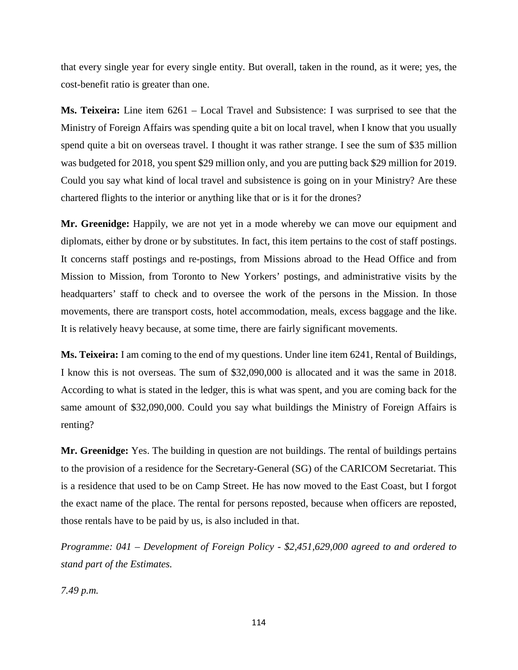that every single year for every single entity. But overall, taken in the round, as it were; yes, the cost-benefit ratio is greater than one.

**Ms. Teixeira:** Line item 6261 – Local Travel and Subsistence: I was surprised to see that the Ministry of Foreign Affairs was spending quite a bit on local travel, when I know that you usually spend quite a bit on overseas travel. I thought it was rather strange. I see the sum of \$35 million was budgeted for 2018, you spent \$29 million only, and you are putting back \$29 million for 2019. Could you say what kind of local travel and subsistence is going on in your Ministry? Are these chartered flights to the interior or anything like that or is it for the drones?

**Mr. Greenidge:** Happily, we are not yet in a mode whereby we can move our equipment and diplomats, either by drone or by substitutes. In fact, this item pertains to the cost of staff postings. It concerns staff postings and re-postings, from Missions abroad to the Head Office and from Mission to Mission, from Toronto to New Yorkers' postings, and administrative visits by the headquarters' staff to check and to oversee the work of the persons in the Mission. In those movements, there are transport costs, hotel accommodation, meals, excess baggage and the like. It is relatively heavy because, at some time, there are fairly significant movements.

**Ms. Teixeira:** I am coming to the end of my questions. Under line item 6241, Rental of Buildings, I know this is not overseas. The sum of \$32,090,000 is allocated and it was the same in 2018. According to what is stated in the ledger, this is what was spent, and you are coming back for the same amount of \$32,090,000. Could you say what buildings the Ministry of Foreign Affairs is renting?

**Mr. Greenidge:** Yes. The building in question are not buildings. The rental of buildings pertains to the provision of a residence for the Secretary-General (SG) of the CARICOM Secretariat. This is a residence that used to be on Camp Street. He has now moved to the East Coast, but I forgot the exact name of the place. The rental for persons reposted, because when officers are reposted, those rentals have to be paid by us, is also included in that.

*Programme: 041 – Development of Foreign Policy - \$2,451,629,000 agreed to and ordered to stand part of the Estimates.* 

*7.49 p.m.*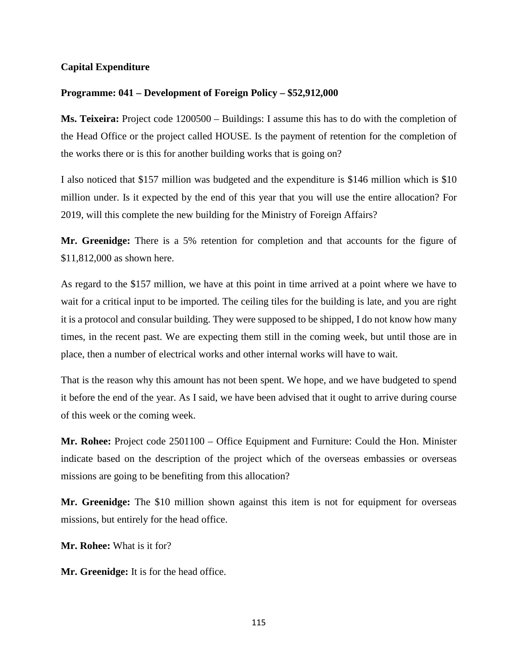## **Capital Expenditure**

### **Programme: 041 – Development of Foreign Policy – \$52,912,000**

**Ms. Teixeira:** Project code 1200500 – Buildings: I assume this has to do with the completion of the Head Office or the project called HOUSE. Is the payment of retention for the completion of the works there or is this for another building works that is going on?

I also noticed that \$157 million was budgeted and the expenditure is \$146 million which is \$10 million under. Is it expected by the end of this year that you will use the entire allocation? For 2019, will this complete the new building for the Ministry of Foreign Affairs?

**Mr. Greenidge:** There is a 5% retention for completion and that accounts for the figure of \$11,812,000 as shown here.

As regard to the \$157 million, we have at this point in time arrived at a point where we have to wait for a critical input to be imported. The ceiling tiles for the building is late, and you are right it is a protocol and consular building. They were supposed to be shipped, I do not know how many times, in the recent past. We are expecting them still in the coming week, but until those are in place, then a number of electrical works and other internal works will have to wait.

That is the reason why this amount has not been spent. We hope, and we have budgeted to spend it before the end of the year. As I said, we have been advised that it ought to arrive during course of this week or the coming week.

**Mr. Rohee:** Project code 2501100 – Office Equipment and Furniture: Could the Hon. Minister indicate based on the description of the project which of the overseas embassies or overseas missions are going to be benefiting from this allocation?

**Mr. Greenidge:** The \$10 million shown against this item is not for equipment for overseas missions, but entirely for the head office.

**Mr. Rohee:** What is it for?

**Mr. Greenidge:** It is for the head office.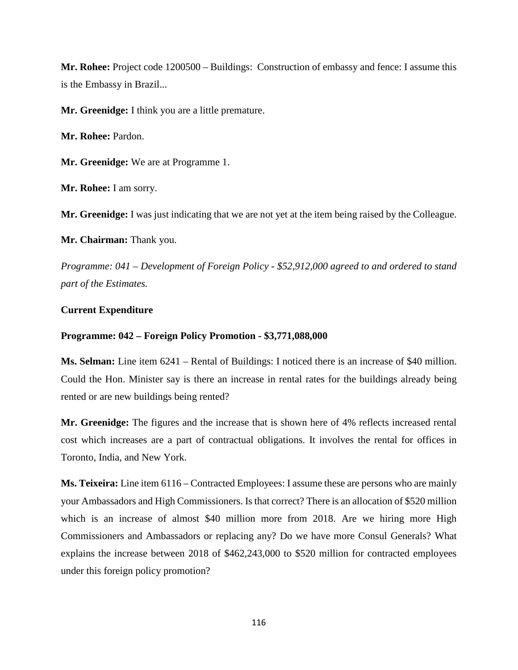**Mr. Rohee:** Project code 1200500 – Buildings: Construction of embassy and fence: I assume this is the Embassy in Brazil...

**Mr. Greenidge:** I think you are a little premature.

**Mr. Rohee:** Pardon.

**Mr. Greenidge:** We are at Programme 1.

**Mr. Rohee:** I am sorry.

**Mr. Greenidge:** I was just indicating that we are not yet at the item being raised by the Colleague.

**Mr. Chairman:** Thank you.

*Programme: 041 – Development of Foreign Policy - \$52,912,000 agreed to and ordered to stand part of the Estimates.*

### **Current Expenditure**

### **Programme: 042 – Foreign Policy Promotion - \$3,771,088,000**

**Ms. Selman:** Line item 6241 – Rental of Buildings: I noticed there is an increase of \$40 million. Could the Hon. Minister say is there an increase in rental rates for the buildings already being rented or are new buildings being rented?

**Mr. Greenidge:** The figures and the increase that is shown here of 4% reflects increased rental cost which increases are a part of contractual obligations. It involves the rental for offices in Toronto, India, and New York.

**Ms. Teixeira:** Line item 6116 – Contracted Employees: I assume these are persons who are mainly your Ambassadors and High Commissioners. Is that correct? There is an allocation of \$520 million which is an increase of almost \$40 million more from 2018. Are we hiring more High Commissioners and Ambassadors or replacing any? Do we have more Consul Generals? What explains the increase between 2018 of \$462,243,000 to \$520 million for contracted employees under this foreign policy promotion?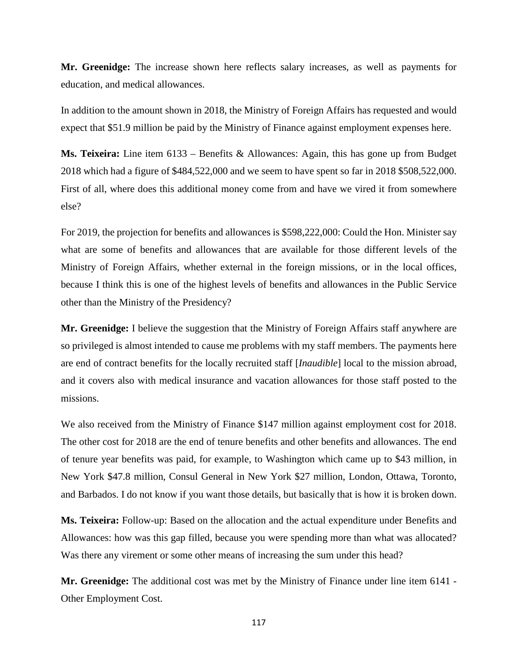**Mr. Greenidge:** The increase shown here reflects salary increases, as well as payments for education, and medical allowances.

In addition to the amount shown in 2018, the Ministry of Foreign Affairs has requested and would expect that \$51.9 million be paid by the Ministry of Finance against employment expenses here.

**Ms. Teixeira:** Line item 6133 – Benefits & Allowances: Again, this has gone up from Budget 2018 which had a figure of \$484,522,000 and we seem to have spent so far in 2018 \$508,522,000. First of all, where does this additional money come from and have we vired it from somewhere else?

For 2019, the projection for benefits and allowances is \$598,222,000: Could the Hon. Minister say what are some of benefits and allowances that are available for those different levels of the Ministry of Foreign Affairs, whether external in the foreign missions, or in the local offices, because I think this is one of the highest levels of benefits and allowances in the Public Service other than the Ministry of the Presidency?

**Mr. Greenidge:** I believe the suggestion that the Ministry of Foreign Affairs staff anywhere are so privileged is almost intended to cause me problems with my staff members. The payments here are end of contract benefits for the locally recruited staff [*Inaudible*] local to the mission abroad, and it covers also with medical insurance and vacation allowances for those staff posted to the missions.

We also received from the Ministry of Finance \$147 million against employment cost for 2018. The other cost for 2018 are the end of tenure benefits and other benefits and allowances. The end of tenure year benefits was paid, for example, to Washington which came up to \$43 million, in New York \$47.8 million, Consul General in New York \$27 million, London, Ottawa, Toronto, and Barbados. I do not know if you want those details, but basically that is how it is broken down.

**Ms. Teixeira:** Follow-up: Based on the allocation and the actual expenditure under Benefits and Allowances: how was this gap filled, because you were spending more than what was allocated? Was there any virement or some other means of increasing the sum under this head?

**Mr. Greenidge:** The additional cost was met by the Ministry of Finance under line item 6141 - Other Employment Cost.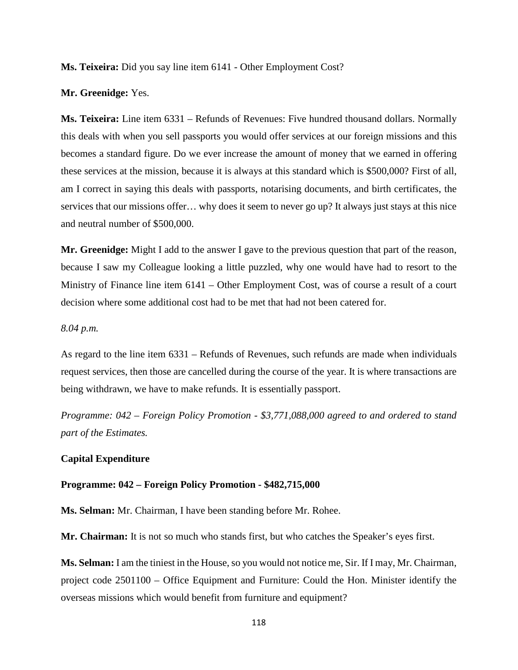**Ms. Teixeira:** Did you say line item 6141 - Other Employment Cost?

**Mr. Greenidge:** Yes.

**Ms. Teixeira:** Line item 6331 – Refunds of Revenues: Five hundred thousand dollars. Normally this deals with when you sell passports you would offer services at our foreign missions and this becomes a standard figure. Do we ever increase the amount of money that we earned in offering these services at the mission, because it is always at this standard which is \$500,000? First of all, am I correct in saying this deals with passports, notarising documents, and birth certificates, the services that our missions offer… why does it seem to never go up? It always just stays at this nice and neutral number of \$500,000.

**Mr. Greenidge:** Might I add to the answer I gave to the previous question that part of the reason, because I saw my Colleague looking a little puzzled, why one would have had to resort to the Ministry of Finance line item 6141 – Other Employment Cost, was of course a result of a court decision where some additional cost had to be met that had not been catered for.

### *8.04 p.m.*

As regard to the line item 6331 – Refunds of Revenues, such refunds are made when individuals request services, then those are cancelled during the course of the year. It is where transactions are being withdrawn, we have to make refunds. It is essentially passport.

*Programme: 042 – Foreign Policy Promotion - \$3,771,088,000 agreed to and ordered to stand part of the Estimates.*

#### **Capital Expenditure**

#### **Programme: 042 – Foreign Policy Promotion - \$482,715,000**

**Ms. Selman:** Mr. Chairman, I have been standing before Mr. Rohee.

**Mr. Chairman:** It is not so much who stands first, but who catches the Speaker's eyes first.

**Ms. Selman:** I am the tiniest in the House, so you would not notice me, Sir. If I may, Mr. Chairman, project code 2501100 – Office Equipment and Furniture: Could the Hon. Minister identify the overseas missions which would benefit from furniture and equipment?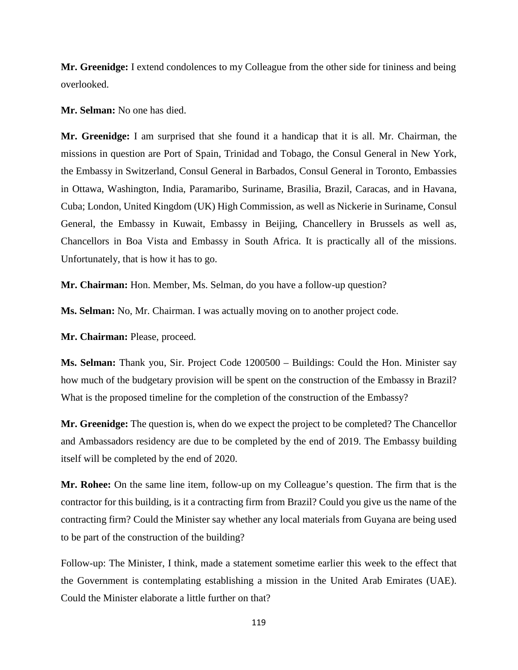**Mr. Greenidge:** I extend condolences to my Colleague from the other side for tininess and being overlooked.

**Mr. Selman:** No one has died.

**Mr. Greenidge:** I am surprised that she found it a handicap that it is all. Mr. Chairman, the missions in question are Port of Spain, Trinidad and Tobago, the Consul General in New York, the Embassy in Switzerland, Consul General in Barbados, Consul General in Toronto, Embassies in Ottawa, Washington, India, Paramaribo, Suriname, Brasilia, Brazil, Caracas, and in Havana, Cuba; London, United Kingdom (UK) High Commission, as well as Nickerie in Suriname, Consul General, the Embassy in Kuwait, Embassy in Beijing, Chancellery in Brussels as well as, Chancellors in Boa Vista and Embassy in South Africa. It is practically all of the missions. Unfortunately, that is how it has to go.

**Mr. Chairman:** Hon. Member, Ms. Selman, do you have a follow-up question?

**Ms. Selman:** No, Mr. Chairman. I was actually moving on to another project code.

**Mr. Chairman:** Please, proceed.

**Ms. Selman:** Thank you, Sir. Project Code 1200500 – Buildings: Could the Hon. Minister say how much of the budgetary provision will be spent on the construction of the Embassy in Brazil? What is the proposed timeline for the completion of the construction of the Embassy?

**Mr. Greenidge:** The question is, when do we expect the project to be completed? The Chancellor and Ambassadors residency are due to be completed by the end of 2019. The Embassy building itself will be completed by the end of 2020.

**Mr. Rohee:** On the same line item, follow-up on my Colleague's question. The firm that is the contractor for this building, is it a contracting firm from Brazil? Could you give us the name of the contracting firm? Could the Minister say whether any local materials from Guyana are being used to be part of the construction of the building?

Follow-up: The Minister, I think, made a statement sometime earlier this week to the effect that the Government is contemplating establishing a mission in the United Arab Emirates (UAE). Could the Minister elaborate a little further on that?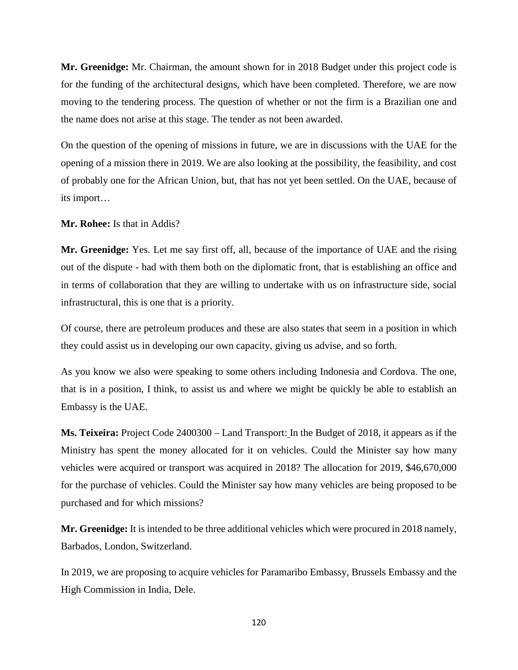**Mr. Greenidge:** Mr. Chairman, the amount shown for in 2018 Budget under this project code is for the funding of the architectural designs, which have been completed. Therefore, we are now moving to the tendering process. The question of whether or not the firm is a Brazilian one and the name does not arise at this stage. The tender as not been awarded.

On the question of the opening of missions in future, we are in discussions with the UAE for the opening of a mission there in 2019. We are also looking at the possibility, the feasibility, and cost of probably one for the African Union, but, that has not yet been settled. On the UAE, because of its import…

**Mr. Rohee:** Is that in Addis?

**Mr. Greenidge:** Yes. Let me say first off, all, because of the importance of UAE and the rising out of the dispute - had with them both on the diplomatic front, that is establishing an office and in terms of collaboration that they are willing to undertake with us on infrastructure side, social infrastructural, this is one that is a priority.

Of course, there are petroleum produces and these are also states that seem in a position in which they could assist us in developing our own capacity, giving us advise, and so forth.

As you know we also were speaking to some others including Indonesia and Cordova. The one, that is in a position, I think, to assist us and where we might be quickly be able to establish an Embassy is the UAE.

**Ms. Teixeira:** Project Code 2400300 – Land Transport: In the Budget of 2018, it appears as if the Ministry has spent the money allocated for it on vehicles. Could the Minister say how many vehicles were acquired or transport was acquired in 2018? The allocation for 2019, \$46,670,000 for the purchase of vehicles. Could the Minister say how many vehicles are being proposed to be purchased and for which missions?

**Mr. Greenidge:** It is intended to be three additional vehicles which were procured in 2018 namely, Barbados, London, Switzerland.

In 2019, we are proposing to acquire vehicles for Paramaribo Embassy, Brussels Embassy and the High Commission in India, Dele.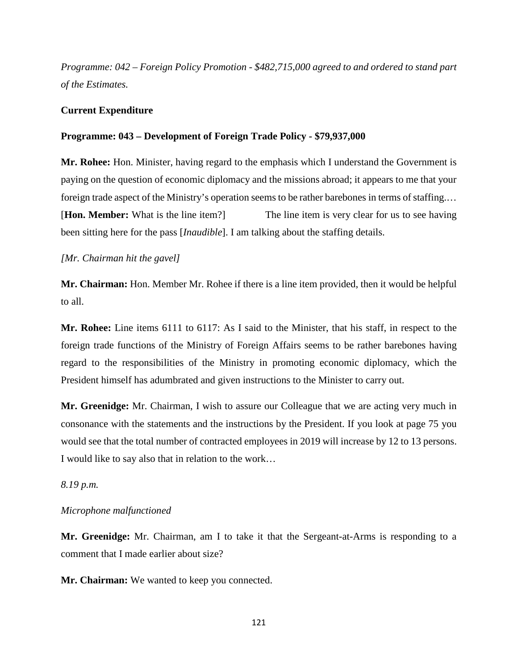*Programme: 042 – Foreign Policy Promotion - \$482,715,000 agreed to and ordered to stand part of the Estimates.*

### **Current Expenditure**

### **Programme: 043 – Development of Foreign Trade Policy - \$79,937,000**

**Mr. Rohee:** Hon. Minister, having regard to the emphasis which I understand the Government is paying on the question of economic diplomacy and the missions abroad; it appears to me that your foreign trade aspect of the Ministry's operation seems to be rather barebones in terms of staffing.… [**Hon. Member:** What is the line item?] The line item is very clear for us to see having been sitting here for the pass [*Inaudible*]. I am talking about the staffing details.

### *[Mr. Chairman hit the gavel]*

**Mr. Chairman:** Hon. Member Mr. Rohee if there is a line item provided, then it would be helpful to all.

**Mr. Rohee:** Line items 6111 to 6117: As I said to the Minister, that his staff, in respect to the foreign trade functions of the Ministry of Foreign Affairs seems to be rather barebones having regard to the responsibilities of the Ministry in promoting economic diplomacy, which the President himself has adumbrated and given instructions to the Minister to carry out.

**Mr. Greenidge:** Mr. Chairman, I wish to assure our Colleague that we are acting very much in consonance with the statements and the instructions by the President. If you look at page 75 you would see that the total number of contracted employees in 2019 will increase by 12 to 13 persons. I would like to say also that in relation to the work…

#### *8.19 p.m.*

#### *Microphone malfunctioned*

**Mr. Greenidge:** Mr. Chairman, am I to take it that the Sergeant-at-Arms is responding to a comment that I made earlier about size?

**Mr. Chairman:** We wanted to keep you connected.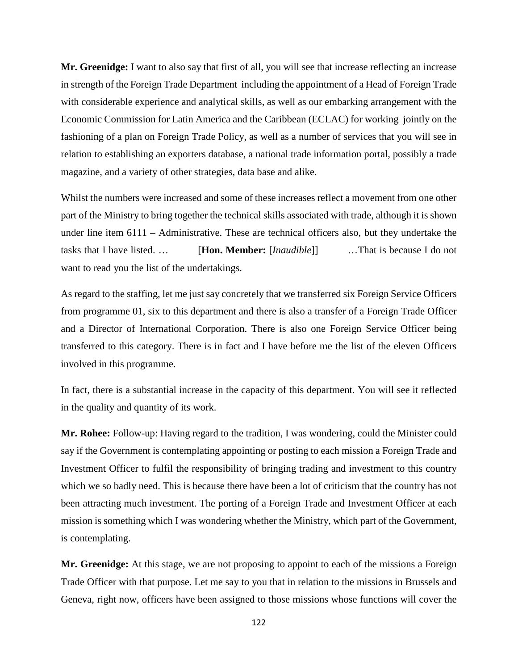**Mr. Greenidge:** I want to also say that first of all, you will see that increase reflecting an increase in strength of the Foreign Trade Department including the appointment of a Head of Foreign Trade with considerable experience and analytical skills, as well as our embarking arrangement with the Economic Commission for Latin America and the Caribbean (ECLAC) for working jointly on the fashioning of a plan on Foreign Trade Policy, as well as a number of services that you will see in relation to establishing an exporters database, a national trade information portal, possibly a trade magazine, and a variety of other strategies, data base and alike.

Whilst the numbers were increased and some of these increases reflect a movement from one other part of the Ministry to bring together the technical skills associated with trade, although it is shown under line item 6111 – Administrative. These are technical officers also, but they undertake the tasks that I have listed. … [**Hon. Member:** [*Inaudible*]] …That is because I do not want to read you the list of the undertakings.

As regard to the staffing, let me just say concretely that we transferred six Foreign Service Officers from programme 01, six to this department and there is also a transfer of a Foreign Trade Officer and a Director of International Corporation. There is also one Foreign Service Officer being transferred to this category. There is in fact and I have before me the list of the eleven Officers involved in this programme.

In fact, there is a substantial increase in the capacity of this department. You will see it reflected in the quality and quantity of its work.

**Mr. Rohee:** Follow-up: Having regard to the tradition, I was wondering, could the Minister could say if the Government is contemplating appointing or posting to each mission a Foreign Trade and Investment Officer to fulfil the responsibility of bringing trading and investment to this country which we so badly need. This is because there have been a lot of criticism that the country has not been attracting much investment. The porting of a Foreign Trade and Investment Officer at each mission is something which I was wondering whether the Ministry, which part of the Government, is contemplating.

**Mr. Greenidge:** At this stage, we are not proposing to appoint to each of the missions a Foreign Trade Officer with that purpose. Let me say to you that in relation to the missions in Brussels and Geneva, right now, officers have been assigned to those missions whose functions will cover the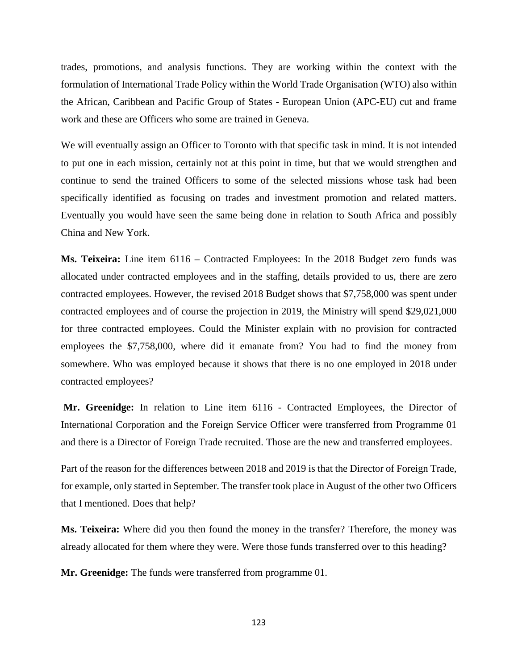trades, promotions, and analysis functions. They are working within the context with the formulation of International Trade Policy within the World Trade Organisation (WTO) also within the African, Caribbean and Pacific Group of States - European Union (APC-EU) cut and frame work and these are Officers who some are trained in Geneva.

We will eventually assign an Officer to Toronto with that specific task in mind. It is not intended to put one in each mission, certainly not at this point in time, but that we would strengthen and continue to send the trained Officers to some of the selected missions whose task had been specifically identified as focusing on trades and investment promotion and related matters. Eventually you would have seen the same being done in relation to South Africa and possibly China and New York.

**Ms. Teixeira:** Line item 6116 – Contracted Employees: In the 2018 Budget zero funds was allocated under contracted employees and in the staffing, details provided to us, there are zero contracted employees. However, the revised 2018 Budget shows that \$7,758,000 was spent under contracted employees and of course the projection in 2019, the Ministry will spend \$29,021,000 for three contracted employees. Could the Minister explain with no provision for contracted employees the \$7,758,000, where did it emanate from? You had to find the money from somewhere. Who was employed because it shows that there is no one employed in 2018 under contracted employees?

**Mr. Greenidge:** In relation to Line item 6116 - Contracted Employees, the Director of International Corporation and the Foreign Service Officer were transferred from Programme 01 and there is a Director of Foreign Trade recruited. Those are the new and transferred employees.

Part of the reason for the differences between 2018 and 2019 is that the Director of Foreign Trade, for example, only started in September. The transfer took place in August of the other two Officers that I mentioned. Does that help?

**Ms. Teixeira:** Where did you then found the money in the transfer? Therefore, the money was already allocated for them where they were. Were those funds transferred over to this heading?

**Mr. Greenidge:** The funds were transferred from programme 01.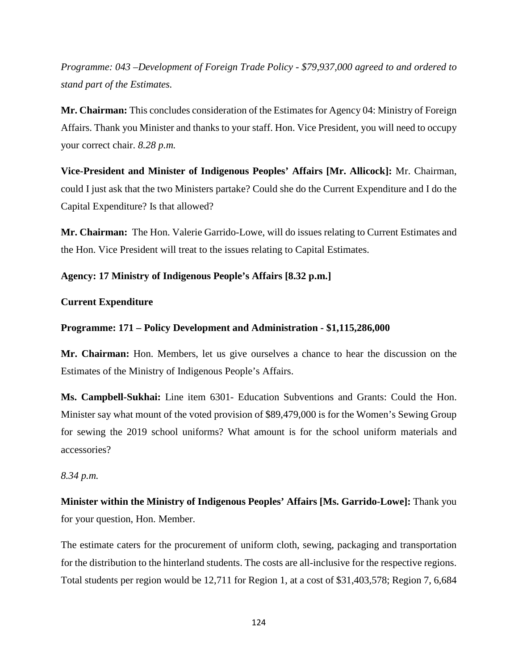*Programme: 043 –Development of Foreign Trade Policy - \$79,937,000 agreed to and ordered to stand part of the Estimates.*

**Mr. Chairman:** This concludes consideration of the Estimates for Agency 04: Ministry of Foreign Affairs. Thank you Minister and thanks to your staff. Hon. Vice President, you will need to occupy your correct chair. *8.28 p.m.*

**Vice-President and Minister of Indigenous Peoples' Affairs [Mr. Allicock]:** Mr. Chairman, could I just ask that the two Ministers partake? Could she do the Current Expenditure and I do the Capital Expenditure? Is that allowed?

**Mr. Chairman:** The Hon. Valerie Garrido-Lowe, will do issues relating to Current Estimates and the Hon. Vice President will treat to the issues relating to Capital Estimates.

**Agency: 17 Ministry of Indigenous People's Affairs [8.32 p.m.]**

# **Current Expenditure**

# **Programme: 171 – Policy Development and Administration - \$1,115,286,000**

**Mr. Chairman:** Hon. Members, let us give ourselves a chance to hear the discussion on the Estimates of the Ministry of Indigenous People's Affairs.

**Ms. Campbell-Sukhai:** Line item 6301- Education Subventions and Grants: Could the Hon. Minister say what mount of the voted provision of \$89,479,000 is for the Women's Sewing Group for sewing the 2019 school uniforms? What amount is for the school uniform materials and accessories?

# *8.34 p.m.*

**Minister within the Ministry of Indigenous Peoples' Affairs [Ms. Garrido-Lowe]:** Thank you for your question, Hon. Member.

The estimate caters for the procurement of uniform cloth, sewing, packaging and transportation for the distribution to the hinterland students. The costs are all-inclusive for the respective regions. Total students per region would be 12,711 for Region 1, at a cost of \$31,403,578; Region 7, 6,684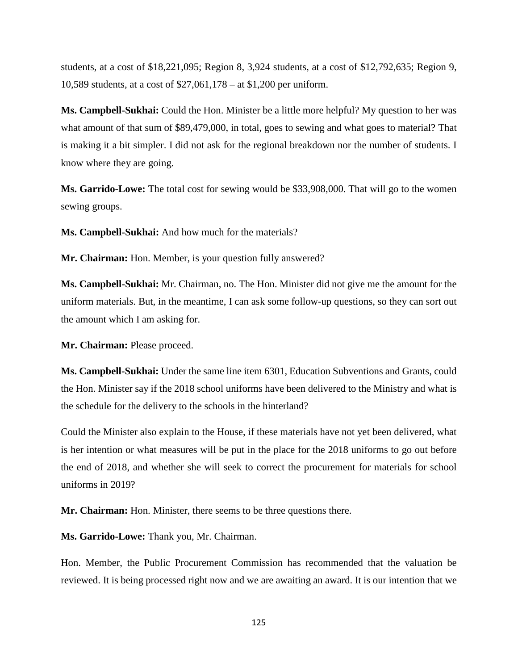students, at a cost of \$18,221,095; Region 8, 3,924 students, at a cost of \$12,792,635; Region 9, 10,589 students, at a cost of \$27,061,178 – at \$1,200 per uniform.

**Ms. Campbell-Sukhai:** Could the Hon. Minister be a little more helpful? My question to her was what amount of that sum of \$89,479,000, in total, goes to sewing and what goes to material? That is making it a bit simpler. I did not ask for the regional breakdown nor the number of students. I know where they are going.

**Ms. Garrido-Lowe:** The total cost for sewing would be \$33,908,000. That will go to the women sewing groups.

**Ms. Campbell-Sukhai:** And how much for the materials?

**Mr. Chairman:** Hon. Member, is your question fully answered?

**Ms. Campbell-Sukhai:** Mr. Chairman, no. The Hon. Minister did not give me the amount for the uniform materials. But, in the meantime, I can ask some follow-up questions, so they can sort out the amount which I am asking for.

**Mr. Chairman:** Please proceed.

**Ms. Campbell-Sukhai:** Under the same line item 6301, Education Subventions and Grants, could the Hon. Minister say if the 2018 school uniforms have been delivered to the Ministry and what is the schedule for the delivery to the schools in the hinterland?

Could the Minister also explain to the House, if these materials have not yet been delivered, what is her intention or what measures will be put in the place for the 2018 uniforms to go out before the end of 2018, and whether she will seek to correct the procurement for materials for school uniforms in 2019?

**Mr. Chairman:** Hon. Minister, there seems to be three questions there.

**Ms. Garrido-Lowe:** Thank you, Mr. Chairman.

Hon. Member, the Public Procurement Commission has recommended that the valuation be reviewed. It is being processed right now and we are awaiting an award. It is our intention that we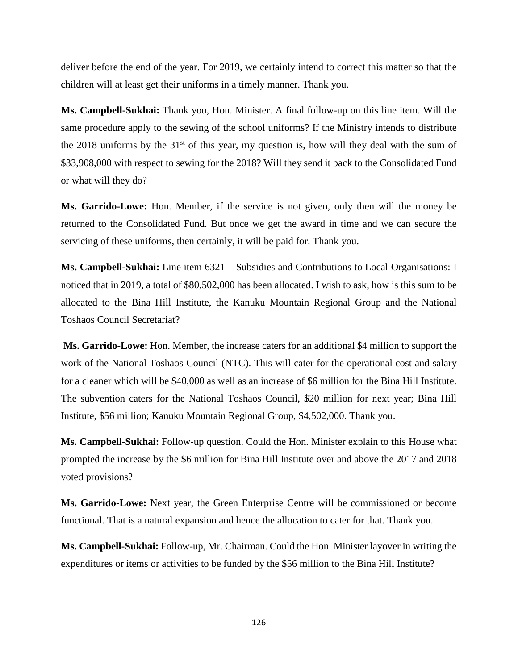deliver before the end of the year. For 2019, we certainly intend to correct this matter so that the children will at least get their uniforms in a timely manner. Thank you.

**Ms. Campbell-Sukhai:** Thank you, Hon. Minister. A final follow-up on this line item. Will the same procedure apply to the sewing of the school uniforms? If the Ministry intends to distribute the 2018 uniforms by the  $31<sup>st</sup>$  of this year, my question is, how will they deal with the sum of \$33,908,000 with respect to sewing for the 2018? Will they send it back to the Consolidated Fund or what will they do?

**Ms. Garrido-Lowe:** Hon. Member, if the service is not given, only then will the money be returned to the Consolidated Fund. But once we get the award in time and we can secure the servicing of these uniforms, then certainly, it will be paid for. Thank you.

**Ms. Campbell-Sukhai:** Line item 6321 – Subsidies and Contributions to Local Organisations: I noticed that in 2019, a total of \$80,502,000 has been allocated. I wish to ask, how is this sum to be allocated to the Bina Hill Institute, the Kanuku Mountain Regional Group and the National Toshaos Council Secretariat?

**Ms. Garrido-Lowe:** Hon. Member, the increase caters for an additional \$4 million to support the work of the National Toshaos Council (NTC). This will cater for the operational cost and salary for a cleaner which will be \$40,000 as well as an increase of \$6 million for the Bina Hill Institute. The subvention caters for the National Toshaos Council, \$20 million for next year; Bina Hill Institute, \$56 million; Kanuku Mountain Regional Group, \$4,502,000. Thank you.

**Ms. Campbell-Sukhai:** Follow-up question. Could the Hon. Minister explain to this House what prompted the increase by the \$6 million for Bina Hill Institute over and above the 2017 and 2018 voted provisions?

**Ms. Garrido-Lowe:** Next year, the Green Enterprise Centre will be commissioned or become functional. That is a natural expansion and hence the allocation to cater for that. Thank you.

**Ms. Campbell-Sukhai:** Follow-up, Mr. Chairman. Could the Hon. Minister layover in writing the expenditures or items or activities to be funded by the \$56 million to the Bina Hill Institute?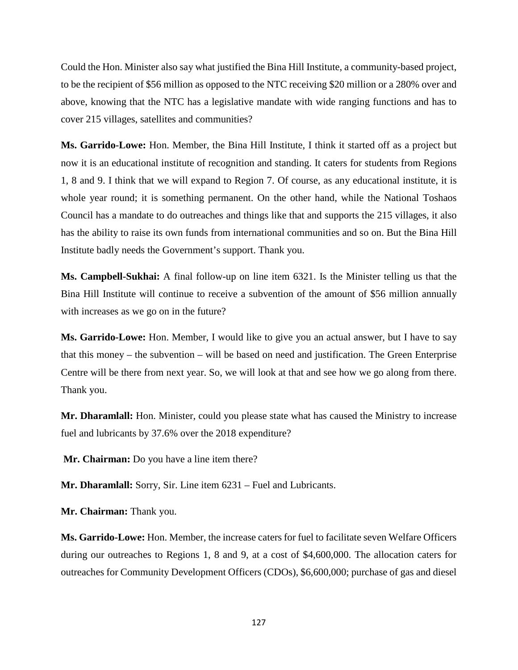Could the Hon. Minister also say what justified the Bina Hill Institute, a community-based project, to be the recipient of \$56 million as opposed to the NTC receiving \$20 million or a 280% over and above, knowing that the NTC has a legislative mandate with wide ranging functions and has to cover 215 villages, satellites and communities?

**Ms. Garrido-Lowe:** Hon. Member, the Bina Hill Institute, I think it started off as a project but now it is an educational institute of recognition and standing. It caters for students from Regions 1, 8 and 9. I think that we will expand to Region 7. Of course, as any educational institute, it is whole year round; it is something permanent. On the other hand, while the National Toshaos Council has a mandate to do outreaches and things like that and supports the 215 villages, it also has the ability to raise its own funds from international communities and so on. But the Bina Hill Institute badly needs the Government's support. Thank you.

**Ms. Campbell-Sukhai:** A final follow-up on line item 6321. Is the Minister telling us that the Bina Hill Institute will continue to receive a subvention of the amount of \$56 million annually with increases as we go on in the future?

**Ms. Garrido-Lowe:** Hon. Member, I would like to give you an actual answer, but I have to say that this money – the subvention – will be based on need and justification. The Green Enterprise Centre will be there from next year. So, we will look at that and see how we go along from there. Thank you.

**Mr. Dharamlall:** Hon. Minister, could you please state what has caused the Ministry to increase fuel and lubricants by 37.6% over the 2018 expenditure?

**Mr. Chairman:** Do you have a line item there?

**Mr. Dharamlall:** Sorry, Sir. Line item 6231 – Fuel and Lubricants.

**Mr. Chairman:** Thank you.

**Ms. Garrido-Lowe:** Hon. Member, the increase caters for fuel to facilitate seven Welfare Officers during our outreaches to Regions 1, 8 and 9, at a cost of \$4,600,000. The allocation caters for outreaches for Community Development Officers (CDOs), \$6,600,000; purchase of gas and diesel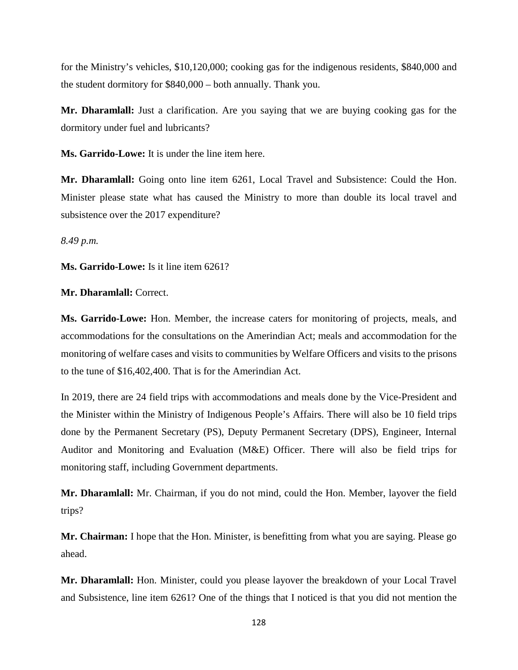for the Ministry's vehicles, \$10,120,000; cooking gas for the indigenous residents, \$840,000 and the student dormitory for \$840,000 – both annually. Thank you.

**Mr. Dharamlall:** Just a clarification. Are you saying that we are buying cooking gas for the dormitory under fuel and lubricants?

**Ms. Garrido-Lowe:** It is under the line item here.

**Mr. Dharamlall:** Going onto line item 6261, Local Travel and Subsistence: Could the Hon. Minister please state what has caused the Ministry to more than double its local travel and subsistence over the 2017 expenditure?

*8.49 p.m.* 

**Ms. Garrido-Lowe:** Is it line item 6261?

**Mr. Dharamlall:** Correct.

**Ms. Garrido-Lowe:** Hon. Member, the increase caters for monitoring of projects, meals, and accommodations for the consultations on the Amerindian Act; meals and accommodation for the monitoring of welfare cases and visits to communities by Welfare Officers and visits to the prisons to the tune of \$16,402,400. That is for the Amerindian Act.

In 2019, there are 24 field trips with accommodations and meals done by the Vice-President and the Minister within the Ministry of Indigenous People's Affairs. There will also be 10 field trips done by the Permanent Secretary (PS), Deputy Permanent Secretary (DPS), Engineer, Internal Auditor and Monitoring and Evaluation (M&E) Officer. There will also be field trips for monitoring staff, including Government departments.

**Mr. Dharamlall:** Mr. Chairman, if you do not mind, could the Hon. Member, layover the field trips?

**Mr. Chairman:** I hope that the Hon. Minister, is benefitting from what you are saying. Please go ahead.

**Mr. Dharamlall:** Hon. Minister, could you please layover the breakdown of your Local Travel and Subsistence, line item 6261? One of the things that I noticed is that you did not mention the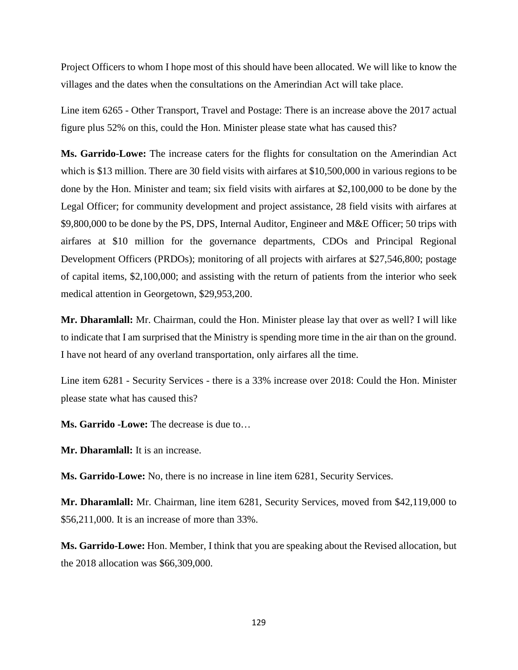Project Officers to whom I hope most of this should have been allocated. We will like to know the villages and the dates when the consultations on the Amerindian Act will take place.

Line item 6265 - Other Transport, Travel and Postage: There is an increase above the 2017 actual figure plus 52% on this, could the Hon. Minister please state what has caused this?

**Ms. Garrido-Lowe:** The increase caters for the flights for consultation on the Amerindian Act which is \$13 million. There are 30 field visits with airfares at \$10,500,000 in various regions to be done by the Hon. Minister and team; six field visits with airfares at \$2,100,000 to be done by the Legal Officer; for community development and project assistance, 28 field visits with airfares at \$9,800,000 to be done by the PS, DPS, Internal Auditor, Engineer and M&E Officer; 50 trips with airfares at \$10 million for the governance departments, CDOs and Principal Regional Development Officers (PRDOs); monitoring of all projects with airfares at \$27,546,800; postage of capital items, \$2,100,000; and assisting with the return of patients from the interior who seek medical attention in Georgetown, \$29,953,200.

**Mr. Dharamlall:** Mr. Chairman, could the Hon. Minister please lay that over as well? I will like to indicate that I am surprised that the Ministry is spending more time in the air than on the ground. I have not heard of any overland transportation, only airfares all the time.

Line item 6281 - Security Services - there is a 33% increase over 2018: Could the Hon. Minister please state what has caused this?

**Ms. Garrido -Lowe:** The decrease is due to…

**Mr. Dharamlall:** It is an increase.

**Ms. Garrido-Lowe:** No, there is no increase in line item 6281, Security Services.

**Mr. Dharamlall:** Mr. Chairman, line item 6281, Security Services, moved from \$42,119,000 to \$56,211,000. It is an increase of more than 33%.

**Ms. Garrido-Lowe:** Hon. Member, I think that you are speaking about the Revised allocation, but the 2018 allocation was \$66,309,000.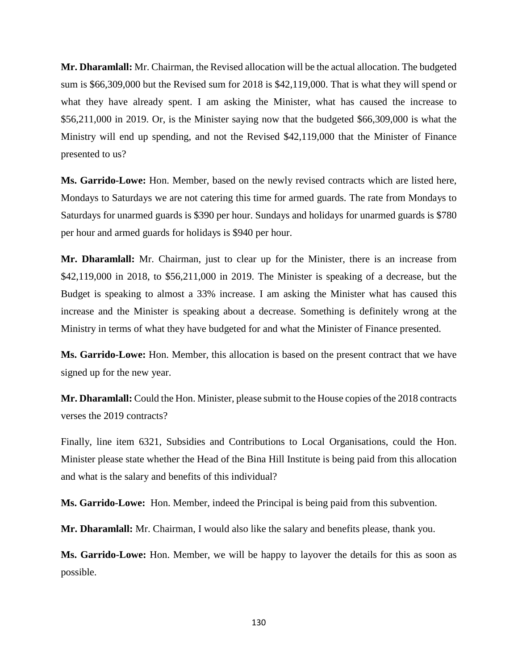**Mr. Dharamlall:** Mr. Chairman, the Revised allocation will be the actual allocation. The budgeted sum is \$66,309,000 but the Revised sum for 2018 is \$42,119,000. That is what they will spend or what they have already spent. I am asking the Minister, what has caused the increase to \$56,211,000 in 2019. Or, is the Minister saying now that the budgeted \$66,309,000 is what the Ministry will end up spending, and not the Revised \$42,119,000 that the Minister of Finance presented to us?

**Ms. Garrido-Lowe:** Hon. Member, based on the newly revised contracts which are listed here, Mondays to Saturdays we are not catering this time for armed guards. The rate from Mondays to Saturdays for unarmed guards is \$390 per hour. Sundays and holidays for unarmed guards is \$780 per hour and armed guards for holidays is \$940 per hour.

**Mr. Dharamlall:** Mr. Chairman, just to clear up for the Minister, there is an increase from \$42,119,000 in 2018, to \$56,211,000 in 2019. The Minister is speaking of a decrease, but the Budget is speaking to almost a 33% increase. I am asking the Minister what has caused this increase and the Minister is speaking about a decrease. Something is definitely wrong at the Ministry in terms of what they have budgeted for and what the Minister of Finance presented.

**Ms. Garrido-Lowe:** Hon. Member, this allocation is based on the present contract that we have signed up for the new year.

**Mr. Dharamlall:** Could the Hon. Minister, please submit to the House copies of the 2018 contracts verses the 2019 contracts?

Finally, line item 6321, Subsidies and Contributions to Local Organisations, could the Hon. Minister please state whether the Head of the Bina Hill Institute is being paid from this allocation and what is the salary and benefits of this individual?

**Ms. Garrido-Lowe:** Hon. Member, indeed the Principal is being paid from this subvention.

**Mr. Dharamlall:** Mr. Chairman, I would also like the salary and benefits please, thank you.

**Ms. Garrido-Lowe:** Hon. Member, we will be happy to layover the details for this as soon as possible.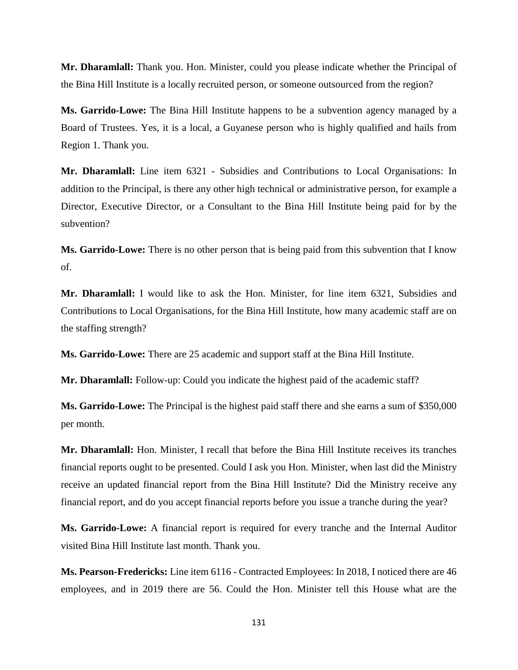**Mr. Dharamlall:** Thank you. Hon. Minister, could you please indicate whether the Principal of the Bina Hill Institute is a locally recruited person, or someone outsourced from the region?

**Ms. Garrido-Lowe:** The Bina Hill Institute happens to be a subvention agency managed by a Board of Trustees. Yes, it is a local, a Guyanese person who is highly qualified and hails from Region 1. Thank you.

**Mr. Dharamlall:** Line item 6321 - Subsidies and Contributions to Local Organisations: In addition to the Principal, is there any other high technical or administrative person, for example a Director, Executive Director, or a Consultant to the Bina Hill Institute being paid for by the subvention?

**Ms. Garrido-Lowe:** There is no other person that is being paid from this subvention that I know of.

**Mr. Dharamlall:** I would like to ask the Hon. Minister, for line item 6321, Subsidies and Contributions to Local Organisations, for the Bina Hill Institute, how many academic staff are on the staffing strength?

**Ms. Garrido-Lowe:** There are 25 academic and support staff at the Bina Hill Institute.

**Mr. Dharamlall:** Follow-up: Could you indicate the highest paid of the academic staff?

**Ms. Garrido-Lowe:** The Principal is the highest paid staff there and she earns a sum of \$350,000 per month.

**Mr. Dharamlall:** Hon. Minister, I recall that before the Bina Hill Institute receives its tranches financial reports ought to be presented. Could I ask you Hon. Minister, when last did the Ministry receive an updated financial report from the Bina Hill Institute? Did the Ministry receive any financial report, and do you accept financial reports before you issue a tranche during the year?

**Ms. Garrido-Lowe:** A financial report is required for every tranche and the Internal Auditor visited Bina Hill Institute last month. Thank you.

**Ms. Pearson-Fredericks:** Line item 6116 - Contracted Employees: In 2018, I noticed there are 46 employees, and in 2019 there are 56. Could the Hon. Minister tell this House what are the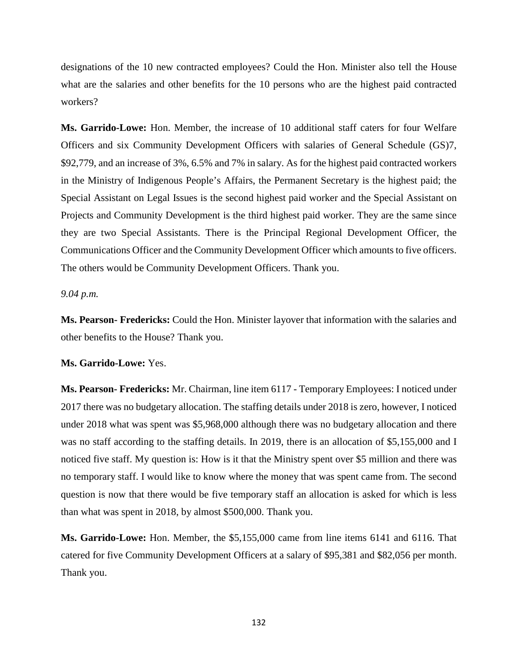designations of the 10 new contracted employees? Could the Hon. Minister also tell the House what are the salaries and other benefits for the 10 persons who are the highest paid contracted workers?

**Ms. Garrido-Lowe:** Hon. Member, the increase of 10 additional staff caters for four Welfare Officers and six Community Development Officers with salaries of General Schedule (GS)7, \$92,779, and an increase of 3%, 6.5% and 7% in salary. As for the highest paid contracted workers in the Ministry of Indigenous People's Affairs, the Permanent Secretary is the highest paid; the Special Assistant on Legal Issues is the second highest paid worker and the Special Assistant on Projects and Community Development is the third highest paid worker. They are the same since they are two Special Assistants. There is the Principal Regional Development Officer, the Communications Officer and the Community Development Officer which amounts to five officers. The others would be Community Development Officers. Thank you.

## *9.04 p.m.*

**Ms. Pearson- Fredericks:** Could the Hon. Minister layover that information with the salaries and other benefits to the House? Thank you.

## **Ms. Garrido-Lowe:** Yes.

**Ms. Pearson- Fredericks:** Mr. Chairman, line item 6117 - Temporary Employees: I noticed under 2017 there was no budgetary allocation. The staffing details under 2018 is zero, however, I noticed under 2018 what was spent was \$5,968,000 although there was no budgetary allocation and there was no staff according to the staffing details. In 2019, there is an allocation of \$5,155,000 and I noticed five staff. My question is: How is it that the Ministry spent over \$5 million and there was no temporary staff. I would like to know where the money that was spent came from. The second question is now that there would be five temporary staff an allocation is asked for which is less than what was spent in 2018, by almost \$500,000. Thank you.

**Ms. Garrido-Lowe:** Hon. Member, the \$5,155,000 came from line items 6141 and 6116. That catered for five Community Development Officers at a salary of \$95,381 and \$82,056 per month. Thank you.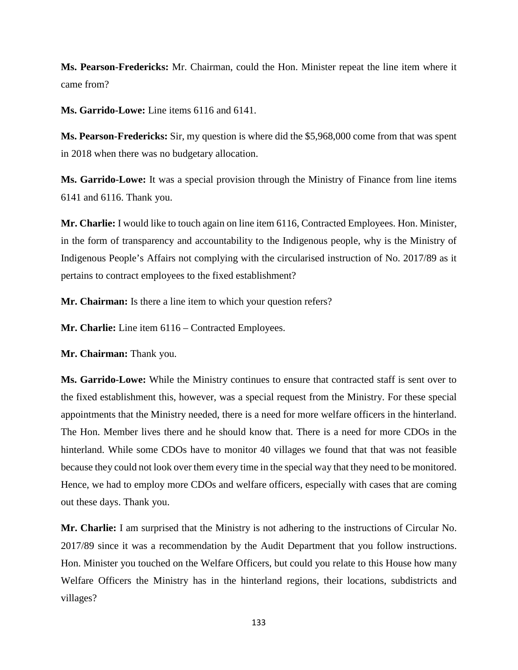**Ms. Pearson-Fredericks:** Mr. Chairman, could the Hon. Minister repeat the line item where it came from?

**Ms. Garrido-Lowe:** Line items 6116 and 6141.

**Ms. Pearson-Fredericks:** Sir, my question is where did the \$5,968,000 come from that was spent in 2018 when there was no budgetary allocation.

**Ms. Garrido-Lowe:** It was a special provision through the Ministry of Finance from line items 6141 and 6116. Thank you.

**Mr. Charlie:** I would like to touch again on line item 6116, Contracted Employees. Hon. Minister, in the form of transparency and accountability to the Indigenous people, why is the Ministry of Indigenous People's Affairs not complying with the circularised instruction of No. 2017/89 as it pertains to contract employees to the fixed establishment?

**Mr. Chairman:** Is there a line item to which your question refers?

**Mr. Charlie:** Line item 6116 – Contracted Employees.

**Mr. Chairman:** Thank you.

**Ms. Garrido-Lowe:** While the Ministry continues to ensure that contracted staff is sent over to the fixed establishment this, however, was a special request from the Ministry. For these special appointments that the Ministry needed, there is a need for more welfare officers in the hinterland. The Hon. Member lives there and he should know that. There is a need for more CDOs in the hinterland. While some CDOs have to monitor 40 villages we found that that was not feasible because they could not look over them every time in the special way that they need to be monitored. Hence, we had to employ more CDOs and welfare officers, especially with cases that are coming out these days. Thank you.

**Mr. Charlie:** I am surprised that the Ministry is not adhering to the instructions of Circular No. 2017/89 since it was a recommendation by the Audit Department that you follow instructions. Hon. Minister you touched on the Welfare Officers, but could you relate to this House how many Welfare Officers the Ministry has in the hinterland regions, their locations, subdistricts and villages?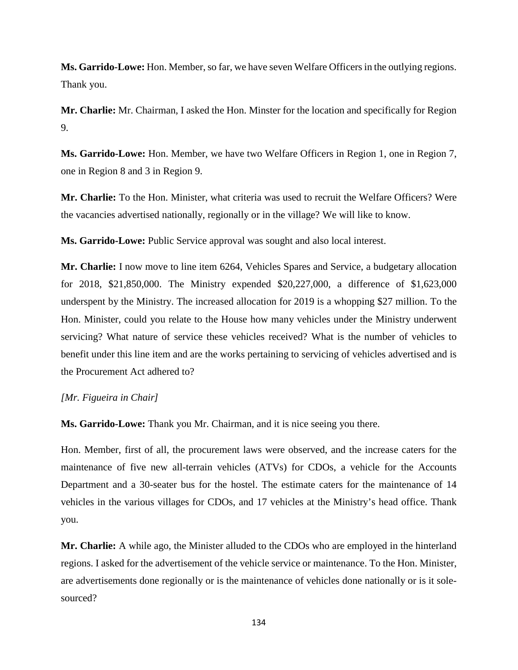**Ms. Garrido-Lowe:** Hon. Member, so far, we have seven Welfare Officers in the outlying regions. Thank you.

**Mr. Charlie:** Mr. Chairman, I asked the Hon. Minster for the location and specifically for Region 9.

**Ms. Garrido-Lowe:** Hon. Member, we have two Welfare Officers in Region 1, one in Region 7, one in Region 8 and 3 in Region 9.

**Mr. Charlie:** To the Hon. Minister, what criteria was used to recruit the Welfare Officers? Were the vacancies advertised nationally, regionally or in the village? We will like to know.

**Ms. Garrido-Lowe:** Public Service approval was sought and also local interest.

**Mr. Charlie:** I now move to line item 6264, Vehicles Spares and Service, a budgetary allocation for 2018, \$21,850,000. The Ministry expended \$20,227,000, a difference of \$1,623,000 underspent by the Ministry. The increased allocation for 2019 is a whopping \$27 million. To the Hon. Minister, could you relate to the House how many vehicles under the Ministry underwent servicing? What nature of service these vehicles received? What is the number of vehicles to benefit under this line item and are the works pertaining to servicing of vehicles advertised and is the Procurement Act adhered to?

# *[Mr. Figueira in Chair]*

**Ms. Garrido-Lowe:** Thank you Mr. Chairman, and it is nice seeing you there.

Hon. Member, first of all, the procurement laws were observed, and the increase caters for the maintenance of five new all-terrain vehicles (ATVs) for CDOs, a vehicle for the Accounts Department and a 30-seater bus for the hostel. The estimate caters for the maintenance of 14 vehicles in the various villages for CDOs, and 17 vehicles at the Ministry's head office. Thank you.

**Mr. Charlie:** A while ago, the Minister alluded to the CDOs who are employed in the hinterland regions. I asked for the advertisement of the vehicle service or maintenance. To the Hon. Minister, are advertisements done regionally or is the maintenance of vehicles done nationally or is it solesourced?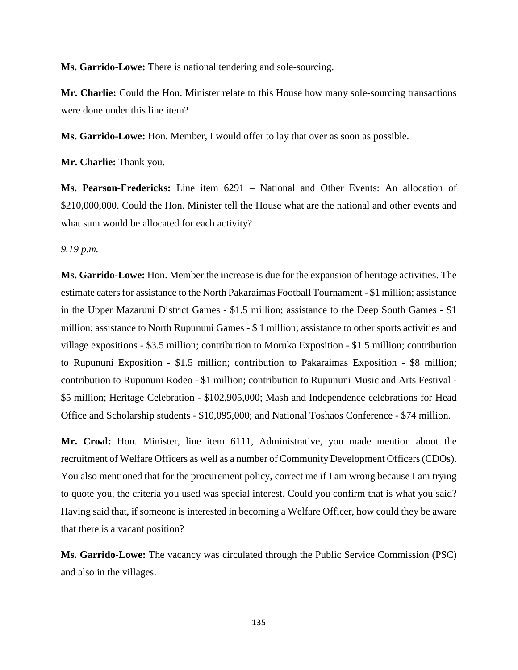**Ms. Garrido-Lowe:** There is national tendering and sole-sourcing.

**Mr. Charlie:** Could the Hon. Minister relate to this House how many sole-sourcing transactions were done under this line item?

**Ms. Garrido-Lowe:** Hon. Member, I would offer to lay that over as soon as possible.

**Mr. Charlie:** Thank you.

**Ms. Pearson-Fredericks:** Line item 6291 – National and Other Events: An allocation of \$210,000,000. Could the Hon. Minister tell the House what are the national and other events and what sum would be allocated for each activity?

*9.19 p.m.* 

**Ms. Garrido-Lowe:** Hon. Member the increase is due for the expansion of heritage activities. The estimate caters for assistance to the North Pakaraimas Football Tournament - \$1 million; assistance in the Upper Mazaruni District Games - \$1.5 million; assistance to the Deep South Games - \$1 million; assistance to North Rupununi Games - \$ 1 million; assistance to other sports activities and village expositions - \$3.5 million; contribution to Moruka Exposition - \$1.5 million; contribution to Rupununi Exposition - \$1.5 million; contribution to Pakaraimas Exposition - \$8 million; contribution to Rupununi Rodeo - \$1 million; contribution to Rupununi Music and Arts Festival - \$5 million; Heritage Celebration - \$102,905,000; Mash and Independence celebrations for Head Office and Scholarship students - \$10,095,000; and National Toshaos Conference - \$74 million.

**Mr. Croal:** Hon. Minister, line item 6111, Administrative, you made mention about the recruitment of Welfare Officers as well as a number of Community Development Officers (CDOs). You also mentioned that for the procurement policy, correct me if I am wrong because I am trying to quote you, the criteria you used was special interest. Could you confirm that is what you said? Having said that, if someone is interested in becoming a Welfare Officer, how could they be aware that there is a vacant position?

**Ms. Garrido-Lowe:** The vacancy was circulated through the Public Service Commission (PSC) and also in the villages.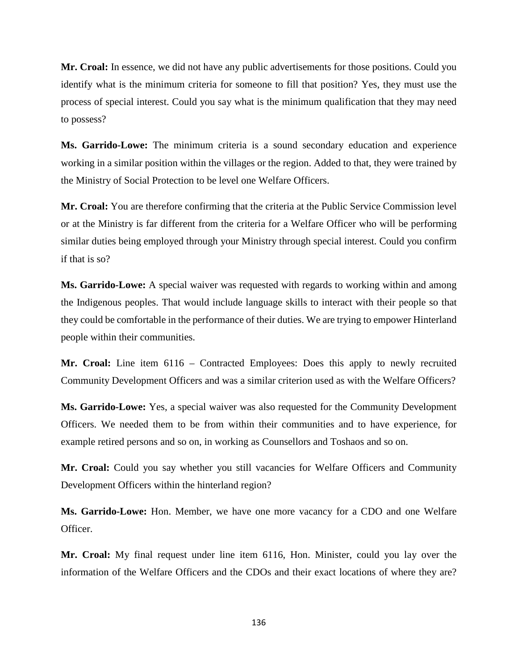**Mr. Croal:** In essence, we did not have any public advertisements for those positions. Could you identify what is the minimum criteria for someone to fill that position? Yes, they must use the process of special interest. Could you say what is the minimum qualification that they may need to possess?

**Ms. Garrido-Lowe:** The minimum criteria is a sound secondary education and experience working in a similar position within the villages or the region. Added to that, they were trained by the Ministry of Social Protection to be level one Welfare Officers.

**Mr. Croal:** You are therefore confirming that the criteria at the Public Service Commission level or at the Ministry is far different from the criteria for a Welfare Officer who will be performing similar duties being employed through your Ministry through special interest. Could you confirm if that is so?

**Ms. Garrido-Lowe:** A special waiver was requested with regards to working within and among the Indigenous peoples. That would include language skills to interact with their people so that they could be comfortable in the performance of their duties. We are trying to empower Hinterland people within their communities.

**Mr. Croal:** Line item 6116 – Contracted Employees: Does this apply to newly recruited Community Development Officers and was a similar criterion used as with the Welfare Officers?

**Ms. Garrido-Lowe:** Yes, a special waiver was also requested for the Community Development Officers. We needed them to be from within their communities and to have experience, for example retired persons and so on, in working as Counsellors and Toshaos and so on.

**Mr. Croal:** Could you say whether you still vacancies for Welfare Officers and Community Development Officers within the hinterland region?

**Ms. Garrido-Lowe:** Hon. Member, we have one more vacancy for a CDO and one Welfare Officer.

**Mr. Croal:** My final request under line item 6116, Hon. Minister, could you lay over the information of the Welfare Officers and the CDOs and their exact locations of where they are?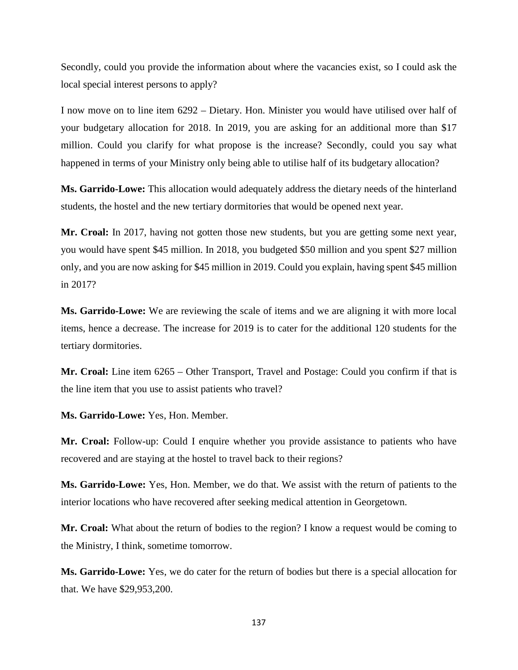Secondly, could you provide the information about where the vacancies exist, so I could ask the local special interest persons to apply?

I now move on to line item 6292 – Dietary. Hon. Minister you would have utilised over half of your budgetary allocation for 2018. In 2019, you are asking for an additional more than \$17 million. Could you clarify for what propose is the increase? Secondly, could you say what happened in terms of your Ministry only being able to utilise half of its budgetary allocation?

**Ms. Garrido-Lowe:** This allocation would adequately address the dietary needs of the hinterland students, the hostel and the new tertiary dormitories that would be opened next year.

**Mr. Croal:** In 2017, having not gotten those new students, but you are getting some next year, you would have spent \$45 million. In 2018, you budgeted \$50 million and you spent \$27 million only, and you are now asking for \$45 million in 2019. Could you explain, having spent \$45 million in 2017?

**Ms. Garrido-Lowe:** We are reviewing the scale of items and we are aligning it with more local items, hence a decrease. The increase for 2019 is to cater for the additional 120 students for the tertiary dormitories.

**Mr. Croal:** Line item 6265 – Other Transport, Travel and Postage: Could you confirm if that is the line item that you use to assist patients who travel?

**Ms. Garrido-Lowe:** Yes, Hon. Member.

**Mr. Croal:** Follow-up: Could I enquire whether you provide assistance to patients who have recovered and are staying at the hostel to travel back to their regions?

**Ms. Garrido-Lowe:** Yes, Hon. Member, we do that. We assist with the return of patients to the interior locations who have recovered after seeking medical attention in Georgetown.

**Mr. Croal:** What about the return of bodies to the region? I know a request would be coming to the Ministry, I think, sometime tomorrow.

**Ms. Garrido-Lowe:** Yes, we do cater for the return of bodies but there is a special allocation for that. We have \$29,953,200.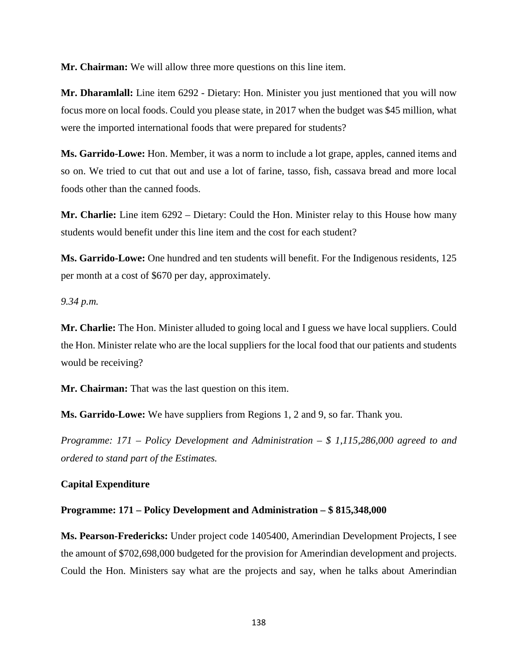**Mr. Chairman:** We will allow three more questions on this line item.

**Mr. Dharamlall:** Line item 6292 - Dietary: Hon. Minister you just mentioned that you will now focus more on local foods. Could you please state, in 2017 when the budget was \$45 million, what were the imported international foods that were prepared for students?

**Ms. Garrido-Lowe:** Hon. Member, it was a norm to include a lot grape, apples, canned items and so on. We tried to cut that out and use a lot of farine, tasso, fish, cassava bread and more local foods other than the canned foods.

**Mr. Charlie:** Line item 6292 – Dietary: Could the Hon. Minister relay to this House how many students would benefit under this line item and the cost for each student?

**Ms. Garrido-Lowe:** One hundred and ten students will benefit. For the Indigenous residents, 125 per month at a cost of \$670 per day, approximately.

*9.34 p.m.*

**Mr. Charlie:** The Hon. Minister alluded to going local and I guess we have local suppliers. Could the Hon. Minister relate who are the local suppliers for the local food that our patients and students would be receiving?

**Mr. Chairman:** That was the last question on this item.

**Ms. Garrido-Lowe:** We have suppliers from Regions 1, 2 and 9, so far. Thank you.

*Programme: 171 – Policy Development and Administration – \$ 1,115,286,000 agreed to and ordered to stand part of the Estimates.*

### **Capital Expenditure**

### **Programme: 171 – Policy Development and Administration – \$ 815,348,000**

**Ms. Pearson-Fredericks:** Under project code 1405400, Amerindian Development Projects, I see the amount of \$702,698,000 budgeted for the provision for Amerindian development and projects. Could the Hon. Ministers say what are the projects and say, when he talks about Amerindian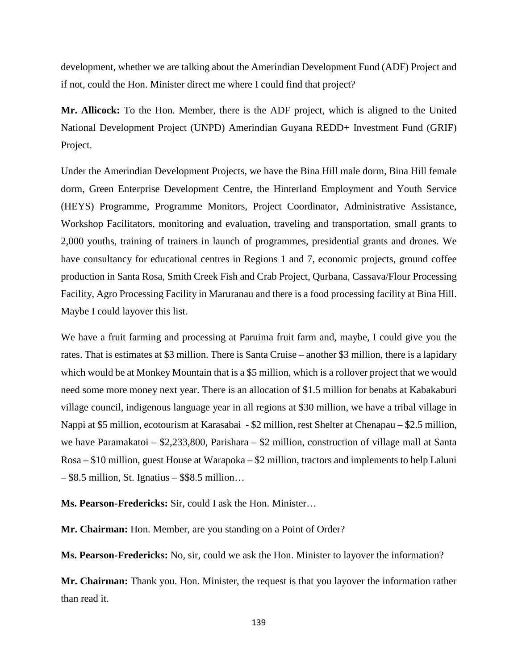development, whether we are talking about the Amerindian Development Fund (ADF) Project and if not, could the Hon. Minister direct me where I could find that project?

**Mr. Allicock:** To the Hon. Member, there is the ADF project, which is aligned to the United National Development Project (UNPD) Amerindian Guyana REDD+ Investment Fund (GRIF) Project.

Under the Amerindian Development Projects, we have the Bina Hill male dorm, Bina Hill female dorm, Green Enterprise Development Centre, the Hinterland Employment and Youth Service (HEYS) Programme, Programme Monitors, Project Coordinator, Administrative Assistance, Workshop Facilitators, monitoring and evaluation, traveling and transportation, small grants to 2,000 youths, training of trainers in launch of programmes, presidential grants and drones. We have consultancy for educational centres in Regions 1 and 7, economic projects, ground coffee production in Santa Rosa, Smith Creek Fish and Crab Project, Qurbana, Cassava/Flour Processing Facility, Agro Processing Facility in Maruranau and there is a food processing facility at Bina Hill. Maybe I could layover this list.

We have a fruit farming and processing at Paruima fruit farm and, maybe, I could give you the rates. That is estimates at \$3 million. There is Santa Cruise – another \$3 million, there is a lapidary which would be at Monkey Mountain that is a \$5 million, which is a rollover project that we would need some more money next year. There is an allocation of \$1.5 million for benabs at Kabakaburi village council, indigenous language year in all regions at \$30 million, we have a tribal village in Nappi at \$5 million, ecotourism at Karasabai - \$2 million, rest Shelter at Chenapau – \$2.5 million, we have Paramakatoi – \$2,233,800, Parishara – \$2 million, construction of village mall at Santa Rosa – \$10 million, guest House at Warapoka – \$2 million, tractors and implements to help Laluni  $-$  \$8.5 million, St. Ignatius – \$\$8.5 million...

**Ms. Pearson-Fredericks:** Sir, could I ask the Hon. Minister…

**Mr. Chairman:** Hon. Member, are you standing on a Point of Order?

**Ms. Pearson-Fredericks:** No, sir, could we ask the Hon. Minister to layover the information?

**Mr. Chairman:** Thank you. Hon. Minister, the request is that you layover the information rather than read it.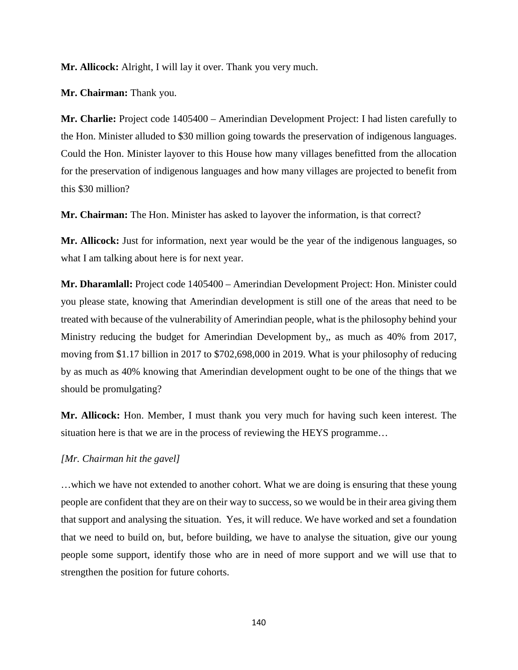**Mr. Allicock:** Alright, I will lay it over. Thank you very much.

**Mr. Chairman:** Thank you.

**Mr. Charlie:** Project code 1405400 – Amerindian Development Project: I had listen carefully to the Hon. Minister alluded to \$30 million going towards the preservation of indigenous languages. Could the Hon. Minister layover to this House how many villages benefitted from the allocation for the preservation of indigenous languages and how many villages are projected to benefit from this \$30 million?

**Mr. Chairman:** The Hon. Minister has asked to layover the information, is that correct?

**Mr. Allicock:** Just for information, next year would be the year of the indigenous languages, so what I am talking about here is for next year.

**Mr. Dharamlall:** Project code 1405400 – Amerindian Development Project: Hon. Minister could you please state, knowing that Amerindian development is still one of the areas that need to be treated with because of the vulnerability of Amerindian people, what is the philosophy behind your Ministry reducing the budget for Amerindian Development by,, as much as 40% from 2017, moving from \$1.17 billion in 2017 to \$702,698,000 in 2019. What is your philosophy of reducing by as much as 40% knowing that Amerindian development ought to be one of the things that we should be promulgating?

**Mr. Allicock:** Hon. Member, I must thank you very much for having such keen interest. The situation here is that we are in the process of reviewing the HEYS programme…

### *[Mr. Chairman hit the gavel]*

…which we have not extended to another cohort. What we are doing is ensuring that these young people are confident that they are on their way to success, so we would be in their area giving them that support and analysing the situation. Yes, it will reduce. We have worked and set a foundation that we need to build on, but, before building, we have to analyse the situation, give our young people some support, identify those who are in need of more support and we will use that to strengthen the position for future cohorts.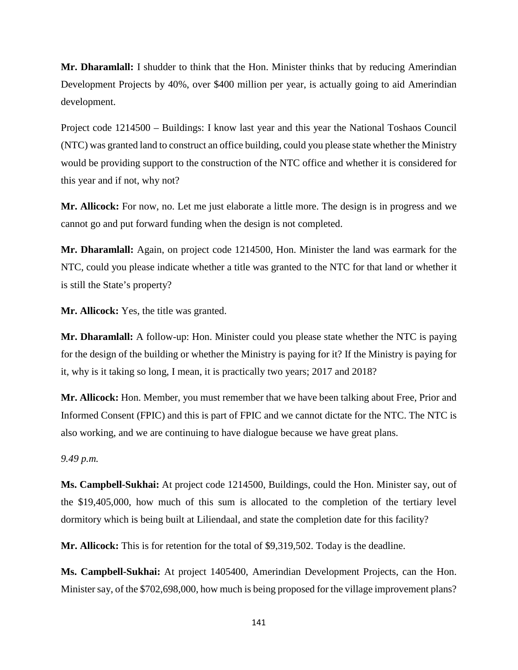**Mr. Dharamlall:** I shudder to think that the Hon. Minister thinks that by reducing Amerindian Development Projects by 40%, over \$400 million per year, is actually going to aid Amerindian development.

Project code 1214500 – Buildings: I know last year and this year the National Toshaos Council (NTC) was granted land to construct an office building, could you please state whether the Ministry would be providing support to the construction of the NTC office and whether it is considered for this year and if not, why not?

**Mr. Allicock:** For now, no. Let me just elaborate a little more. The design is in progress and we cannot go and put forward funding when the design is not completed.

**Mr. Dharamlall:** Again, on project code 1214500, Hon. Minister the land was earmark for the NTC, could you please indicate whether a title was granted to the NTC for that land or whether it is still the State's property?

**Mr. Allicock:** Yes, the title was granted.

**Mr. Dharamlall:** A follow-up: Hon. Minister could you please state whether the NTC is paying for the design of the building or whether the Ministry is paying for it? If the Ministry is paying for it, why is it taking so long, I mean, it is practically two years; 2017 and 2018?

**Mr. Allicock:** Hon. Member, you must remember that we have been talking about Free, Prior and Informed Consent (FPIC) and this is part of FPIC and we cannot dictate for the NTC. The NTC is also working, and we are continuing to have dialogue because we have great plans.

*9.49 p.m.*

**Ms. Campbell-Sukhai:** At project code 1214500, Buildings, could the Hon. Minister say, out of the \$19,405,000, how much of this sum is allocated to the completion of the tertiary level dormitory which is being built at Liliendaal, and state the completion date for this facility?

**Mr. Allicock:** This is for retention for the total of \$9,319,502. Today is the deadline.

**Ms. Campbell-Sukhai:** At project 1405400, Amerindian Development Projects, can the Hon. Minister say, of the \$702,698,000, how much is being proposed for the village improvement plans?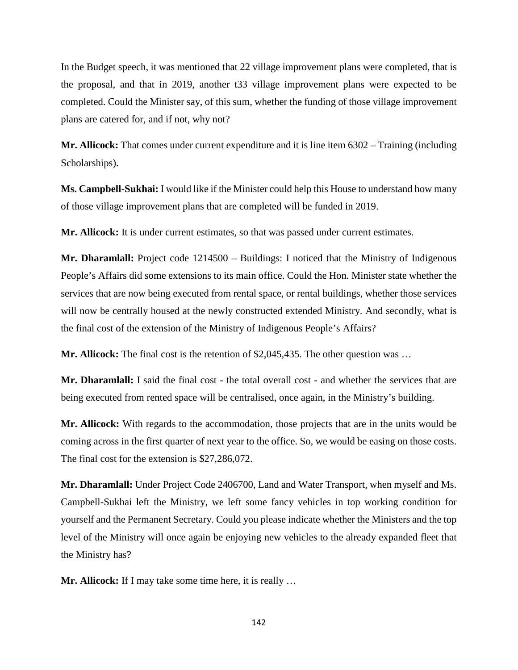In the Budget speech, it was mentioned that 22 village improvement plans were completed, that is the proposal, and that in 2019, another t33 village improvement plans were expected to be completed. Could the Minister say, of this sum, whether the funding of those village improvement plans are catered for, and if not, why not?

**Mr. Allicock:** That comes under current expenditure and it is line item 6302 – Training (including Scholarships).

**Ms. Campbell-Sukhai:** I would like if the Minister could help this House to understand how many of those village improvement plans that are completed will be funded in 2019.

**Mr. Allicock:** It is under current estimates, so that was passed under current estimates.

**Mr. Dharamlall:** Project code 1214500 – Buildings: I noticed that the Ministry of Indigenous People's Affairs did some extensions to its main office. Could the Hon. Minister state whether the services that are now being executed from rental space, or rental buildings, whether those services will now be centrally housed at the newly constructed extended Ministry. And secondly, what is the final cost of the extension of the Ministry of Indigenous People's Affairs?

**Mr. Allicock:** The final cost is the retention of \$2,045,435. The other question was …

**Mr. Dharamlall:** I said the final cost - the total overall cost - and whether the services that are being executed from rented space will be centralised, once again, in the Ministry's building.

**Mr. Allicock:** With regards to the accommodation, those projects that are in the units would be coming across in the first quarter of next year to the office. So, we would be easing on those costs. The final cost for the extension is \$27,286,072.

**Mr. Dharamlall:** Under Project Code 2406700, Land and Water Transport, when myself and Ms. Campbell-Sukhai left the Ministry, we left some fancy vehicles in top working condition for yourself and the Permanent Secretary. Could you please indicate whether the Ministers and the top level of the Ministry will once again be enjoying new vehicles to the already expanded fleet that the Ministry has?

**Mr. Allicock:** If I may take some time here, it is really ...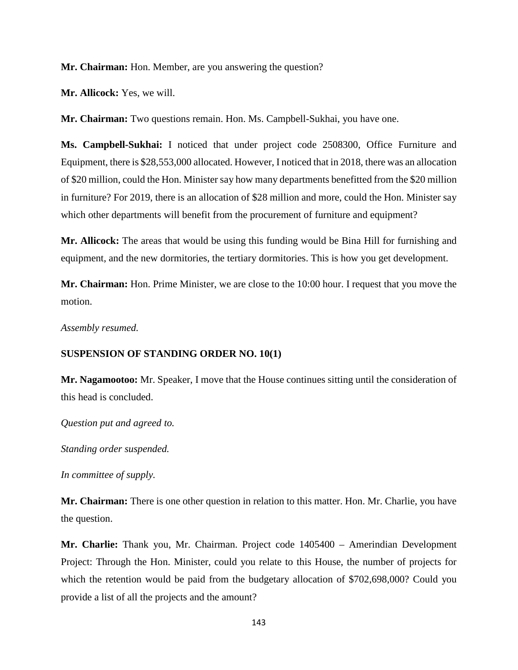**Mr. Chairman:** Hon. Member, are you answering the question?

**Mr. Allicock:** Yes, we will.

**Mr. Chairman:** Two questions remain. Hon. Ms. Campbell-Sukhai, you have one.

**Ms. Campbell-Sukhai:** I noticed that under project code 2508300, Office Furniture and Equipment, there is \$28,553,000 allocated. However, I noticed that in 2018, there was an allocation of \$20 million, could the Hon. Minister say how many departments benefitted from the \$20 million in furniture? For 2019, there is an allocation of \$28 million and more, could the Hon. Minister say which other departments will benefit from the procurement of furniture and equipment?

**Mr. Allicock:** The areas that would be using this funding would be Bina Hill for furnishing and equipment, and the new dormitories, the tertiary dormitories. This is how you get development.

**Mr. Chairman:** Hon. Prime Minister, we are close to the 10:00 hour. I request that you move the motion.

*Assembly resumed.* 

### **SUSPENSION OF STANDING ORDER NO. 10(1)**

**Mr. Nagamootoo:** Mr. Speaker, I move that the House continues sitting until the consideration of this head is concluded.

*Question put and agreed to.* 

*Standing order suspended.* 

*In committee of supply.* 

**Mr. Chairman:** There is one other question in relation to this matter. Hon. Mr. Charlie, you have the question.

**Mr. Charlie:** Thank you, Mr. Chairman. Project code 1405400 – Amerindian Development Project: Through the Hon. Minister, could you relate to this House, the number of projects for which the retention would be paid from the budgetary allocation of \$702,698,000? Could you provide a list of all the projects and the amount?